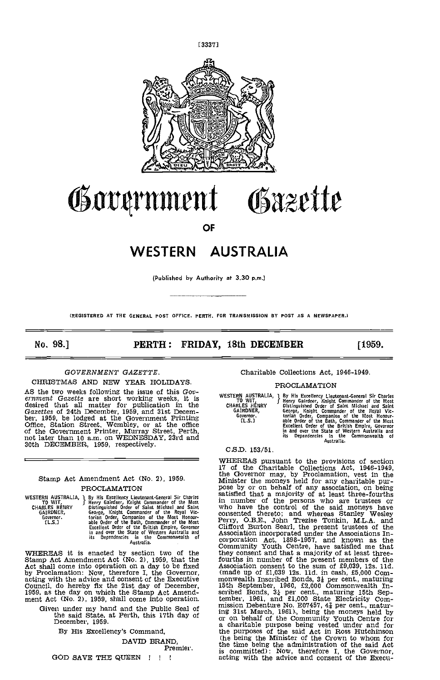

# Government Gäzette

OF

# WESTERN AUSTRALIA

(Published by Authority at 3.30 p.m.)

(REGISTERED AT THE GENERAL POST OFFICE. PERTH. FOR TRANSMISSION BY POST AS A NEWSPAPER.)

No. 98.] **PERTH: FRIDAY, 18th DECEMBER** [1959.

## GOVERNMENT GAZETTE.

CHRISTMAS AND NEW YEAR HOLIDAYS.

AS the two weeks following the issue of this Gov-<br>ernment Gazette are short working weeks, it is desired that all matter for publication in the characters of 24th December, 1959, and 31st December, 1959, be lodged at the Government Printing 6 Office, Station Street, Wembley, or at the office of the Government Printer, 30th DECEMBER, 1959, respectively.

## Stamp Act Amendment Act (No. 2), 1959. PROCLAMATION

WESTERN AUSTRALIA, 1 By His Excellency Lieutenant-General Sir Charles CHARLES HENRY Distinguished Order of Saint Michael and Saint Windows CHARLES HENRY Distinguished Order of Saint Michael and Saint Windows (CAPINDER, Geo

WHEREAS it is enacted by section two of the Stamp Act Amendment Act  $(No. 2)$ , 1959, that the Act shall come into operation on a day to be fixed by Proclamation: Now, therefore I, the Governor, acting with the advice and c

Given under my hand and the Public Seal of the said State, at Perth, this 17th day of or December, 1959.

By His Excellency's Command,

DAVID BRAND, Premier.

GOD SAVE THE QUEEN  $\parallel$  !!

Charitable Collections Act, 1946-1949.

## PROCLAMATION

1 By His Excellency Lieutenant-General Sir Charles<br>3 Henry Gairdner, Knight Commander of the Most<br>Distinguished Order of Saint Michael and Saint<br>George, Knight Commander of the Royal Victorian Order, Companion of the Most Honour-<br>able Order of the Bath, Commander of the Most<br>Excellent Order of the British Empire, Governor<br>in and over the State of Western Australia and<br>its Dependencies in the Commonwealth WESTERN AUSTRALIA, 1 By Hi<br>CHARLES HENRY Bistin<br>CHARLES HENRY Distin<br>GAIRDNER, Georg<br>Governor. trian<br>CL.S.] able (

## C,SD. 153/51.

WHEREAS pursuant to the provisions of section 17 of the Charitable Collections Act, 1946-1949, the Governor may, by Proclamation, vest in the 17 of the Charitable Collections Act, 1946-1949, the Governor may, by Proclamation, vest In the Minister the moneys held for any charitable pur- pose by or on behalf of any association, on being satisfied that a majority of at least three-fourths in number of the persons who are trustees or who have the control of the said moneys have consented thereto; and whereas Stanley Wesley<br>Perry, O.B.E., John Trezise Tonkin, M.L.A. and<br>Clifford Burton Searl, the present trustees of the<br>Association incorporated under the Associations In-<br>corporation Act, 1898-1957 they consent and that a majority of at least three-<br>fourths in number of the present members of the<br>Association consent to the sum of £9,039, 12s. 11d.<br>(made up of £1,039 12s. 11d. in cash, £5,000 Com-<br>monwealth Inscribed 15th September, 1960, £2,000 Commonwealth In-<br>scribed Bonds,  $3\frac{1}{4}$  per cent., maturing 15th September, 1961, and £1,000 State Electricity Com-<br>mission Debenture No. E07457,  $4\frac{7}{4}$  per cent., maturing 31st March, 1961)., being the moneys held by or on behalf of the Community Youth Centre for a charitable purpose being vested under and for the purposes of the said Act in Ross Hutchinson (he being the Minister of the Crown to whom for the time being the administration of the said Act is committed): Now, therefore I, the Governor, acting with the advice and consent of the Execu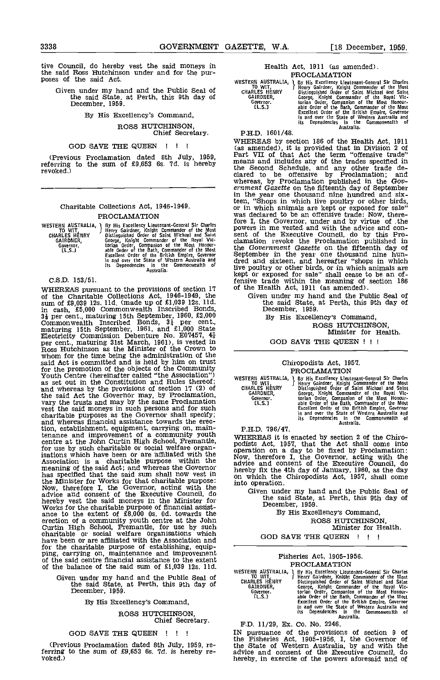tive Council, do hereby vest the said moneys in the said Ross Hutchinson under and for the pur- poses of the said Act.

Given under my hand and the Public Seal of the said State. at Perth, this 9th day of December, 1959.

By His Excellency's Command,

ROSS HUTCHINSON, Chief Secretary.

## GOD SAVE THE QUEEN ! ! !

(Previous Proclamation dated 8th July, 1959, referring to the sum of £9,653 6s. 7d. is hereby revoked.)

## Charitable Collections Act, 1946-1949. PROCLAMATION

|                      | WESTERN AUSTRALIA, 1 By His Excellency Lieutenant-General Sir Charles | --  |
|----------------------|-----------------------------------------------------------------------|-----|
|                      |                                                                       | рo  |
| to wit.              | Henry Gairdner, Knight Commander of the Most                          |     |
| <b>CHARLES HENRY</b> | Distinguished Order of Saint Michael and Saint                        | se  |
| <b>GAIRDNER.</b>     | George, Knight Commander of the Royal Vic-                            | cΒ  |
| Governor.            | torian Order, Companion of the Most Honour-                           |     |
| [L.S.]               | able Order of the Bath, Commander of the Most                         | th  |
|                      |                                                                       | Sє  |
|                      | Excellent Order of the British Empire, Governor                       |     |
|                      | in and over the State of Western Australia and                        | dr  |
|                      | its Dependencies in the Commonwealth of                               |     |
|                      |                                                                       | li٧ |
|                      | Australia.                                                            |     |

C.S.D. 153/51.

WHEREAS pursuant to the provisions of section 17 of the Collections Act, 1946-1949, the C sum of £9,039 12s. l1d. (made up of £1,039 12s. l1d. in cash, £5,000 Commonwealth Inscribed Bonds,  $3\frac{1}{4}$  per cent., maturing 15th September, 1960, £2,000 Commonwealth Inscribed Bonds,  $3\frac{1}{4}$  per cent., maturing 15th September, 1961, and  $\hat{\mathbf{f}}$ 1,000 State Electricity Commission Debenture No. E07457, 4 $\frac{1}{4}$ <br>per cent., maturing 31st March, 1961), is vested in Ross Hutchinson as the Minister of the Crown to whom for the time being the administration of the said Act is committed and is held by him on trust<br>for the promotion of the objects of the Community<br>Youth Centre (hereinafter called "the Association")<br>as set out in the Constitution and Rules thereof;<br>and whereas by the the said Act the Governor may, by Proclamation, vary the trusts and may by the same Proclamation vest the said moneys in such persons and for such charitable purposes as the Governor shall specify; and whereas financial assistance towards the erection, establishment, equipment, carrying on, maintenance and improvement of a community youth wHER centre at the John Curtin High School, Fremantle, for use by such charitable or social welfare organisatlons which have been or are affiliated with the Association is a charitable purpose within the meaning of the said Act; and whereas the Governor advice has specified that the said sum shall now vest in on wh the Minister for Works for that charitable purpose:  $\frac{0.01 \text{ W1}}{100 \text{ W1}}$ <br>Now, therefore I, the Governor, acting with the advice and consent of the Executive Council, do<br>hereby vest the said moneys in the Minister for<br>Works for the charitable purpose of financial assist-<br>ance to the extent of £8,000 Os. Od. towards the erection of a community youth centre at the John Curtin High School, Fremantle, for use by such charitable or social welfare organisations which have been or are affiliated with the Association and<br>for the charitable purpose of establishing, equip-<br>ping, carrying on, maintenance and improvement<br>of the said centre financial assistance to the extent of the balance of the said sum of £1,039 12s. lid.

Given under my hand and the Public Seal of<br>the said State, at Perth, this 9th day of<br>December, 1959.

By His Excellency's Command,

## ROSS HUTCHINSON,

## Chief Secretary.

## GOD SAVE THE QUEEN ! ! !

(Previous Proclamation dated 8th July, 1959, re-<br>ferring to the sum of £9,653 6s. 7d. is hereby re-<br>voked.)

Health Act, 1911 (as amended). PROCLAMATION

WESTERN AUSTRALIA, 1 By His Excellency Lieutenant-General Sir Charles<br>TO WIT, 5 Henry Gairdner, Knight Commander of the Most<br>GHARLES HENRY Distinguished Order of Saint Michael and Saint GAIRDNER, George, Knight Commander of the Royal Vic-<br>
Governor. torian Order, Companion of the Most Honour-<br>
CL.S.3 able Order of the Bath, Commander of the Most<br>
Excellent Order of the British Empire, Governor<br>
in and ove

P.H.D. 1601/48.

WHEREAS by section 186 of the Health Act, 1911<br>(as amended), it is provided that in Division 2 of<br>Part VII of that Act the term "offensive trade" means and includes any of the trades specified in the Second Schedule, and any other trade de- clared to be offensive by Proclamation; and whereas, by Proclamation published in the Gov-<br>ernment Gazette on the fifteenth day of September in the year one thousand nine hundred and sixteen, "Shops in which live poultry or other birds,<br>or in which animals are kept or exposed for sale"<br>was declared to be an offensive trade: Now, there-<br>fore I, the Governor, under and by virtue of the<br>powers in me vested a the Government Gazette on the fifteenth day of September in the year one thousand nine hun-<br>dred and sixteen, and hereafter "shops in which live poultry or other birds, or in which animals are kept or exposed for sale" shall cease to be an offensive trade within the meaning of section 186 of the Health Act, 1911 (as amended).

Given under my hand and the Public Seal of the said State, at Perth, this 9th day of December, 1959. December, 1959.<br>By His Excellency's Command,

ROSS HUTCHINSON, Minister for Health.

GOD SAVE THE QUEEN <sup>I</sup> <sup>I</sup>

## Chiropodists Act, 1957. PROCLAMATION

WESTERN AUSTRALIA, 1 By His Excellency Lieutenant-General Sir Charles CHARLES Henny Henry Gardner, Kinght Commander of the Rost CHARLES HENRY Distinguished Order of Saint Michael and Saint GARENDER, George, Kinght Commande

P.H.D. 796/47.

WHEREAS it is enacted by section 2 of the Chiro- podists Act, 1957, that the Act shall come into operation on a day to be fixed by Proclamation: Now, therefore I, the Governor, acting with the advice and consent of the Executive Council, do hereby fix the 4th day of January, 1960, as the day on which the Chiropodists Act, 1957, shall come into operation.

Given under my hand and the Public Seal of the said State, at Perth, this 9th day of December, 1959.

By His Excellency's Command, ROSS HUTCHINSON,

Minister for Health.

GOD SAVE THE QUEEN ! ! !

## Fisheries Act, 1905-1956. PROCLAMATION

WESTERN AUSTRALIA, 1. By His Excellency Lieutenant-General Sir Charles<br>TO WIT, I Henry Gairdner, Knight Commander of the Most<br>CHARLES HENRY Distinguished Order of Saint Michael and Saint GAIRDNER, George, Knight Commander of the Royal Vic-<br>
Governor. torian Order, Companion of the Most Honour-<br>
[L.S.] able Order of the Bath, Commander of the Most<br>
Excellent Order of the British Empire, Governor<br>
in and ove

## PD. 11/29, Ex. Co. No. 2246.

IN pursuance of the provisions of section 9 of the Fisheries Act, 1905-1956, I, the Governor of the State of Western Australia, by and with the advice and consent of the Executive Council, do hereby, in exercise of the powers aforesaid and of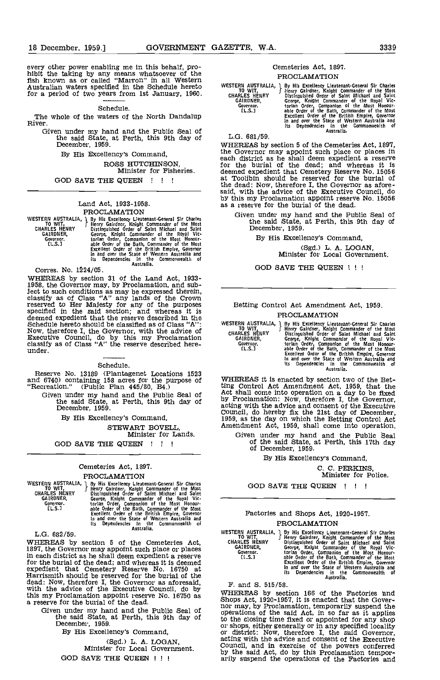every other power enabling me in this behalf, pro-<br>hibit the taking by any means whatsoever of the<br>fish known as or called "Marron" in all Western Australian waters specified in the Schedule hereto for a period of two years from 1st January, 1960.

## Schedule.

The whole of the waters of the North Dandalup River.

Given under my hand and the Public Seal of the said State, at Perth, this 9th day of December, 1959.<br>December, 1959. WHEREAS by section 5 of the Cemeteries Act, 1897,

By His Excellency's Command,

ROSS HUTCHINSON, Minister for Fisheries.

GOD SAVE THE QUEEN ! ! !

## Land Act, 1933-1958.

#### PROCLAMATION

|                      | WESTERN AUSTRALIA, I By His Excellency Lieutenant General Sir Charles |  |
|----------------------|-----------------------------------------------------------------------|--|
| to wit. .            | Henry Gairdner, Knight Commander of the Most                          |  |
| <b>CHARLES HENRY</b> | Distinguished Order of Saint Michael and Saint                        |  |
| GAIRDNER.            | George, Knight Commander of the Royal Vic-                            |  |
| Governor .           | torian Order, Companion of the Most Honour-                           |  |
| [L.S.]               | able Order of the Bath, Commander of the Most                         |  |
|                      | Excellent Order of the British Empire, Governor                       |  |
|                      | in and over the State of Western Australia and                        |  |
|                      | its Dependencies in the Commonwealth of                               |  |
|                      | Australia.                                                            |  |
|                      |                                                                       |  |

Corres. No. 1224/05.

WHEREAS by section 31 of the Land Act, 1933- 1958, the Governor may, by Proclamation, and subject to such conditions as may be expressed therein, classify as of Class "A" any lands of the Crown reserved to Her Majesty for any of the purposes specified in the said section; and whereas it is deemed expedient that the reserve described in the Schedule hereto should be classified as of Class "A": Now, therefore I, the Governor, with the advice of GHAR<br>Executive Council, do by this my Proclamation GA classify as of Class "A" the reserve described here-<br>under.

## Schedule.

Reserve No. 13189 (Plantagenet Locations 1523 and 6740) containing 158 acres for the purpose of "Recreation." (Public Plan 445/SO, B4.)

Given under my hand and the Public Seal of Actor the said State, at Perth, this 9th day of by actor of  $\frac{1}{2}$ 

By His Excellency's Command,

STEWART BOVELL, Minister for Lands.

# GOD SAVE THE QUEEN  $\vert$  !!

# Cemeteries Act, 1897.

PROCLAMATION

WESTERN AUSTRALIA, 1 By His Excellency Lieutenant-General Sir Charles<br>TO WIT, 5 Henry Gairdner, Knight Commander of the Most<br>CHARLES HENRY Distinguished Order of Saint Michael and Saint GAIRDNER, George, Knight Commander of the Royal Victor<br>Governor. torian Order, Companion of the Most Honour-<br>
LL.S.J able Order of the Bath, Commander of the Most<br>
Excellent Order of the British Empire, Governor<br>
in and ov

L.G. 682/59.

WHEREAS by section 5 of the Cemeteries Act, 1897, the Governor may appoint such place or places in each district as he shall deem expedient a reserve for the burial of the dead; and whereas it is deemed expedient that Cemetery Reserve No. 16750 at Harrismith should be reserved for the burial of the Harrismith should be reserved for the burial of the dead: Now, therefore I, the Governor as aforesaid, with the advice of the Executive Council, do by this my Proclamation appoint reserve No. 16750 as a reserve for the burial of the dead.

Given under my hand and the Public Seal of the said State, at Perth, this 9th day of December, 1959.

By His Excellency's Command,

(Sgd.) L. A. LOGAN, Minister for Local Government. GOD SAVE THE QUEEN ! ! !

## Cemeteries Act, 1897, PROCLAMATION

WESTERN AUSTRALIA, J By His Excellency Lieutenant-General Sir Charles To WIT, Henry Gardney, Knjght Commander of the Royal CHARLES HENRY Distinguished Order of Saint Michael and Saint GARLES HENRY Distinguished Order of Sa

L.G. 681/59.

the Governor may appoint such place or places in each district as he shall deem expedient a reserve for the burial of the dead; and whereas it is deemed expedient that Cemetery Reserve No. 15056 at Toolibin should be reserved for the burial of the dead: Now, therefore I, the Governor as afore- said, with the advice of the Executive Council, do said, with the advice of the Executive Council, do<br>by this my Proclamation appoint reserve No. 15056 as a reserve for the burial of the dead.

Given under my hand and the Public Seal of the said State, at Perth, this 9th day of December, 1959.

By His Excellency's Command,

(Sgd.) L. A. LOGAN,<br>Minister for Local Government,

GOD SAVE THE QUEEN !!!

## Betting Control Act Amendment Act, 1959. PROCLAMATION

WESTERN AUSTRALIA, 1 By His Excellency Lieutenant-General Sir Charles<br>TO WIT, 5 Henry Gairdner, Knight Commander of the Most<br>CHARLES HENRY Distinguished Order of Saint Michael and Saint GAIRDNER, George, Knight Commander of the Royal Vic-<br>Governor. torian Order, Companion of the Most<br>
[L.S..] able Order of the Bath, Commander of the Most<br>
Excellent Order of the British Empire, Governor<br>
in and over the St

WHEREAS it is enacted by section two of the Bet-Virtuellation of the Better of the Better of the Better<br>ting Control Act Amendment Act, 1959, that the<br>Act shall come into operation on a day to be fixed<br>by Proclamation: Now, therefore I, the Governor,<br>acting with the adv

Given under my hand and the Public Seal of the said State, at Perth, this 17th day of December, 1959.

By His Excellency's Command,

C. C. PERKINS Minister for Police.

GOD SAVE THE QUEEN ! ! !

## Factories and Shops Act, 1920-1957. PROCLAMATION

WESTERN AUSTRALIA, J By His Excellency Lieutenant-General Sir Charles<br>
CHARLES HENRY Bising Gardner, Knight Commander of the Most<br>
GARLES HENRY Distinguished Order of Saint Michael and Saint<br>
GARLES HENRY Distinguished Ord

F. and 8. 515/58.

WHEREAS by section 166 of the Factories nd Shops Act, 1920-1957, it is enacted that the Gover- nor may, by Proclamation, temporarily suspend the operations of the said Act, in so far as it applies to the closing time fixed or appointed for any shop or district: Now, therefore I, the said Governor, acting with the advice and consent of the Executive by the said Act, do by this Proclamation tempor- arily suspend the operations of the Factories and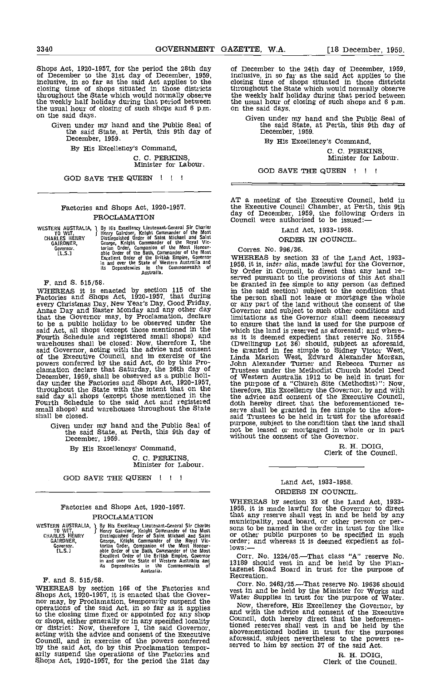Shops Act, 1920-1957, for the period the 28th day of December, 1959, inclusive, in so far as the said Act applies to the closing time of shops situated in those districts throughout the State which would normally observe the weekly half holiday during that period between the usual hour of closing of such shops and 6 p.m. on the said days.<br>on the said days.

Given under my hand and the Public Seal of the said State, at Perth, this 9th day of December, 1959.

By His Excellency's Command,

C. C. PERKINS, Minister for Labour.

GOD SAVE THE QUEEN ! ! !

## Factories and Shops Act, 1920-1957. PROCLAMATION

|                      | WESTERN AUSTRALIA, 1 By His Excellency Lieutenant-General Sir Charles |     |
|----------------------|-----------------------------------------------------------------------|-----|
| TO WIT.              | Henry Gairdner, Knight Commander of the Most                          |     |
| <b>CHARLES HENRY</b> | Distinguished Order of Saint Michael and Saint                        |     |
| GAIRDNER,            | George, Knight Commander of the Royal Vic-                            |     |
| Governor.            | torian Order, Companion of the Most Honour-                           |     |
| EL.S.1               | able Order of the Bath, Commander of the Most                         |     |
|                      | Excellent Order of the British Empire, Governor                       | ٦T, |
|                      | in and over the State of Western Australia and                        | 19  |
|                      | its Dependencies in the Commonwealth of                               |     |
|                      | Australia.                                                            | bz  |

F. and 8. 515/58.

WHEREAS it is enacted by section 115 of the in the Factories and Shops Act, 1920-1957, that during the perevery Christmas Day, New Year's Day, Good Friday, The any other day and Easter Monday and any other day Gover that the Governor may, by Proclamation, declare to be a public holiday to be observed under the said Act, all shops (except those mentioned in the Fourth Schedule and registered small shops) and warehouses shall be closed: Now, therefore I, the (Dwell said Governor, acting with the advice and consent the governor, acting with the advice and consent the governor of the Executive Council, and in exercise of the Linds powers conferred by the said Act, do by this Pro-<br>Lind said day all shops (except those mentioned in the Fourth Schedule to the said Act and registered doth I small shops) and warehouses throughout the State serve s shall be closed.

Given under my hand and the Public Seal of the said State, at Perth, this 9th day of December, 1959.

By His Excellencys' Command,

C. C. PERKINS, Minister for Labour.

GOD SAVE THE QUEEN !!!

## Factories and Shops Act, 1920-1957. PROCLAMATION

| WESTERN AUSTRALIA, 1 | By His Excellency Lieutenant-General Sir Charles |    |
|----------------------|--------------------------------------------------|----|
| TO WIT.              | Henry Gairdner, Knight Commander of the Most     | sc |
| <b>CHARLES HENRY</b> | Distinguished Order of Saint Michael and Saint   | or |
| GAIRDNER,            | George. Knight Commander of the Royal Vic-       | Οľ |
| Governor.            | torian Order, Companion of the Most Honour-      | lo |
| ft. S. 1             | able Order of the Bath. Commander of the Most    |    |
|                      | Excellent Order of the British Empire, Governor  |    |
|                      | in and over the State of Western Australia and   | 13 |
|                      | its Dependencies in the Commonwealth of          |    |
|                      | Australia.                                       | t. |

F. and S. 515/58.

WHEREAS by section 166 of the Factories and vest in<br>Shops Act, 1920-1957, it is enacted that the Governor may, by Proclamation, temporarily suspend the<br>operations of the said Act, in so far as it applies Now<br>to the closin or shops, either generally or in any specified locality<br>or district: Now, therefore I, the said Governor, acting with the advice and consent of the Executive abover<br>Council, and in exercise of the powers conferred aforests by the said Act, do by this Proclamation tempor- arily suspend the operations of the Factories and Shops Act, 1920-1957, for the period the 21st day

of December to the 24th day of December, 1959, inclusive, in so far as the said Act applies to the closing time of shops situated in those districts throughout the State which would normally observe the weekly half holiday during that period between the usual hour of closing of such shops and  $6$  p.m.

Given under my hand and the Public Seal of the said State, at Perth, this 9th day of December, 1959.

By His Excellency's Command,

C. C. PERKINS, Minister for Labour.

GOD SAVE THE QUEEN ! ! !

AT a meeting of the Executive Council, held in the Executive Council Chamber, at Perth, this 9th day of December, 1959, the following Orders in Council were authorised to be issued:

Land Act, 1933-1958.

## ORDER IN COUNCIL.

## Corres. No. 996/36.

WHEREAS by section 33 of the Land Act, 1933-<br>1958, it is, *inter alia*, made lawful for the Governor,<br>by Order in Council, to direct that any land re-<br>served pursuant to the provisions of this Act shall<br>be granted in fee s in the said section) subject to the condition that the person shall not lease or mortgage the whole or any part of the land without the consent of the Governor and subject to such other conditions and Governor and subject to such other conditions and limitations as the Governor shall deem necessary to ensure that the land is used for the purpose of to ensure that the land is used for the purpose of which the land is reserved as aforesaid; and whereas it is deemed expedient that reserve No. 21554 (Dwellingup Lot 36) should, subject as aforesaid, be granted in fee simple to Sidney Victor West, Linda Marion West, Edward Alexander Morgan, John Alexander Turner and Rebecca Turner as Trustees under the Methodist Church Model Deed of Western Australia 1912 to be held in trust for the purpose of a "Church Site (Methodist)": Now, therefore, His Excellency the Governor, by and with the advice and consent of the Executive Council, doth hereby direct that the beforementioned reserve shall be granted in fee simple to the afore-said Trustees to be held in trust for the aforesaid purpose, subject to the condition that the land shall not be leased or mortgaged in whole or in part without the consent of the Governor.

R. H. DOIG, Clerk of the Council.

## Land Act, 1933-1958. ORDERS IN COUNCIL

WHEREAS by section 33 of the Land Act, 1933-1958, it is made lawful for the Governor to direct that any reserve shall vest in and be held by any or other public purposes to be specified in such order; and whereas it is deemed expedient as fol-<br>lows:--

Corr. No. 1224/05.—That class "A" reserve No.<br>13189 should vest in and be held by the Plantagenet Road Board in trust for the purpose of Recreation.

Corr. No. 2463/25.—That reserve No. 19636 should<br>vest in and be held by the Minister for Works and<br>Water Supplies in trust for the purpose of Water.

Now, therefore, His Excellency the Governor, by and with the advice and consent of the Executive Council, doth hereby direct that the beforementioned reserves shall vest in and be held by the abovementioned bodies in trust for the purposes aforesaid, subject nevertheless to the powers re- served to him by section 37 of the said Act.

R. H. DOIG, Clerk of the Council.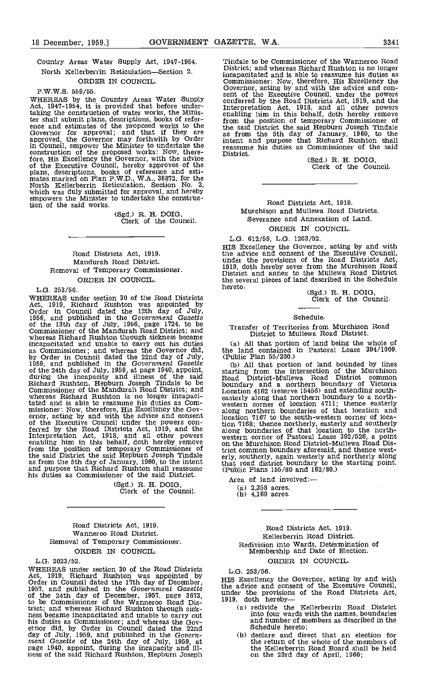## Country Areas Water Supply Act, 1947-1954. North Kellerberrin Reticulation-Section 2. ORDER IN COUNCIL.

### P.W.W.S. 559/55.

WHEREAS by the Country Areas Water Supply Act, 1947-1954, it is provided that before undertaking the construction of water works, the Minis-<br>ter shall submit plans, descriptions, books of refer-<br>ence and estimates of the proposed works to the<br>difference and estimates of the proposed works to the<br>approved, the G in Council, empower the Minister to undertake the construction of the proposed works: Now, there-<br>construction of the proposed works: Now, therefore, His Excellency the Governor, with the advice<br>of the Executive Council, hereby approves of the<br>plans, descriptions, books of reference and esti-<br>mates marked on Plan P.W.D., W.A., 36872, for the<br>North Kellerberrin Ret empowers the Minister to undertake the construction of the said works.

(Sgd.) R. H. DOIG, Clerk of the Council.

## Road Districts Act, 1919. Mandurah Road District. Removal of Temporary Commissioner. ORDER IN COUNCIL.

### L.G. 253/56.

WHEREAS under section 30 of the Road Districts<br>Act, 1919, Richard Rushton was appointed by<br>Order in Council dated the 12th day of July,<br>1956, and published in the Government Gazette<br>60 the 13th day of July, 1956, page 1724 Commissioner of the Mandurah Road District; and<br>whereas Richard Rushton through sickness became<br>incapacitated and unable to carry out his duties<br>as Commissioner; and whereas the Governor did,<br>by Order in Council dated the Richard Rushton, Hepburn Joseph Tindale to be Cound<br>Commissioner of the Mandurah Road District; and Locat<br>whereas Richard Rushton is no longer incapaci-<br>tated and is able to reassume his duties as Com-<br>weste missioner: Now, therefore, His Excellency the Gov-<br>ernor, acting by and with the advice and consent location<br>of the Executive Council under the powers con-<br>ferred by the Road Districts Act, 1919, and the along Interpretation Act, 1918, and all other powers wester<br>enabling him in this behalf, doth hereby remove on th from the position of temporary Commissioner of the the said District the said Hepburn Joseph Tindale erly. as from the 5th day of January, 1960, to the intent and purpose that Richard Rushton shall reassume (Pub) his duties as Commissioner of the said District.

(Sgd.) R. H. DOIG, Clerk of the Council.

## Road Districts Act, 1919. Wanneroo Road District. Removal of Temporary Commissioner. ORDER IN COUNCIL.

#### L.G. 2023/52.

WHEREAS under section 30 of the Road Districts L.G.<br>Act, 1919, Richard Rushton was appointed by<br>Order in Council dated the 17th day of December, HIS E<br>1957, and published in the Government Gazette the ad<br>of the 24th day o trict; and whereas Richard Rushton through sick-<br>ness became incapacitated and unable to carry out<br>his duties as Commissioner; and whereas the Gov-<br>ernor did, by Order in Council dated the 22nd day of July, 1959, and published in the Govern-<br>ment Gazette of the 24th day of July, 1959, at<br>page 1940, appoint, during the incapacity and ill-<br>ness of the said Richard Rushton, Hepburn Joseph

Tindale to be Commissioner of the Wanneroo Road District; and whereas Richard Rushton is no longer incapacitated and is able to reassume his duties as<br>Commissioner: Now, therefore, His Excellency the<br>Governor, acting by and with the advice and con-<br>sent of the Executive Council, under the powers<br>conferred by the Road Di Interpretation Act, 1918, and all other powers<br>enabling him in this behalf, doth hereby remove from the position of temporary Commissioner of the said District the said Hepburn Joseph Tindale as from the 5th day of January, 1960, to the intent and purpose that Richard Rushton shall reassume his duties as Commissioner of the said

District, (Sgd.) R. H. DOIG, Clerk of the Council.

## Road Districts Act, 1919.

Murchison and Mullewa Road Districts. Severance and Annexation of Land. ORDER IN COUNCIL.

## L.G. 612/59, L.G. 1203/52.

HIS Excellency the Governor, acting by and with the advice and consent of the Executive Council, under the provisions of the Road Districts Act, 1919, doth hereby sever from the Murchison Road District and annex to the Mullewa Road District the several pieces of land described in the Schedule<br>hereto.

(Sgd.) R. H. DOIG, Clerk of the Council.

### Schedule.

### Transfer of Territories from Murchison Road District to Mullewa Road District.

All that portion of land being the whole of the land contained in Pastoral Lease 394/1009.

(Public Plan 55/300.)<br>(b) All that portion of land bounded by lines starting from the intersection of the Murchison Road District-Mullewa Road District common boundary and a northern boundary of Victoria Location 4162 (reserve 15456) and extending south- easterly along that northern boundary to a north- western corner of location 4711; thence easterly along northern boundaries of that location and location 7167 to the south-western corner of location 7168; thence northerly, easterly and southerly along boundaries of that location to the north- western corner of Pastoral Lease 392/526, a point on the Murchison Road District-Mullewa Road District common boundary aforesaid, and thence west- erly, southerly, again westerly and northerly along that road district boundary to the starting point. (Public Plans 155/80 and 162/80.)

Area of land involved:

(a)  $2,358$  acres.<br>(b)  $4,160$  acres.

## Road Districts Act, 1919. Kellerberrin Road District. Redivision into Wards, Determination of Membership and Date of Election. ORDER IN COUNCIL.

L.G. 253/56.

HIS Excellency the Governor, acting by and with the advice and consent of the Executive Council, under the provisions of the Road Districts Act, 1919, doth hereby—

- redivide the Kellerberrin Road District into four wards with the names, boundaries and number of members as described in the Schedule hereto;
- deblare and direct that an election for the return of the whole of the members of the Icellerberrin Road Board shall be held on the 23rd day of April, 1960;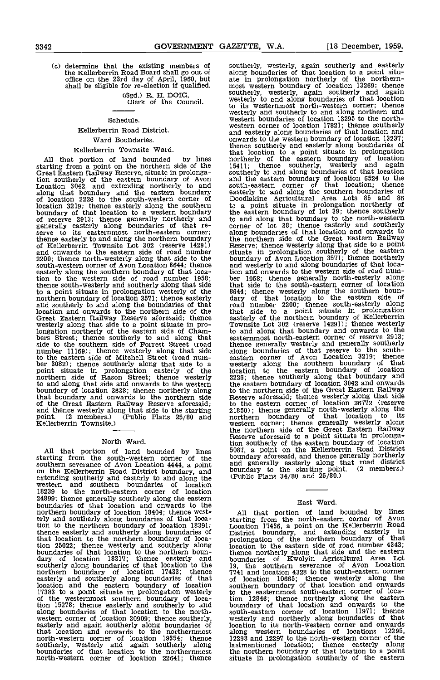(c) determine that the existing members of the Kellerberrin Road Board shall go out of

(Sgd.) R. H. DOIG, Clerk of the Council.

#### Schedule.

## Kellerberrin Road District.

## Ward Boundaries.

## Kellerberrin Townsite Ward.

All that portion of land bounded by lines shorthern starting from a point on the northern side of the 15411;<br>Great Eastern Railway Reserve, situate in prolonga-southern tion southerly of the eastern boundary of Avon and the continuent of the eastern boundary of Avon and the Location 3042, and extending northerly to and along that boundary and the eastern boundary of location 2226 to the south-western corner of location 3219; thence easterly along the southern to a poundary of that location to a western boundary the easter of reserve 2913; thence generally northerly and to and generally easterly along boundaries of that re- corne serve to its easternmost north-eastern corner; a thence easterly to and along the northern boundary of Kellerberrin Townsite Lot 302 (reserve 14291) and onwards to the eastern side of road number 2200; thence north-westerly along that side to the south-western corner of Avon Location 8644; thence easterly along the southern boundary of that location to the western side of road number 1958; be thence south-westerly and southerly along that side to a point situate in prolongation westerly of the northern boundary of location 3571; thence easterly and southerly to and along the boundaries of that location and onwards to the northern side of the that Great Eastern Railway Reserve aforesaid; thence westerly along that side to a point situate in prolongation northerly of the eastern side of Cham-<br>bers Street; thence southerly to and along that eastern<br>side to the southern side of Forrest Street (road thence number 11169); thence westerly along that side along to the eastern side of Mitchell Street (road num-<br>ber 3082); thence southerly along that side to a westerl;<br>point situate in prolongation easterly of the location<br>northern side of Rason Street; thence westerly 2226; to<br>and boundary of location 3638; thence northerly along<br>that boundary and onwards to the northern side<br>of the Great Eastern Railway Reserve aforesaid; to the<br>and thence westerly along that side to the starting 21850) point. (2 members.) (Public Plans 25/80 and norther<br>Kellerberrin Townsite.) (Public Plans 25/80 and norther

## North Ward.

All that portion of land bounded by lines 5087.<br>starting from the south-western corner of the bound southern severance of Avon Location 4444, a point and g<br>on the Kellerberrin Road District boundary, and boundary on the Kellerberrin Road District boundary, and<br>extending southerly and easterly to and along the<br>western and southern boundaries of location 18239 to the north-eastern corner of location 24899; thence generally southerly along the eastern boundaries of that location and onwards to the northern boundary of location 18404; thence west-<br>erly and southerly along boundaries of that location to the northern boundary of location 18391; thence easterly and southerly along boundaries of Dis that location to the northern boundary of loca-<br>tion 25022; thence westerly and southerly along locatio boundaries of that location to the northern boundary of location 18317; thence easterly and bound southerly along boundaries of that location to the 19, thence in the northern boundary of location 17433; thence 7741 exterly along boundaries of that location 17433; thence<br>easterly and southerly along boundaries of that<br>location and the eastern boundary of location<br>17383 to a point situate in prolongation westerly 17383 to a point situate in prolongation westerly to the of the westernmost southern boundary of loca-<br>of the westernmost southern boundary of loca-<br>tion 15278; thence easterly and southerly to and bounda along boundaries of that location to the north-<br>western corner of location 20909; thence southerly, wes<br>easterly and again southerly along boundaries of location that location and onwards to the northernmost north-western corner of location 19354; thence southerly, westerly and again southerly along bastim<br>boundaries of that location to the northernmost the n north-western corner of location 22641; thence situal

the Kellerberrin Road Board shall go out of the Road Board shall be eligible for re-election if qualified. The most western boundary of location 13269; thence southerly, westerly, again southerly and easterly along boundaries of that location to a point situmost western boundary of location 13269; thence southerly, westerly, again southerly and again<br>westerly to and along boundaries of that location to its westernmost north-western corner; thence westerly and southerly to and along northern and western boundaries of location 13295 to the northwestern corner of location 17821; thence southerly and easterly along boundaries of that location and onwards to the western boundary of location 13237; thence southerly and easterly along boundaries of that location to a point situate in prolongation northerly of the eastern boundary of location 15411; thence southerly, westerly and again southerly to and along boundaries of that location and the eastern boundary of location 6524 to the south-eastern corner of that location; thence easterly to and along the southern boundaries of Doodlakine Agricultural Area Lots <sup>85</sup> and 86 to a point situate in prolongation northerly of the eastern boundary of lot 39; thence southerly to and along that boundary to the north-western corner of lot 38; thence easterly and southerly along boundaries of that location and onwards to the northern side of the Great Eastern Railway Reserve; thence westerly along that side to a point situate in prolongation southerly of the eastern boundary of Avon Location 3571; thence northerly and westerly to and along boundaries of that location and onwards to the western side of road number 1958; thence generally north-easterly along that side to the south-eastern corner of location 8644; thence westerly along the southern boun- dary of that location to the eastern side of road number 2200; thence south-easterly along that side to a point situate in prolongation easterly of the northern boundary of Kellerberrin Townsite Lot 302 (reserve 14291); thence westerly to and along that boundary and onwards to the easternmost north-eastern corner of reserve 2913; thence generally westerly and generally southerly along boundaries of that reserve to the south-<br>eastern corner of Avon Location 3219; thence easierly along the southern boundary of that location to the eastern boundary of location 2226; thence southerly along that boundary and the eastern boundary of location 3042 and onwards to the northern side of the Great Eastern Railway Reserve aforesaid; thence westerly along that side to the eastern corner of location 26772 (reserve 21850); thence generally north-westerly along the northern boundary of that location to its western corner; thence generally westerly along the northern side of the Great Eastern Railway Reserve aforesaid to a point situate in prolongation southerly of the eastern boundary of location<br>5087, a point on the Kellerberrin Road District<br>boundary aforesaid, and thence generally northerly<br>and generally easterly along that road district<br>boundary to the startin

## East Ward.

All that portion of land bounded by lines starting from the north-eastern corner of Avon Location 17436, a point on the Kellerberrin Road District boundary, and extending easterly in prolongation of the northern boundary of that location to the eastern side of road number 4343; thence northerly along that side and the eastern boundaries of Kwolyin Agricultural Area Lot<br>19, the southern severance of Avon Location<br>7741 and location 4328 to the south-eastern corner<br>of location 10665; thence westerly along the<br>southern boundary of that location and to the easternmost south-eastern corner of loca-tion 12846; thence northerly along the eastern boundary of that location and onwards to the south-eastern corner of location 11971; thence westerly and northerly along boundaries of that location to its north-western corner and onwards along western boundaries of locations 12295, along western boundaries of locations 12295,<br>12298 and 12297 to the north-western corner of the lastmentioned location; thence easterly along the northern boundary of that location to a point situate in prolongation southerly of the eastern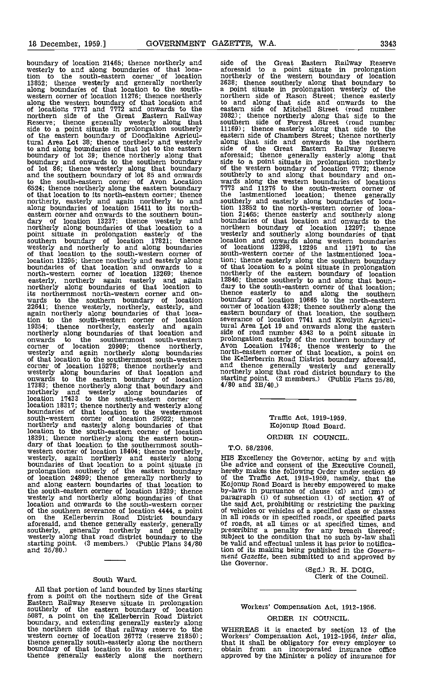boundary of location 21465; thence northerly and westerly to and along boundaries of that location to the south-eastern corner of location 13852; thence westerly and generally northerly along boundaries of that location to the south-<br>western corner of location 11276; thence northerly north along the western boundary of that location and to and<br>of locations 7773 and 7772 and onwards to the eastern northern side of the Great Eastern Railway 3082);<br>Reserve; thence generally westerly along that souther<br>side to a point situate in prolongation southerly 11169);<br>of the eastern boundary of Doodlakine Agricul-<br>eastern tural Area Lot 38; thence northerly and westerly along to and along boundaries of that lot to the eastern side of boundary of lot 39; thence northerly along that aforesa<br>boundary and onwards to the southern boundary side to the southern boundary of the southern boundary of the and the southern boundary of lot 85 and onwards southern to the south-eastern corner of Avon Location wards 6524; thence northerly along the eastern boundary 7773 and that location to its north-eastern corner; thence the lanortherly, easterly and again northerly to and souther along boundaries of location 15411 to its north-<br>eastern corner and onwards to the southern boun-<br>tio dary of location 13237; thence westerly and bounda northerly along boundaries of that location to a north point situate in prolongation easterly of the southern boundary of location 17821; thence westerly and northerly to and along boundaries of that location to the south-western corner of location 13295; thence northerly and easterly along tion; the boundaries of that location and onwards to a soft that north-western corner of location 13269; thence north easterly, northerly again easterly and again 12846;<br>northerly along boundaries of that location to dary to<br>its northernmost north-western corner and onwards to the southern boundary of location boundary<br>22641; thence westerly, northerly, easterly, and corner<br>again northerly along boundaries of that location<br>tion to the south-western corner of location several<br>19354; then onwards to the southernmost south-western corner of location 20909; thence northerly, Avon<br>westerly and again northerly along boundaries north-<br>of that location to the southernmost south-western the Ke corner of location 15278; thence northerly and and the corner of location 15278; thence northerly and and the onwards to the eastern boundary of location 17383; thence northerly along that boundary and 17383; thence northerly along that boundary and<br>northerly and westerly along boundaries of<br>location 17433 to the south-eastern corner of location 17433 to the south-eastern corner of<br>location 18317; thence northerly and westerly along<br>boundaries of that location to the westernmost south-western corner of location 25022; thence northerly and easterly along boundaries of that location to the south-eastern corner of location 18391; thence northerly along the eastern boun-<br>dary of that location to the southernmost south-<br>western corner of location 18404; thence northerly,<br>westerly, again northerly and easterly along HIS E<sub>2</sub><br>boundaries of that prolongation southerly of the eastern boundary bereby<br>of location 24899; thence generally northerly to of the and along eastern boundaries of that location to the south-eastern corner of location 18239; thence westerly and northerly along boundaries of that location and onwards to the south-western corner the of the southern severance of location 4444, a point on the Kellerberrin Road District boundary in all<br>aforesaid, and thence generally easterly, generally of roa southerly, generally northerly and generally prescription and generally prescription westerly along that road district boundary to the starting point. (3 members.) (Public Plans 34/80 be valuated and 25/80.)

## South Ward.

All that portion of land bounded by lines starting<br>from a point on the northern side of the Great<br>Eastern Railway Reserve situate in prolongation<br>southerly of the eastern boundary of location W 5087, a point on the Kellerberrin Road District boundary, and extending generally easterly along the northern side of that railway reserve to the WHEF western corner of location 26772 (reserve 21850); Worke thence generally south-easterly along the northern boundary of that location to its eastern corner; obtain boundary of that location to its eastern corner;<br>thence generally easterly along the northern

side of the Great Eastern Railway Reserve aforesaid to a point situate in prolongation northerly of the western boundary of location 3638; thence southerly along that boundary to a point situate in prolongation westerly of the<br>northern side of Rason Street; thence easterly<br>to and along that side and onwards to the<br>eastern side of Mitchell Street (road number<br>3082); thence northerly along that side southern side of Forrest Street (road number 11169); thence easterly along that side to the eastern side of Chambers Street; thence northerly along that side and onwards to the northern side of the Great Eastern Railway Reserve aforesaid; thence generally easterly along that side to a point situate in prolongation northerly of the western boundary of location 7772; thence<br>southerly to and along that boundary and on-<br>wards along the western boundaries of locations<br>7773 and 11276 to the south-western corner of the lastmentioned location; thence generally southerly and easterly along boundaries of location 13852 to the north-western corner of loca-tion 21465; thence easterly and southerly along boundaries of that location and onwards to the northern boundary of location 12297; thence westerly and southerly along boundaries of that location and onwards along western boundaries of locations 12298, <sup>12295</sup> and <sup>11971</sup> to the south-western corner of the lastmentioned location; thence easterly along the southern boundary of that location to a point situate in prolongation 12846; thence southerly to and along that boun- dary to the south-eastern corner of that location; thence easterly to and along the southern boundary of location 10665 to the north-eastern corner of location 4328; thence southerly along the<br>eastern boundary of that location, the southern<br>severance of location 7741 and Kwolyin Agricul-<br>tural Area Lot 19 and onwards along the eastern<br>side of road number 4343 t prolongation easterly of the northern boundary of Avon Location 17436; thence westerly to the north-eastern corner of that location, a point on the Kellerberrin Road District boundary aforesaid, and thence generally westerly and generally northerly along that road district boundary to the starting point. (2 members.) (Public Plans 25/80, 4/80 and 3B/40.)

## Traffic Act, 1919-1959. Kojonup Road Board.

## ORDER IN COUNCIL.

TO. 58/2306.

HIS Excellency the Governor, acting by and with the advice and consent of the Executive Council,<br>hereby makes the following Order under section 49<br>of the Traffic Act, 1919-1959, namely, that the<br>Kojonup Road Board is hereby empowered to make<br>hy-laws in pursuance of clu of vehicles or vehicles of a specified class or classes in all roads or in specified roads, or specified parts<br>of roads, at all times or at specified times, and<br>prescribing a penalty for any breach thereof;<br>subject to the condition that no such by-law shall<br>be valid and effectu tion of its making being published in the Govern- ment Gazette, been submitted to and approved by the Governor.

(Sgd.) R. H. DOIG, Clerk of the Council.

## Workers' Compensation Act, 1912-1956.

ORDER IN COUNCIL.

WHEREAS it is enacted by section 13 of the<br>Workers' Compensation Act, 1912-1956, *inter alia*,<br>that it shall be obligatory for every employer to obtain from an incorporated insurance office approved by the Minister a policy of insurance for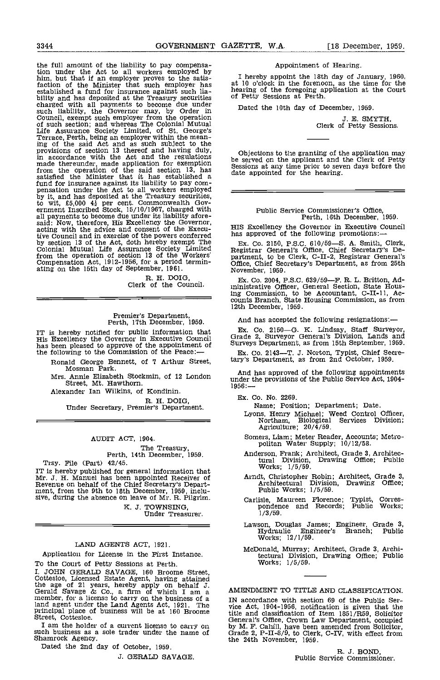the full amount of the liability to pay compensation under the Act to all workers employed by<br>him, but that if an employer proves to the satis-<br>faction of the Minister that such employer has<br>stablished a fund for insurance against such lia-<br>hearing of the foregoing appl bility and has deposited at the Treasury securities<br>charged with all payments to become due under<br>such liability, the Governor may, by Order in<br>Council, exempt such employer from the operation<br>of such section; and whereas from the operation of the said section 13, has<br>satisfied the Minister that it has established a date fund for insurance against its liability to pay com-<br>pensation under the Act to all workers employed \_\_\_\_\_ by it, and has deposited at the Treasury securities, to wit, £5,000  $4\frac{1}{2}$  per cent. Commonwealth Gov-<br>ernment Inscribed Stock, 15/10/1967, charged with and: Now, therefore, His Excellency the Governor,<br>acting with the advice and consent of the Execu-<br>tive Council and in exercise of the powers conferred has approved of the following promotions: tive Council and in exercise of the powers conferred has all<br>by section 13 of the Act, doth hereby exempt The Ex.<br>Colonial Mutual Life Assurance Society Limited Regist from the operation of section 13 of the Workers' Compensation Act, 1912-1956, for a period termin- ating on the 15th day of September, 1961.

R. H. DOIG, Clerk of the Council.

# Premier's Department, Perth, 17th December, 1959.

IT is hereby notified for public information that<br>His Excellency the Governor in Executive Council G<br>has been pleased to approve of the appointment of St the following to the Commission of the Peace:-

Ronald George Bennett, of 7 Arthur Street, Mosman Park.

Mrs. Annie Elizabeth Stockmin, of 12 London ander<br>Street, Mt. Hawthorn. 1956:-<br>1956:-

Alexander Ian Wilkins, of Kondinin.

R. H. DOIG, Under Secretary, Premier's Department.

## AUDIT ACT, 1904.

The Treasury,<br>Perth, 14th December, 1959.

Trsy. File (Part) 42/45. IT is hereby published for general information that  $Mr. J. H.$  Manuel has been appointed Receiver of Revenue on behalf of the Chief Secretary's Depart-<br>ment, from the 9th to 18th December, 1959, inclusive, during the absenc

K. J. TOWNSING, Under Treasurer.

## LAND AGENTS ACT, 1921.

Application for License in the First Instance.

To the Court of Petty Sessions at Perth.<br>I. JOHN GERALD SAVAGE, 160 Broome Street. I. JOHN GERALD SAVAGE, 160 Broome Street,<br>Cottesloe, Licensed Estate Agent, having attained<br>the age of 21 years, hereby apply on behalf J.<br>Gerald Savage & Co., a firm of which I am a AMEN<br>member, for a license to carry on land agent under the Land Agents Act, 1921. The<br>principal place of business will be at 160 Broome title<br>Street, Cottesloe. (Gene

I am the holder of a current license to carry on such business as a sole trader under the name of Shamrock Agency.

Dated the 2nd day of October, 1959.

J. GERALD SAVAGE.

## Appointment of Hearing.

I hereby appoint the 18th day of January, 1960, at 10 o'clock in the forenoon, as the time for the hearing of the foregoing application at the Court of Petty Sessions at Perth.

Dated the 10th day of December, 1959.

J. E. SMYTH,<br>Clerk of Petty Sessions.

Objections to the granting of the application may be served on the applicant and the Clerk of Petty Sessions at any time prior to seven days before the date appointed for the hearing.

# Public Service Commissioner's Office, Perth, 16th December, 1959.

HIS Excellency the Governor in Executive Council

Ex. Co. 2150, P.S.C. 610/59-S. A. Smith, Clerk, Registrar General's Office, Chief Secretary's Department, to be Clerk, C-II-2, Registrar General's Office, Chief Secretary's Department, as from 25th November, 1959.

Ex. Co. 2004, P.S.C. 639/59—F. R. L. Britton, Ad-<br>ministrative Officer, General Section, State Hous-<br>ing Commission, to be Accountant, C-II-11, Acing Commission, to be Accountant, C-U-il, Ac- counts Branch, State Housing Commission, as from 12th December, 1959.

And has accepted the following resignations:

Ex. Co. 2150–G. K. Lindsay, Staff Surveyor, Grade 2, Surveyor General's Division, Lands and Surveys Department, as from 15th September, 1959.

Ex. Co. 2143-T. J. Norton, Typist, Chief Secretary's Department, as from 2nd October, 1959.

And has approved of the following appointments under the provisions of the Public Service Act, 1904-

Ex. Co. No. 2269.

- Name; Position; Department; Date.
- Lyons, Henry Michael; Weed Control Officer, Northam, Biological Services Division; Agriculture; 20/4/59.
- Somers, Lism; Meter Reader, Accounts; Metro- politan Water Supply; 10/12/58.
- Anderson, Frank; Architect, Grade 3, Architectural Division, Drawing Office; Public Works; 1/5/59.
- Arndt, Christopher Robin; Architect, Grade 3, Architectural Division, Drawing Office; Public works; 1/5/59.
- Carlisle, Maureen Florence; Typist, Corres- pondence and Records; Public Works; 1/3/59.
- Lawson, Douglas James; Engineer, Grade 3, Hydraulic Engineer's Branch; Public Works; 12/1/59.
- McDonald, Murray; Architect, Grade 3, Archi-tectural Division, Drawing Office; Public Works; 1/5/59.

AMENDMENT TO TITLE AND CLASSIFICATION.

IN accordance with section 69 of the Public Ser-vice Act, 1904-1956, notification is given that the title and classification of Item 1851/R59, Solicitor General's Office, Crown Law Department, occupied by M. F. Cahill, have been amended from Solicitor, Grade 2, P-II-8/9, to Clerk, C-Ill, with effect from the 24th November, 1959.

R. J. BOND,<br>Public Service Commissioner.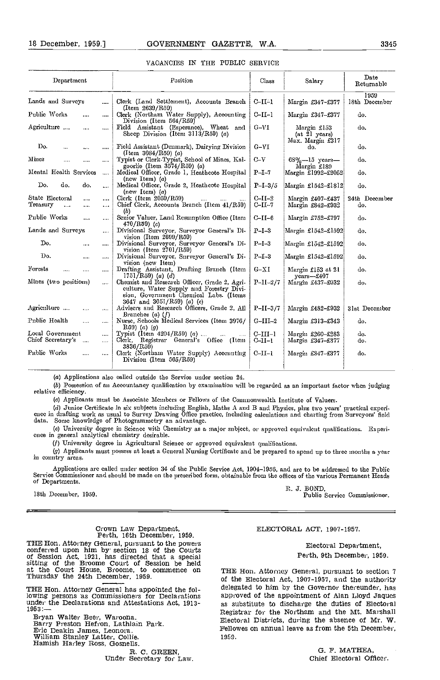| ı<br>٠ |  |
|--------|--|
|--------|--|

| Department                                              |                      | Position                                                                                                                                                         | Class                  | Salary                                           | Date<br>Returnable    |
|---------------------------------------------------------|----------------------|------------------------------------------------------------------------------------------------------------------------------------------------------------------|------------------------|--------------------------------------------------|-----------------------|
| Lands and Surveys                                       | $\cdots$             | Clerk (Land Settlement), Accounts Branch<br>(Item 2639/R59)                                                                                                      | $C-II-1$               | Margin £347-£377                                 | 1959<br>18th December |
| Public Works<br>                                        | $\cdots$             | Clerk (Northam Water Supply), Accounting<br>Division (Item 564/R59)                                                                                              | $C-II-1$               | Margin £347-£377                                 | do.                   |
| Agriculture<br>$\cdots$                                 | $\cdots$             | Field Assistant (Esperance), Wheat and<br>Sheep Division (Item $3113/R59$ ) (a)                                                                                  | $G-VI$                 | Margin £153<br>(at 21 years)<br>Max. Margin £317 | do.                   |
| Do.<br>$\ddotsc$<br>$\cdots$                            | $\cdots$             | Field Assistant (Denmark), Dairying Division<br>(Item $3084/R59$ ) (a)                                                                                           | $G-VI$                 | do.                                              | do.                   |
| Mines<br>$\cdots$<br>                                   | $\cdots$             | Typist or Clerk-Typist, School of Mines, Kal-<br>goorlie (Item $3574/R59$ ) (a)                                                                                  | $C-V$                  | $68\% - 15$ years-<br>Margin £189                | do.                   |
| Mental Health Services                                  |                      | Medical Officer, Grade 1, Heathcote Hospital<br>(new Item) $(a)$                                                                                                 | $P-I-7$                | Margin £1992-£2052                               | do.                   |
| Do.<br>do.<br>do.                                       |                      | Medical Officer, Grade 2, Heathcote Hospital<br>(new Item) $(a)$                                                                                                 | $P-I-3/5$              | Margin £1542-£1812                               | do.                   |
| State Electoral<br>$\cdots$<br>Treasury<br><br>$\cdots$ | $\cdots$<br>$\cdots$ | Clerk (Item $2059/R59$ )<br>and in<br>Chief Clerk, Accounts Branch (Item 41/R59)<br>(b)                                                                          | $C-II-2$<br>$C-II-7$   | Margin £407-£437<br>Margin £842-£932             | 24th December<br>do.  |
| Public Works<br>                                        |                      | Semor Valuer, Land Resumption Office (Item<br>470/R59(c)                                                                                                         | $C-II-6$               | Margin £752-£797                                 | do.                   |
| Lands and Surveys                                       | $\cdots$             | Divisional Surveyor, Surveyor General's Di-<br>vision (Item $2699/R59$ )                                                                                         | $P-I-3$                | Margin £1542-£1592                               | do.                   |
| Do.<br>$\cdots$                                         | $\cdots$             | Divisional Surveyor, Surveyor General's Di-<br>vision (Item $2701/R59$ )                                                                                         | $P-I-3$                | Margin £1542-£1592                               | do.                   |
| Do.<br>$\cdots$                                         | $\cdots$             | Divisional Surveyor, Surveyor General's Di-<br>vision (new Item)                                                                                                 | $P-I-3$                | Margin £1542-£1592                               | do.                   |
| Forests<br>$\cdots$                                     |                      | Drafting Assistant, Drafting Branch (Item<br>$1751/R59$ (a) (d)                                                                                                  | $G-XI$                 | Margin £153 at 21<br>vears-f407                  | do.                   |
| Alines (two positions)                                  | $\cdots$             | Chemist and Research Officer, Grade 2, Agri-<br>culture, Water Supply and Forestry Divi-<br>sion, Government Chemical Labs. (Items<br>3647 and 3651/R59) (a) (e) | $P-II-2/7$             | Margin £437-£932                                 | do.                   |
| Agriculture<br>$\sim$                                   | $\ddotsc$            | Advisers and Research Officers, Grade 2, All                                                                                                                     | $P-II-3/7$             | Margin £482-£932                                 | 31st December         |
| Public Health<br>$\mathbf{r}$                           | $\cdots$             | Branches $(a)$ $(f)$<br>Nurse, Schools Medical Services (Item 3976/<br>$R59)$ (a) (g)                                                                            | G-III-2                | Margin £313-£343                                 | do.                   |
| Local Government<br>Chief Secretary's<br>$\sim$         | <br>                 | Typist (Item $4204/R59$ ) ( <i>a</i> )<br>Clerk, Registrar General's Office (Item<br>3836/R59)                                                                   | $C$ -III-l<br>$C-II-1$ | Margin £260-£283<br>Margin £347-£377             | do.<br>do.            |
| Public Works<br>$\cdots$                                | ,                    | Clerk (Northam Water Supply) Accounting<br>Division (Item 565/R59)                                                                                               | $C-II-1$               | Margin £347-£377                                 | do.                   |
|                                                         |                      |                                                                                                                                                                  |                        |                                                  |                       |

| VACANCIES IN THE PUBLIC SERVICE |  |  |  |  |  |
|---------------------------------|--|--|--|--|--|
|---------------------------------|--|--|--|--|--|

Applications also calied outside the Service under section 24.

Possession of an Accountancy qualiflcation by examination will be regarded as an important factor when judging relative efficiency.

Applicants must be Associate Members or Fellows of the Commonwealth Institute of Valuers.

(d) Junior Certificate in six subjects including English, Maths A and B and Physics, plus two years' practical experience in drafting work as usual to Survey Drawing Office practice, including calculations and charting fro

University degree in Science with Chemistry as a major subject, or approvcd equivalent qualifications. Experi- ence in general analytical chemistry desirable.

(1) University degree in Agricultural Science or approved equivalent qualifications.

(g) Applicants must possess at least a General Nursing Certificate and be prepared to spend up to three months a year in country areas.

Applications are called under section 34 of the Public Service Act, 1904-1956, and are to be addressed to the Public Service Commissioner and should be made on the prescribed form, obtainable from the offices of the variou

1959. J. BOND, R. J. BOND, R. J. BOND, Public Service Commissioner.

# Crown Law Department, Perth, 16th December, 1959.

THE Hon. Attorney General, pursuant to the powers conferred upon him by section 18 of the Courts of Session Act, 1921, has directed that a special sitting of the Broome Court of Session be held at the Court House, Broome, to commence on THE P<br>Thursday the 24th December, 1959.

THE Hon. Attorney General has appointed the following persons as Commissioners for Declarations

Barry Preston Hefron, Lathlain Park.<br>Eric Deakin James, Leonora.<br>William Stanley Latter, Collie.<br>Hamish Harley Ross, Gosnells.

R. C. GREEN,<br>Under Secretary for Law.

ELECTORAL ACT, 1907-1957.

Electoral Department, Perth, 9th December, 1959.

under the Declarations and Attestations Act, 1913-<br>1953:—<br>Bryan Walter Beer, Waroona.<br>1953: Tiesterel Districts during the absence of My. W. THE Hon. Attorney General, pursuant to section 7 of the Electoral Act, 1907-1957, and the authority delegated to him by the Governor thereunder, has approved of the appointment of Alan Lloyd Jaques as substitute to discharge the duties of Electoral Electoral Districts, during the absence of Mr. W. Fellowes on annual leave as from the 5th December, 1959.

> G. F. MATHEA Chief Electoral Officer.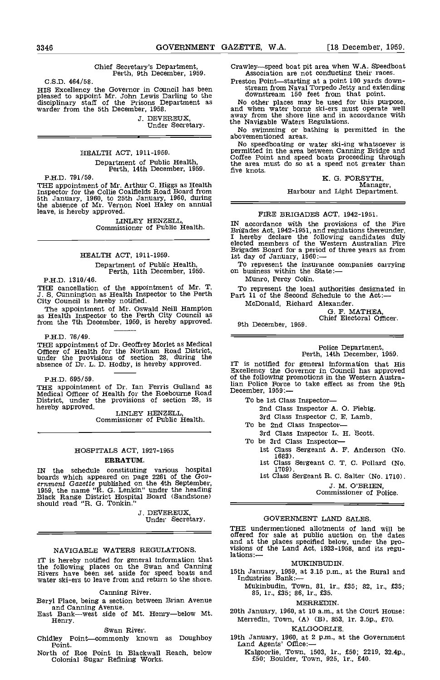Chief Secretary's Department, Perth, 9th December, 1959.

C.S.D. 464/58.

HIS Excellency the Governor in Council has been pleased to appoint Mr. John Lewis Darling to the downstream 150 feet from that point.<br>
disciplinary staff of the Prisons Department as Woother places may be used for this pur

J. DEVEREUX, Under Secretary.

## HEALTH ACT, 1911-1959.

Department of Public Health, Perth, 14th December, 1959.

P.H.D. 791/59.

THE appointment of Mr. Arthur C. Higgs as Health Inspector for the Collie Coalfields Road Board from 5th January, 1960, to 25th January, 1960, during the absence of Mr. Vernon Noel Haley on annual = leave, is hereby approved.

LINLEY HENZELL, Commissioner of Public Health.

HEALTH ACT, 1911-1959.

# Department of Public Health, Perth, 11th December, 1959.

P.H.D. 1310/46.

THE cancellation of the appointment of Mr. T. J. S. Cunnington as Health Inspector to the Perth City Council is hereby notified.

The appointment of Mr. Oswald Neill Hampton as Health Inspector to the Perth City Council as from the 7th December, 1959, is hereby approved.

P.H.D. 76/49.<br>THE appointment of Dr. Geoffrey Morlet as Medical THE appointment of Dr. Geoffrey Morlet as Medical Officer of Health for the Northam Road District, under the provisions of section 28, during the absence of Dr. L. D. Hodby, is hereby approved.

P.H.D. 695/59.

THE appointment of Dr. Ian Ferris Gulland as Man I Medical Officer of Health for the Roebourne Road Decen District, under the provisions of section 28, is

hereby approved. LINTLEY HENZELL, Commissioner of Public Health.

## HOSPITALS ACT, 1927-1955

## ERRATUM.

IN the schedule constituting various hospital<br>boards which appeared on page 2261 of the Gov-<br>ernment Gazette published on the 4th September,<br>1959, the name "R. G. Lenkin" under the heading<br>Black Range District Hospital Bo

J. DEVEREUX,<br>Under Secretary.

## NAVIGABLE WATERS REGULATIONS.

IT is hereby notified for general information that<br>the following places on the Swan and Canning<br>Rivers have been set aside for speed boats and 15th Janu<br>water ski-ers to leave from and return to the shore. Industri

## Canning River.

Beryl Place, being a section between Brian Avenue

East Bank---west side of Mt. Henry--below Mt. Henry.

#### Swan River.

Chidley Point-commonly known as Doughboy Point.

North of Roe Point in Blackwall Reach, below Colonial Sugar Refining Works.

Crawley—speed boat pit area when W.A. Speedboat<br>Association are not conducting their races.<br>Preston Point—starting at a point 100 yards down-<br>stream from Naval Torpedo Jetty and extending<br>downstream 150 feet from that poin

the Navigable Waters Regulations. No swimming or bathing is permitted in the abovementioned areas.

No speedboating or water ski-ing whatsoever is permitted in the area between Canning Bridge and Coffee Point and speed boats proceeding through the area must do so at a speed not greater than five knots.

K. G. FORSYTH,<br>Manager,<br>Harbour and Light Department.

## FIRE BRIGADES ACT, 1942-1951.

IN accordance with the provisions of the Fire Brigades Act, 1942-1951, and regulations thereunder, I hereby declare the following candidates duly elected members of the Western Australian Fire Brigades Board for a period of three years as from<br>1st day of January, 1960: —<br>To represent the insurance companies carrying<br>on business within the State: —

To represent the insurance companies carrying<br>on business within the State:—<br>Munro, Percy Colin.

To represent the local authorities designated in Part 11 of the Second Schedule to the Act: McDonald, Richard Alexander.

G. F. MATHEA, Chief Electoral Officer.

9th December, 1959.

Police Department, Perth, 14th December, 1959.

IT is notified for general Information that His Excellency the Governor in Council has approved of the following promotions in the Western Austra-lian Police Force to take effect as from the 9th December, 1959:

To be 1st Class Inspector-

- 2nd Class Inspector A. 0. Fiebig,
- 
- 3rd Class Inspector C. E. Lamb.<br>To be 2nd Class Inspector-<br>3rd Class Inspector L. H. Scott.<br>To be 3rd Class Inspector-
- - 1st Class Sergeant A. F. Anderson (No. 1683).<br>1st Class Sergeant C. T. C. Pollard (No. 1709).<br>1st Class Sergeant R. C. Salter (No. 1710).
		-
		- J. M. O'BRIEN, Commissioner of Police.

## GOVERNMENT LAND SALES

THE undermentioned allotments of land will be offered for sale at public auction on the dates and at the places specified below, under the pro- visions of the Land Act, 1933-1958, and its regu-

## MUKINBUDIN.

15th January, 1959, at 3.15 p.m., at the Rural and Industries Bank:-

Mukinbudin, Town, 81, lr., £35; 82, Ir., £35; 85, lr., £35; 86, lr., £35.

#### MERREDIN.

20th January, 1960, at 10 a.m., at the Court House: Merredin, Town, (A) (B), 853, Ir. 3.Sp., £70.

## KALGOORLIE.

- 19th January, 1960, at 2 p.m., at the Government Land Agents' Office:
	- Kalgoorlie, Town, 1503, lr., £50; 2219, 32.4p., £50; Boulder, Town, 925, lr., £40.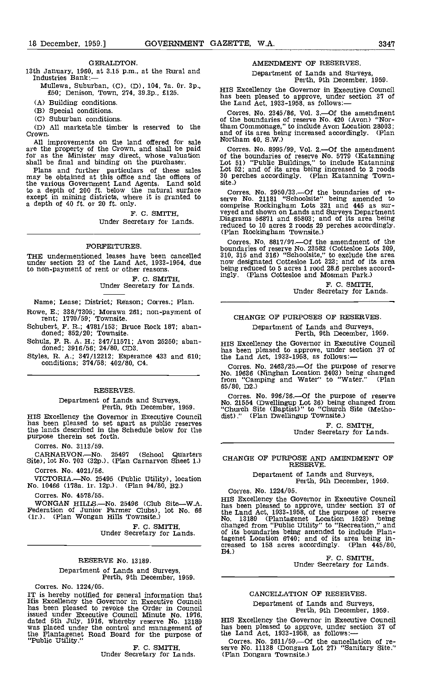#### GERALDTON.

13th January, 1960, at 3.15 p.m., at the Rural and Industries Bank:-

- Mullewa, Suburban, (C), (D), 104, 7a. 0r. 3p.,<br>
£50; Denison, Town, 274, 39.3p., £125.<br>
here heaven placed to approximate the short of the state of the state of the state of the state of the state of the state of the state
- (A) Building conditions.

(B) Special conditions.

(C) Suburban conditions.

All marketable timber is reserved to the Crown.

All improvements on the land offered for sale Morthan are the property of the Crown, and shall be paid Corr for as the Minister may direct, whose valuation of the shall be final and binding on the purchaser. Plans and further particulars of these sales and  $\frac{1}{2}$ 

may be obtained at this office and the offices of 30 the various Government Land Agents. Land sold to a depth of 200 ft. below the natural surface Cor  $\frac{1}{200}$  except in mining districts, where it is granted to  $\frac{1}{200}$ a depth of 40 ft. or 20 ft. only.

> F. C. SMITH, Under Secretary for Lands.

#### FORFEITURES.

THE undermentioned leases have been cancelled under section 23 of the Land Act, 1933-1954, due now to non-payment of rent or other reasons.

F. C. SMITH,<br>Under Secretary for Lands.

Name; Lease; District; Reason; Corres.; Plan.

Rowe, E.; 338/7305; Morawa 261; non-payment of rent; 1770/59; Townsite.

Schubert, F. R.; 4781/153; Bruce Rock 187; aban- doned; 852/20; Townsite.

Styles, R. A.; 347/12212; Esperance 433 and 610; conditions; 374/58; 402/80, C4.

## RESERVES.

Department of Lands and Surveys, Perth, 9th December, 1959.

HIS Excellency the Governor in Executive Council has been pleased to set apart as public reserves the lands described in the Schedule below for the purpose therein set forth.

Corres. No. 3113/59.

CARNARVON.—No. 25497 (School Quarters Site), lot No. 703 (32p.). (Plan Carnarvon Sheet 1.)

Corres. No. 4021/56.

VICTORIA.—No. 25495 (Public Utility), location No. 10466 (178a. lr. 12p.). (Plan 94/80, B2.)

Corres. No. 4578/55.

WONGAN HILLS - No. 25496 (Club Site - W.A. Farmer Clubs), lot No. 66 has been<br>Federation of Junior Farmer Clubs), lot No. 66 hae La (lr.). (Plan Wongan Hills Townsite.)

F. C. SMITH,<br>Under Secretary for Lands.

### RESERVE No. 13189.

Department of Lands and Surveys, Perth, 9th December, 1959.

Corres. No. 1224/05.

IT is hereby notified for general information that His Excellency the Governor in Executive Council has been pleased to revoke the Order in Council issued under Executive Council Minute No. 1976, dated 5th July, 1916, whereby reserve No. 13189 HIS F<br>was placed under the control and management of has b the Plantagenet Road Board for the purpose of the Public Utility."<br>"Public Utility." F. C. SMITH, ser Under Secretary for Lands. (P)

## AMENDMENT OF RESERVES.

Department of Lands and Surveys, Perth, 9th December, 1959.

HIS Excellency the Governor in Executive Council<br>has been pleased to approve, under section 37 of<br>the Land Act, 1933-1958, as follows:—

Corres. No. 2345/86, Vol. 3.—Of the amendment of the boundaries of reserve No. 420 (Avon) "Nor-<br>tham Commonage," to include Avon Location 28003; tham Common Common Common Location 28003; and of its area being increased accordingly. (Plan Northam 40, S.W.)

Corres. No. 8995/99, Vol. 2.—Of the amendment<br>of the boundaries of reserve No. 5779 (Katanning<br>Lot 51) "Public Buildings," to include Katanning<br>Lot 52; and of its area being increased to 2 roods<br>30 perches accordingly. (P

Corres. No. 2950/33.—Of the boundaries of re-<br>serve No. 21181 "Schoolsite" being amended to comprise Rockingham Lots 321 and 445 as sur- veyed and shown on Lands and Surveys Department Diagrams 56871 and 65803; and of its area being reduced to 10 acres 2 roods 29 perches accordingly.<br>(Plan Rockingham Townsite.)

Corres. No. 8817/97.—Of the amendment of the boundaries of reserve No. 23582 (Cottesloe Lots 309, 310, 315 and 316) "Schoolsite," to exclude the area now designated Cottesloe Lot 323; and of its area being reduced to 5 acres 1 rood 28.6 perches accordingly. (Plans Cottesloe and Mosman Park.)

F. C. SMITH,<br>Under Secretary for Lands.

## CHANGE OF PURPOSES OF RESERVES.

Department of Lands and Surveys, Perth, 9th December, 1959.

Schulz, F. R. A. H.; 347/11571; Avon 25250; aban-<br>doned; 3916/56; 24/80, CD3. has been pleased to approve, under section 37 of HIS Excellency the Governor in Executive Council has been pleased to approve, under section 37 of the Land Act,  $1933-1958$ , as follows:-

> Corres. No. 2463/25.—Of the purpose of reserve<br>No. 19636 (Ninghan Location 2403) being changed from "Camping and Water" to "Water." (Plan 65/80, D2.)

Corres. No. 996/36.—Of the purpose of reserve<br>No. 21554 (Dwellingup Lot 36) being changed from "Church Site (Baptist)" to "Church Site (Metho- dist) ." (Plan Dwellingup Townsite.)

F. C. SMITH, Under Secretary for Lands.

CHANGE OF PURPOSE AND AMENDMENT OF RESERVE.

Department of Lands and Surveys, Perth, 9th December, 1959.

Corres. No. 1224/05.

HIS Excellency the Governor in Executive Council has been pleased to approve, under section 37 of the Land Act, 1933-1958, of the purpose of reserve No. 13189 (Plantagenet Location 1523) being changed from "Public Utility" to "Recreation," and of its boundaries being amended to include Plantagenet Location 6740; and of its area being in-<br>creased to 158 acres accordingly. (Plan 445/80,<br>B4.) F. C. SMITH, Under Secretary for Lands.

### CANCELLATION OF RESERVES.

Department of Lands and Surveys, Perth, 9th December, 1959.

HIS Excellency the Governor in Executive Council<br>has been pleased to approve, under section 37 of<br>the Land Act, 1933-1958, as follows:—

Corres. No. 2611/59.—Of the cancellation of re-<br>serve No. 11138 (Dongara Lot 27) "Sanitary Site." (Plan Dongara Townsite.)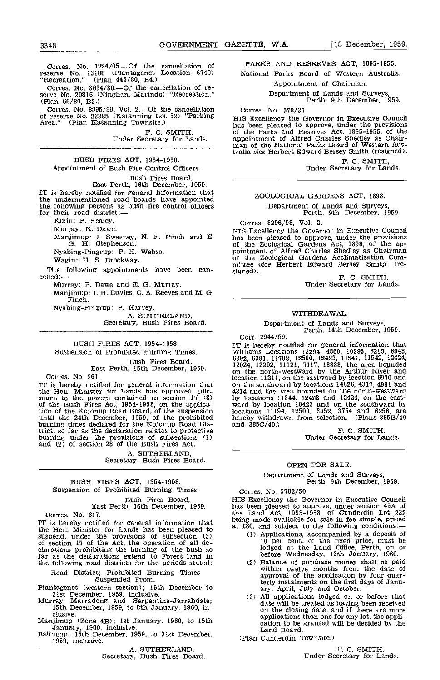Corres. No.  $1224/05$  --Of the cancellation of reserve No. 13188 (Plantagenet Location 6740) Recreation." (Plan 445/80, B4.)

Corres. No. 3654/30.—Of the cancellation of re-<br>serve No. 20816 (Ninghan, Marindo) "Recreation." (Plan 66/80, B2.)

Corres. No. 8995/99, Vol. 2.--Of the cancellation Corr of reserve No. 23385 (Katanning Lot 52) "Parking Area." (Plan Katanning Townsite.)

F. C. SMITH,<br>Under Secretary for Lands.

## BUSH FIRES ACT, 1954-1958. Appointment of Bush Fire Control Officers.

# Bush Fires Board, East Perth, 16th December, 1959.

IT is hereby notified for general information that the undermentioned road boards have appointed the following persons as bush fire control officers for their road district:—

Kuhn: P. Healey.

Murray: K. Dawe.<br>Manjimup: J. Sweeney, N. F. Finch and E.<br>G. H. Stephenson.

Nyabing-Pingrup: P. H. Webse.

Wagin: H. S. Brockway.

The following appointments have been can-<br>celled:-

Murray: P. Dawe and E. G. Murray. Manjimup: I. H. Davies, C. A. Reeves and M. G. Finch.

Nyabing-Pingrup: P. Harvey. Secretary, Bush Fires Board.

BUSH FIRES ACT, 1954-1958. Suspension of Prohibited Burning Times.

Bush Fives Board, East Perth, 15th December, 1959.

Corres. No. 261.

IT is hereby notified for general information that on<br>the Hon. Minister for Lands has approved, pur-<br>suant to the powers contained in section 17 (3) by<br>of the Bush Fires Act, 1954-1958, on the applica- wa tion of the Kojonup Road Board, of the suspension until the 24th December, 1959, of the prohibited burning times declared for the Kojonup Road District, so far as the declaration relates to protective burning under the provisions of subsections (1) and (2) of section 23 of the Bush Fires Act.

A. SUTHERLAND, Secretary, Bush Fires Board.

## BUSH FIRES ACT, 1954-1958. Suspension of Prohibited Burning Times.

Bush Fires Board, East Perth, 16th December, 1959.

Corres. No. 617.

IT is hereby notified for general information that the Hon. Minister for Lands has been pleased to the following conditions: — suspend, under the provisions of subsection (3) (1) Applications, accompanied by a deposit of suspend, under the provisions of subsection (3) (1) of section 17 of the Act, the operation of all de-<br>clarations prohibiting the burning of the bush so far as the declarations extend to Forest land in the following road districts for the periods stated:

Road District: Prohibited Burning Times Suspended From.

Plantagenet (western section): 15th December to

31st December, 1959, inclusive.<br>Murray, Marradong and Serpentine-Jarrahdale; 15th December, 1959, to 8th January, 1960, in-<br>clusive.

Manjimup (Zone 4B): 1st January, 1960, to 15th

January, 1960, inclusive. Ballngup; 15th December, 1959, to 31st December, 1959, inclusive.

A. SUTHERLAND,<br>Secretary, Bush Fires Board.

PARKS AND RESERVES ACT, 1895-1955.

National Parks Board of Western Australia. Appointment of Chairman.

Department of Lands and Surveys, Perth, 9th December, 1959.

Corres. No. 578/37.<br>HIS Excellency the Governor in Executive Council has been pleased to approve, under the provisions of the Parks and Reserves Act, 1895-1955, of the appointment of Alfred Charles Shedley as Chairappointment of Alfred Charles Shedley as Chair- man of the National Parks Board of Western Australia vice Herbert Edward Bersey Smith (resigned).

F. C. SMITH,<br>Under Secretary for Lands.

## ZOOLOGICAL GARDENS ACT, 1898.

Department of Lands and Surveys. Perth, 9th December, 1959.

Corres. 3296/98, Vol. 2.<br>HIS Excellency the Governor in Executive Council This been pleased to approve, under the provisions<br>of the Zoological Gardens Act, 1898, of the ap-<br>pointment of Alfred Charles Shedley as Chairman<br>of the Zoological Gardens Acclimatisation Com-<br>mittee vice Herbert Edward B

F. C. SMITH,<br>Under Secretary for Lands.

## WITHDRAWAL.

Department of Lands and Surveys, Perth, 14th December, 1959.

Corr. 2944/59.<br>IT is hereby notified for general information that IT is hereby notified for general information that Williams Locations 13294, 4860, 10295, 6215, 6943, 6392, 6391, 11708, 12500, 12423, 11541, 11542, 12424,<br>12024, 12202, 11121, 7117, 13833, the area bounded<br>on the north-westward by the Arthur River and location 11211, on the eastward by location 6970 and on the southward by locations 14826, 4317, 4981 nd 4314 and the area bounded on the north-westward by locations 11344, 12423 and 12424, on the east- ward by location 10423 and on the southward by locations 11194, 12500, 3752, 3754 and 6256, are hereby withdrawn from selection. (Plans 385B/40

and 385C/40.)<br>F. C. SMITH,<br>Under Secretary for Lands.

## OPEN FOR SALE

Department of Lands and Surveys, Perth, 9th December, 1959.

Corres. No. 5782/50.

HIS Excellency the Governor in Executive Council has been pleased to approve, under section 45A of the Land Act, 1933-1958, of Cunderdin Lot 232 being made available for sale in fee simple, priced at £80, and subject to the following conditions:

- Applications, accompanied by a deposit of 10 per cent. of the fixed price, must be lodged at the Land Office, Perth, on or before Wednesday, 13th January, 1960.
- Balance of purchase money shall be paid within twelve months from the date Of approval of the application by four quarterly instalments on the first days of Janu- ary, April, July and October.
- ary, April, July and October.<br>
(3) All applications lodged on or before that<br>
date will be treated as having been received<br>
on the closing date, and if there are more<br>
applications than one for any lot, the application to be granted will be decided by the Land Board.

(Plan Cunderdin Townsite.)

F. C. SMITH,<br>Under Secretary for Lands.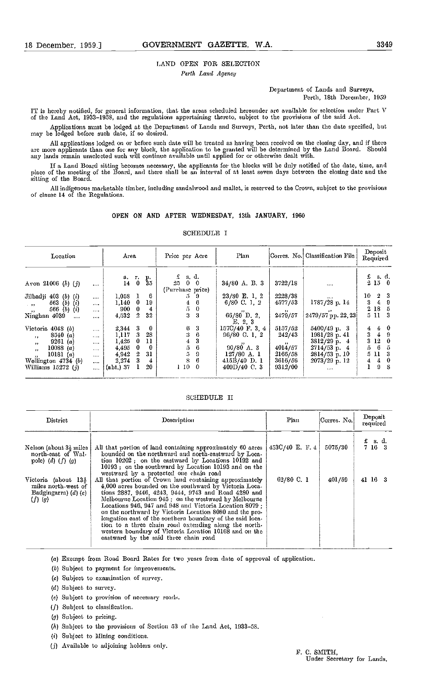## LAND OPEN FOR SELECTION

Perth Land Agency

Department of Lands and Surveys. Perth, 18th December, 1959

IT is hereby notified, for general information, that the areas scheduled hereunder are available for selection under Part V of the Land Act, 1933-1958, and the regulations appertaining thereto, subject to the provisions of the said Act.

Applications must be lodged at the Department of Lands and Surveys, Perth, not later than the date specified, but may be lodged before such date, if so desired.

Ali applications lodged on or before such date will be treated as having been received on the closing day, and if there are more applicants than one for any block, the application to be granted will be determined by the Land Board. Should any lands remain unselected such will continue available until applied for or otherwise dealt with.

If a Land Board sitting becomes necessary, the applicants for the blocks will be duly notified of the date, time, and<br>place of the meeting of the Board, and there shall be an interval of at least seven days between the clo sitting of the Board.

All indigenous marketable timber, including sandalwood and mallet, is reserved to the Crown, subject to the provisions of clause 14 of the Regulations.

## OPEN ON AND AFTER WEDNESDAY, 13th JANUARY, 1960

| Location                                                |          | Area           |                |                     | Price per Acre                   | Plan                            |                     | Corres. No. Classification File | Deposit<br>Required                      |
|---------------------------------------------------------|----------|----------------|----------------|---------------------|----------------------------------|---------------------------------|---------------------|---------------------------------|------------------------------------------|
| Avon 21006 $(h)$ $(j)$                                  | $\cdots$ |                |                | a r. p.<br>14 0 35  | s d<br>25000<br>(Purchase price) | $34/80$ A. B. 3                 | 3722/18             | $\cdots$                        | $f$ sd<br>2150                           |
| Jilbadji $403$ (b) (i)                                  | $\cdots$ | 1,058<br>1.140 | - 0            | 6<br>19             | 5<br>-9<br>6                     | $23/80$ E. 1. 2<br>6/80 C. I. 2 | 2228/38<br>4577/53  | <br>$1787/28$ p. 14             | $10 \quad 2 \quad 3$<br>3.<br>$\ddagger$ |
| 563 $(b)$ $(i)$<br>1.321<br>566 $(b)$ $(i)$<br>$\cdots$ | <br>$.$  | 900            | 0              | $\ddot{\textbf{r}}$ | 4<br>5<br>$\theta$               | $66/80$ D. 2,                   | $247\frac{1}{9}/57$ |                                 | 2185                                     |
| Ninghan 4039<br>$\cdots$                                |          | 4,532          | $\overline{2}$ | 32                  | 3<br>-3                          | E. 2, 3                         |                     | 2479/57 pp. 22, 23              | $5$ 11 $3$                               |
| Victoria 4048 (b)                                       | 1.133    | 2,344 3        |                | 0                   | 3<br>6                           | 157C/40 F. 3, 4                 | 5157/52             | $5400/49 \text{ p} - 3$         | - 0<br>4.<br>$\pm$                       |
| 8540(a)<br>$\mathbf{r}$                                 | $\cdots$ | 1.117          | 3              | 28                  | 3<br>6                           | 96/80 C 1 2                     | 242/43              | 1981/28 p. 41                   | 3.<br>4                                  |
| 9261 ( <i>a</i> )<br>$\overline{\mathbf{z}}$            | $\cdots$ | 1.425          | - 0            | 11                  | 3<br>4                           |                                 | $\cdots$            | 3812/29 p. 4                    | 3 <sub>12</sub>                          |
| 10088 ( <i>a</i> )<br>$\mathbf{a}$                      |          | 4.495          | 0              | 0                   | 6<br>5                           | $90/80$ A. 3                    | 4014/57             | 2714/53 p 4                     | 5.<br>6                                  |
| 10181 $(\alpha)$<br>$\overline{\phantom{a}}$            |          | 4.942          | 2              | 31                  | 5<br>9                           | $127/80$ A. 1                   | 2166/58             | $2814/53$ p. 10                 | 5 11<br>3                                |
| Wellington 4734 (b)                                     | $\cdots$ | 2.274          |                | 4                   | 8<br>6                           | 415B/40 D.1                     | 3616/56             | $2073/29$ p 12                  | 0<br>4<br>4.                             |
| Williams $15272(j)$                                     | $\cdots$ | (abt.) 37      |                | 20                  | $1\,10$<br>$\ddot{\mathbf{0}}$   | 409D/40C.3                      | 9312/00             | $\cdots$                        | 9<br>-8                                  |
|                                                         |          |                |                |                     |                                  |                                 |                     |                                 |                                          |

## SCHEDULE I

| <b>SCHEDULE II</b> |  |
|--------------------|--|
|                    |  |

| District                                                                                                                                                | Description                                                                                                                                                                                                                                                                                                                                                                                                                                                                                                                                                                                                                                                                                                                                                                                                                                                     | Plan                            | Corres. No.       | Deposit<br>required             |
|---------------------------------------------------------------------------------------------------------------------------------------------------------|-----------------------------------------------------------------------------------------------------------------------------------------------------------------------------------------------------------------------------------------------------------------------------------------------------------------------------------------------------------------------------------------------------------------------------------------------------------------------------------------------------------------------------------------------------------------------------------------------------------------------------------------------------------------------------------------------------------------------------------------------------------------------------------------------------------------------------------------------------------------|---------------------------------|-------------------|---------------------------------|
| Nelson (about 3} miles<br>north-east of Wal-<br>pole) (d) $(f)$ (g)<br>Victoria (about 13½<br>miles north-west of<br>Badgingarra) $(d)$ $(e)$<br>(f)(g) | All that portion of land containing approximately 60 acres<br>bounded on the northward and north-eastward by Loca-<br>tion 10202; on the eastward by Locations 10192 and<br>10193; on the southward by Location 10193 and on the<br>westward by a protected one chain road<br>All that portion of Crown land containing approximately<br>4,000 acres bounded on the southward by Victoria Loca-<br>tions 2887, 9446, 4243, 9444, 9743 and Road 4280 and<br>Melbourne Location 945 : on the westward by Melbourne<br>Locations 946, 947 and 948 and Victoria Location 8079 ·<br>on the northward by Victoria Location 8080 and the pro-<br>longation east of the southern boundary of the said loca-<br>tion to a three chain road extending along the north-<br>western boundary of Victoria Location 10168 and on the<br>eastward by the said three chain road | 453C/40 E. F. 4<br>$62/80$ C. 1 | 5075/30<br>401/59 | £ s.d.<br>7 16 3<br>$41\,16\,3$ |
|                                                                                                                                                         |                                                                                                                                                                                                                                                                                                                                                                                                                                                                                                                                                                                                                                                                                                                                                                                                                                                                 |                                 |                   |                                 |

Exempt from Road Board Rates for two years from date of approval of application.

- (b) Subject to payment for improvements.
- (a) Subject to examination of survey.
- (d) Subject to survey.
- (a) Subject to provision of necessary roads.
- $(f)$  Subject to classification.
- (g) Subject to pricing.
- $(h)$  Subject to the provisions of Section 53 of the Land Act, 1933-58.
- (1) Subject to Mining conditions.
- (j) Available to adjoining holders only.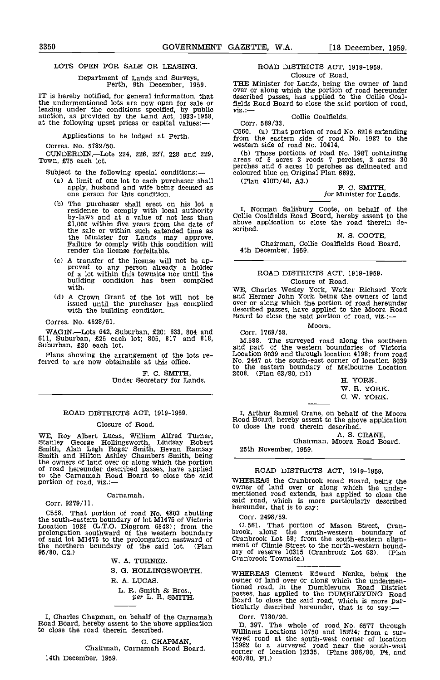## LOTS OPEN FOR SALE OR LEASING.

# Department of Lands and Surveys, Perth, 9th December, 1959.

IT is hereby notified, for general information, that defect in the undermentioned lots are now open for sale or leasing under the conditions specified, by public viz.: auction, as provided by the Land Act, 1933-1958, at the following upset prices or capital values:

Applications to be lodged at Perth.

Corres. No. 5782/50.

CUNDERDIN.Lots 224, 226, 227, 228 and 229, Town, £75 each lot.

Subject to the following special conditions:

- A limit of one lot to each purchaser shall apply, husband and wife being deemed as one person for this condition.
- The purchaser shall erect on his lot a residence to comply with local authority by-laws and at a value of not less than E1,000 within five years from the date of above application to close the road therein de-<br>the sale or within such extended time as scribed. the Minister for Lands may approve.<br>Failure to comply with this condition will render the license forfeitable.
- A transfer of the license will not be ap- proved to any person already a holder of a lot within this townsite nor until the building condition has been complied with.
- A Crown Grant cf the lot will not be and H issued until the purchaser has complied with the building condition.
- Corres. No. 4528/51.

WAGIN.—Lots 642, Suburban, £20; 633, 804 and 611, Suburban, £25 each lot; 805, 817 and 818, Suburban, £30 each lot.

Plans showing the arrangement of the lots referred to are now obtainable at this office.

F. C. SMITH, Under Secretary for Lands.

## ROAD DISTRICTS ACT, 1919-1959.

## Closure of Road.

WE, Roy Albert Lucas, William Alfred Turner,<br>Stanley George Hollingsworth, Lindsay Robert<br>Smith, Alan Legh Roger Smith, Bevan Ramsay Stath<br>Smith and Hilton Ashley Chambers Smith, being the owners of land over or along which the portion of road hereunder described passes, have applied of road hereunder described passes, have applied<br>to the Carnamah Road Board to close the said<br>portion of road viz.:—<br>portion of road viz.: portion of road, viz.:-

Carnamah.

Corr. 9279/11.

C558. That portion of road No. 4803 abutting Corr the south-eastern boundary of lot M1475 of Victoria Corr<br>
Location 1935 (L.T.O. Diagram 6548); from the C.56<br>
prolongation southward of the western boundary brook, of said lot M1475 to the prolongation eastward of Cran<br>the northern boundary of the said lot. (Plan ment<br>95/80, C2.) ary

W. A. TURNER.

S. G. HOLLINGSWORTH.

R. A. LUCAS.

# L. R. Smith & Bros.,<br>per L. R. SMITH.

I, Charles Chapman, on behalf of the Carnamah Road Board, hereby assent to the 'above application to close the road therein described.

C. CHAPMAN,<br>Chairman, Carnamah Road Board. 14th December, 1959.

## ROAD DISTRICTS ACT, 1919-1959. Closure of Road.

THE Minister for Lands, being the owner of land over or along which the portion of road hereunder described passes, has applied to the Collie Coalfields Road Board to close the said portion of road, viz.:—

Collie Coalfields. Corr. 589/33.

C560. Ca) That portion of road No. 6216 extending from the eastern side of road No. 1987 to the western side of road No. 10414.

(b) Those portions of road No. 1987 containing areas of 5 acres 3 roods 7 perches, 3 acres 30 perches and 6 acres 10 perches as delineated and coloured blue on Original Plan 6692.

(Plan 410D/40, A3.) F. C. SMITH

# for Minister for Lands.

I, Norman Salisbury Coote, on behalf of the Collie Coalfields Road Board, hereby assent to the scribed.

N. S. COOTE,

Chairman, Collie Coalfields Road Board. 4th December, 1959.

## ROAD DISTRICTS ACT, 1919-1959. Closure of Road.

WE, Charles Wesley York, Walter Richard York and Hermer John York, being the owners of land over or along which the portion of road hereunder described passes, have applied to the Moora Road Board to close the said portion of road, viz.:-

Moora.

Corr. 1769/58.

M.588. The surveyed road along the southern and part of the western boundaries of Victoria Location 8039 and through location 4198; from road No. 2447 at the south-east corner of location 8039 to the eastern boundary of Melbourne Location 2008. (Plan 63/80, Dl) H. YORK.

W. R. YORK.

C. W. YORK.

I, Arthur Samuel Crane, on behalf of the Moora Road Board, hereby assent to the above application to close the road therein described.

A. S. CRANE,<br>Chairman, Moora Road Board. 25th November, 1959.

## ROAD DISTRICTS ACT, 1919-1959.

where of land over or along which the under-<br>mentioned road extends, has applied to close the<br>said road, which is more particularly described<br>hereunder, that is to say:—

#### Corr. 2498/59.

561. That portion of Mason Street, Cranbrook, along the south-western boundary of Cranbrook Lot 58; from the south-eastern align- ment of Climie Street to the north-western boundary of reserve 10315 (Cranbrook Lot 63). (Plan Cranbrook Townsite.)

WHEREAS Clement Edward Nenke, being the owner of land over or along which the undermentioned road, in the Dumbleyung Road District passes, has applied to the DUMBLEYUNG Road Board to close the said road, which is more particularly described hereunder, that is to say:

Corr. 7180/20.

397. The whole of road No. 6577 through Williams Locations 10750 and 15274; from a sur- veyed road at the south-west corner of location 13982 to a surveyed road near the south-west corner of location 12335. (Plans 386/80, F4, and 408/80, Fl.)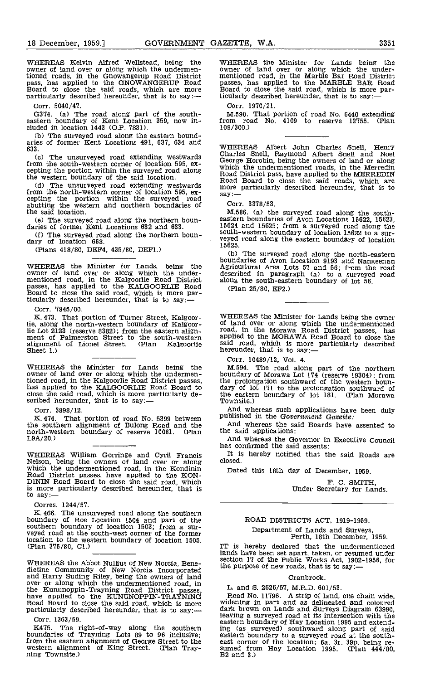WHEREAS Kelvin Alfred Welistead, being the owner of land over or along which the undermentioned roads, in the Gnowangerup Road District mentic<br>pass, has applied to the GNOWANGERUP Road passes,<br>Board to close the said roads, which are more particularly described hereunder, that is to say:--- ticular

Corr. 5040/47.

0374. (a) The road along part of the south- eastern boundary of Kent Location 359, now in- cluded in location 1443 (O.P. 1831).

(b) The surveyed road along the eastern bound-<br>aries of former Kent Locations 491, 637, 634 and 633.

 $(c)$ from the south-western corner of location 595, ex-<br>cepting the portion within the surveyed road along and possibility has been compled to the MERDERIN the western boundary of the said location.

(d) The unsurveyed road extending westwards from the north-western corner of location 595, ex-<br>cepting the portion within the surveyed road abutting the western and northern boundaries of the said location.

(Plans 418/80, DEF4, 435/80, DEF1.)

WHEREAS the Minister for Lands, being the Agricul<br>owner of land over or along which the under-<br>mentioned road, in the Kalgoorlie Road District along t<br>passes, has applied to the KALGOORLIE Road (Plar<br>Board to close the sai ticularly described hereunder, that is to say:-

Corr. 7845/00.

That portion of Turner Street, Kalgoorlie, along the north-western boundary of Kalgoorlie Lot 2123 (reserve 8382); from the eastern align-<br>ment of Palmerston Street to the south-western<br>alignment of Lionel Street. (Plan Kalgoorlie alignment of Lionel Street.<br>Sheet 1.)

WHEREAS the Minister for Lands being the owner of land over or along which the undermentioned road, in the Kalgoorlie Road District passes, the problem has applied to the KALGOORLIE Road Board to dary of close the said road, which is more particularly de-<br>scribed hereunder, that is to say:---<br>To

Corr. 3898/12.

K. 474. That portion of road No. 5399 between publis.<br>the southern alignment of Bulong Road and the And<br>north-western boundary of reserve 10081. (Plan the sa<br>L9A/20.) And

WHEREAS William Gorringe and Cyril Francis It is<br>Nelson, being the owners of land over or along closed.<br>which the undermentioned road, in the Kondinin Date<br>Road District passes, have applied to the KON-<br>DININ Road Board to is more particularly described hereunder, that is to say:—

Corres. 1244/57.

K. 466. The unsurveyed road along the southern boundary of Roe Location 1504 and part of the southern boundary of location 1503; from a sur- veyed road at the south-west corner of the former location to the western boundary of location 1505. (Plan 375/80, Cl.)

WHEREAS the Abbot Nullius of New Norcia, Bene-<br>dictine Community of New Norcia Incorporated the pu: and Harry Suding Riley, being the owners of land over or along which the undermentioned road, in the Kunumoppin-Trayning Road District passes, L. and S. 2626/57, M.R.D. 601/53.<br>have applied to the KUNUNOPPIN-TRAYNING Road No. 11796. A strip of land, one chain wide, Road Board to close the said road, which is more particularly described hereunder, that is to say:-

Corr. 1363/59.

K475. The right-of-way along the southern boundaries of Trayning Lots 89 to 96 inclusive; from the eastern alignment of George Street to the western alignment of King Street, (Plan Tray- ning Townsite.)

WHEREAS the Minister for Lands being the<br>owner of land over or along which the under-<br>mentioned road, in the Marble Bar Road District passes, has applied to the MARBLE BAR Road Board to close the said road, which is more particularly described hereunder, that is to say:—

Corr. 1970/21.

M.590. That portion of road No. 6440 extending from road No. <sup>4109</sup> to reserve 12755. (Plan 109/300.)

(c) The unsurveyed road extending westwards<br>from the south-western corner of location 595, ex-<br>correct Horobin, being the owners of land or along<br>in the south-western corner of location 595, ex-WHEREAS Albert John Charles Snell, Henry Charles Snell, Raymond Albert Snell and Noel Road District pass, have applied to the MERREDIN<br>Road Board to close the said roads, which are<br>more particularly described hereunder, that is to<br>say:—

Corr. 3378/53.

the said location.<br>(e) The surveyed road along the northern boun-<br>daries of former Kent Locations 632 and 633. 15624 and 15625; from a surveyed road along the (f) The surveyed road along the northern boun-<br>dary of location 668.<br>Is the rest road along the eastern boundary of location<br> $\frac{1}{2}$ M.586. (a) the surveyed road along the south- eastern boundaries of Avon Locations 15622, 15623, 15624 and 15625; from a surveyed road along the south-western boundary of location 15622 to a sur- veyed road along the eastern boundary of location 15625.

(b) The surveyed road along the north-eastern boundaries of Avon Location 9193 and Nangeenan Agricultural Area Lots 57 and 56; from the road described in paragraph (a) to a surveyed road along the south-eastern boundary of lot 56. (Plan 25/80, EF2.)

WHEREAS the Minister for Lands being the owner of land over or along which the undermentioned road, in the Morawa Road District passes, has applied to the MORAWA Road Board to close the said road, which is more particularly described hereunder, that is to say:—

Corr. 10489/12, Vol. 4.

M.594. The road along part of the northern boundary of Morawa Lot 174 (reserve 19304); from the prolongation southward of the western boun- dary of lot 171 to the prolongation southward of the eastern boundary of lot 181. (Plan Morawa Townsite,)

And whereas such applications have been duly published in the Government Gazette:

And whereas the said Boards have assented to the said applications:

And whereas the Governor in Executive Council has confirmed the said assents:

It is hereby notified that the said Roads are closed.

Dated this 18th day of December, 1959.

F. C. SMITH,<br>Under Secretary for Lands.

# ROAD DISTRICTS ACT, 1919-1959.

Department of Lands and Surveys, Perth, 18th December, 1959.

IT is hereby declared that the undermentioned lands have been set apart, taken, or resumed under section 17 of the Public Works Act, 1902-1956, for the purpose of new roads, that is to say:-

#### Cranbrook.

L. and S. 2626/51, M.R.D. 601/53.

Road No. 11796. A strip of land, one chain wide, widening in part and as delineated and coloured dark brown on Lands and Surveys Diagram 63990, leaving a surveyed road at its intersection with the eastern boundary of Hay Location 1995 and extend-ing (as surveyed) southward along part of said eastern boundary to a surveyed road at the south-<br>east corner of the location; 6a. 3r. 39p. being re-<br>sumed from Hay Location 1995. (Plan 444/80,<br>B2 and 3.)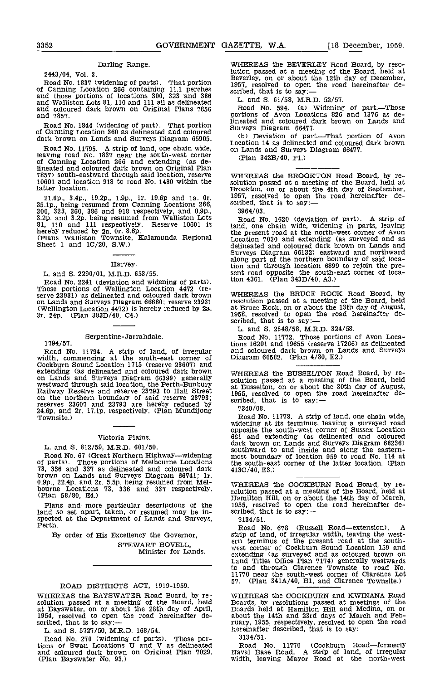### Darling Range.

2443/04, Vol. 3.

Road No. 1837 (widening of parts). That portion<br>of Canning Location 266 containing 11.1 perches<br>and those portions of locations 300, 323 and 386<br>and Walliston Lots 81, 110 and 111 all as delineated L. a and 7857.

Road No. 1844 (widening of part). That portion of Canning Location 360 as delineated and coloured<br>dark brown on Lands and Surveys Diagram 65905.

Road No. 11795. A strip of land, one chain wide,<br>
leaving road No. 1837 near the south-west corner<br>
leaving Location 266 and extending (as de-<br>
of Canning Location 266 and extending (as de-<br>
lineated and coloured dark brow 10601 and location 918 to road No. 1480 within the latter location.

21.6p., 3.4p., 19.2p., 1.9p., 1r. 19.6p and 1a. 0r.  $195$ <br>35.1p., being resumed from Canning Locations 266, scri<br>300, 323, 360, 386 and 918 respectively, and 0.9p., 3:<br>3.2p. and 3.2p. being resumed from Walliston Lots R<br>8

hereby reduced by 2a. 0r. 8.6p.<br>(Plans Walliston Townsite, Kalamunda Regional 1<br>Sheet 1 and 1C/20, S.W.)

#### Harvey.

L. and S. 2290/01, M.R.D. 653/55.

Road No. 2241 (deviation and widening of parts).<br>Those portions of Wellington Location 4472 (re-<br>serve 23931) as delineated and coloured dark brown on Lands and Surveys Diagram 66680; reserve 23931 (Wellington Location 4472) is hereby reduced by 2a. 3r. 24p. (Plan 383D/40, C4.)

# Serpentine-Jarrahdale.<br>1794/57.

Road No. 11794. A strip of land, of irregular width, commencing at the south-east corner of Cockburn Sound Location 1715 (reserve 23607) and extending (as delineated and coloured dark brown extending (as delineated and coloured dark brown<br>on Lands and Surveys Diagram 66399) generally<br>westward through said location, the Perth-Bunbury<br>Railway Reserve and reserve 23793 to Hall Street<br>on the northern boundary of 24.6p. and 2r. 17.1p. respectively. (Plan Mundijong 7340<br>Townsite.) Road

## Victoria Plains.

L. and S. 812/59, M.R.D. 601/50.

Road No. 67 (Great Northern Highway—widening most in the southern portions of Melbourne Locations the so<br>
73, 336 and 337 as delineated and coloured dark 413C/4<br>
brown on Lands and Surveys Diagram 66741; 1r. 0.9p., 22.4p. and 2r. 5.5p. being resumed from Mel-<br>bourne Locations 73, 336 and 337 respectively.  $\frac{1}{58}$ <br>(Plan 58/80, E4.)

Plans and more particular descriptions of the 1955, land so set apart, taken, or resumed may be in-<br>spected at the Department of Lands and Surveys,<br>Perth.

By order of His Excellency the Governor, STEWART BOVELL Minister for Lands.

## ROAD DISTRICTS ACT, 1919-1959.

WHEREAS the BAYSWATER Road Board, by re- solution passed at a meeting of the Board, held at Bayswater, on or about the 28th day of April, Both 1954, resolved to open the road hereinafter de-<br>scribed, that is to say:—<br>rust

L. and 5. 5727/50, M.R.D. 168/54.

Road No. 270 (widening of parts). Those por-tions of Swan Locations U and V as delineated and coloured dark brown on Original Plan 7029. (Plan Bayswater No. 93.)

WHEREAS the BEVERLEY Road Board, by reso-<br>lution passed at a meeting of the Board, held at<br>Beverley, on or about the 12th day of December,<br>1957, resolved to open the road hereinafter de-<br>scribed, that is to say:—

L. and S. 61/58, M.R.D. 52/57.

Road No. 594. (a) Widening of part.—Those<br>portions of Avon Locations 826 and 1376 as delineated and coloured dark brown on Lands and

Surveys Diagram 66477.<br>(b) Deviation of part.—That portion of Avon<br>Location 14 as delineated and coloured dark brown on Lands and Surveys Diagram 66477.

(Plan 342B/4O, Fl.)

WHEREAS the BROOKTON Road Board, by re-<br>solution passed at a meeting of the Board, held at<br>Brookton, on or about the 4th day of September,<br>1957, resolved to open the road hereinafter described, that is to say:-

3964/03. Road No. 1620 (deviation of part). A strip of land, one chain wide, widening in parts, leaving the present road at the north-west corner of Avon Location 7030 and extending (as surveyed and as delineated and coloured dark brown on Lands and Surveys Diagram 66132) eastward and northward surveys baggaan outburst eastward along part of the northern boundary of said loca-<br>tion and through location 6899 to rejoin the pretion and through location 6899 to rejoin the pre- sent road opposite the south-east corner of location 4361. (Plan 343D/40, A3.)

WHEREAS the BRUCE ROCK Road Board, by resolution passed at a meeting of the Board, held at Bruce Rock, on or about the 13th day of August, 1958, resolved to open the road hereinafter de- scribed, that is to say:

L. and 5. 2548/58, M.R.D. 324/58.

Road No. 11772. Those portions of Avon Locations 16201 and 19655 (reserve 17266) as delineated and coloured dark brown on Lands and Surveys Diagram 66582. (Plan 4/80, E2.)

WHEREAS the BUSSELTON Road Board, by re- solution passed at a meeting of the Board, held at Busselton, on or about the 30th day of August, 1955, resolved to open the road hereinafter de- scribed, that is to say:-

7340/08.<br>Road No. 11778. A strip of land, one chain wide, Road No. 11778. A strip of land, one chain wide. widening at its terminus, leaving a surveyed road opposite the south-west corner of Sussex Location 681 and extending (as delineated and coloured dark brown on Lands and Surveys Diagram 6623616.<br>Surveys Diagram 662366. Southward to and inside and along the eastern-<br>most boundary of location 959 to road No. 114 at<br>the south-east corner of the latter location. (Plan 413C/40, E3.)

WHEREAS the COCKBURN Road Board, by re-<br>solution passed at a meeting of the Board, held at<br>Hamilton Hill, on or about the 14th day of March,<br>1955, resolved to open the road hereinafter de-<br>scribed, that is to say:-

3134/51.

Road No. 678 (Russell Road—extension). A strip of land, of irregular width, leaving the west-<br>ern terminus of the present road at the south-<br>west corner of Cockburn Sound Location 159 and extending (as surveyed and as coloured brown on Land Titles Office Plan 7174) generally westwards to and through Clarence Townsite to road No. 11770 near the south-west corner of Clarence Lot 57. (Plan 341A/40, Bl, and Clarence Townslte.)

WHEREAS the COCKBURN and KWINANA Road Boards, by resolutions passed at meetings of the Boards held at Hamilton Hill and Medina, on or about the 14th and 23rd days of March and February, 1955, respectively, resolved to open the road hereinafter described, that is to say:

3 13 4/51.

Road No. 11770 (Cockburn Road—formerly Naval Base Road. A strip of land, of irregular width, leaving Mayor Road at the north-west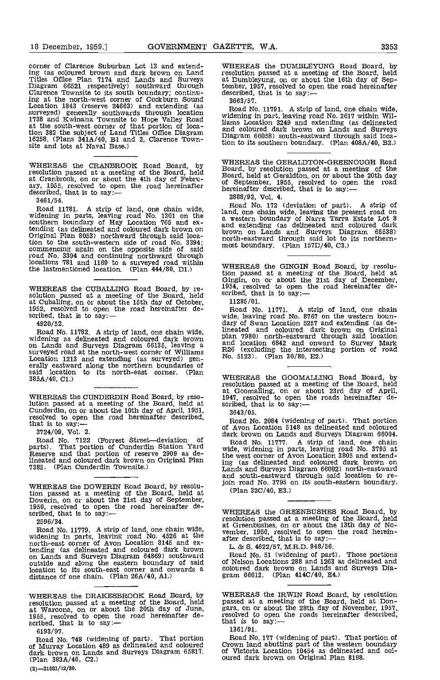corner of Clarence Suburban Lot 13 and extending (as coloured brown and dark brown on Land Titles Office Plan 7174 and Lands and Surveys at Dumbleyung, on or abo<br>Titles Office Plan 7174 and Lands and Surveys at Dumbleyung, on or abo<br>Diagram 66521 respectively) southw ing at the north-west corner of Cockburn Sound Location 1843 (reserve 24663) and extending (as surveyed) generally southwards through location widen 1738 and Kwinana Townsite to Hope Valley Road<br>
at the south-west corner of that portion of loca-<br>
tion 382 the subject of Land Titles Office Diagram<br>
mission and coloure 16258. (Plans 341A/40, B1 and 2, Clarence Town- site and lots at Naval Base.)

WHEREAS the CRANBROOK Road Board, by  $W_{\text{Bog}}^{\text{WH}}$ resolution passed at a meeting of the Board, held Board ary, 1955, resolved to open the road hereinafter described, that is to say:-

3461/54.

Road 11781. A strip of land, one chain wide,  $\begin{array}{cc} \text{RO} \\ \text{hddening} \text{ in parts, leaving road No. 1301 on the} \\ \text{a we} \end{array}$ southern boundary of Hay Location 765 and extending (as delineated and coloured dark brown on and ending (as delineated and coloured dark brown on a horth tion to the south-western side of road No. 3394; commencing again on the opposite side of said road No. 3394 and continuing northward through locations 781 and 1169 to a surveyed road within w the lastmentioned location. (Plan 444/80, Dl.)

WHEREAS the CUBALLING Road Board, by re-solution passed at a meeting of the Board, held at Cuballing, on or about the 15th day of October, 1952, resolved to open the road hereinafter de-<br>scribed, that is to say:-

4920/52.

Road No. 11782. A strip of land, one chain wide, all ineate<br>widening as delineated and coloured dark brown plan 7<br>on Lands and Surveys Diagram 66135, leaving a and 10 surveyed road at the north-west corner of Williams  $R^{26}$  (excluding the intersect Location 1213 and extending (as surveyed) gen-<br>erally eastward along the northern boundaries of  $\frac{1}{2}$ <br>said location to its north-east 385A/40, Cl.)

WHEREAS the CUNDERDIN Road Board, by resolution passed at a meeting of the Board, held at cunderdin, on or about the 10th day of April, 1951,<br>Cunderdin, on or about the 10th day of April, 1951,<br>resolved to open the road hereinafter described,<br>that is to say:—<br>Roa

3724/09, VoL 2.

Road No. 7122 (Forrest Street-deviation of parts). That portion of Cunderdin Station Yard wide, two<br>Reserve and that portion of reserve 2909 as de-<br>the we lineated and coloured dark brown on Original Plan  $\frac{m}{\log a}$ 7385. (Plan Cunderdin Townsite.)

WHEREAS the DOWERIN Road Board, by resolu-<br>tion passed at a meeting of the Board, held at<br>Dowerin, on or about the 21st day of September,<br>1950, resolved to open the road hereinafter de-<br>scribed, that is to say:-

2596/34.

Road No. 11779. A strip of land, one chain wide, widening in parts, leaving road No. 4526 at the north-east corner of Avon Location 8145 and extending (as delineated and coloured dark brown on Lands and Surveys Diagram 64869) southward Road<br>outside and along the eastern boundary of said of Nels location to its south-east corner and onwards a distance of one chain. (Plan 26A/40, Al.)

WHEREAS the DUMBLEYUNG Road Board, by resolution passed at a meeting of the Board, held at Dumbleyung, on or about the 16th day of September, 1957, resolved to open the road hereinafter

3663/57.

Road No. 11791. A strip of land, one chain wide, widening in part, leaving road No. 2617 within Williams Location 3249 and extending (as delineated and coloured dark brown on Lands and Surveys Diagram 66058) south-eastward through said loca-Diagram 66058) south-eastward through said loca-<br>tion to its southern boundary. (Plan 408A/40, B2.)

WHEREAS the GERALDTON-GREENOUGH Road Board, by resolution passed at a meeting of the Board, held at Geraldton, on or about the 20th day of September, 1955, resolved to open the road hereinafter described, that is to say:-

2888/92, Vol. 4.

Road No. 172 (deviation of part). A strip of land, one chain wide, leaving the present road on a western boundary of Narra Tarra Estate Lot 8 and extending (as delineated and coloured dark brown on Lands and Surveys Diagram 65538) north-eastward through said lot to its northern- most boundary. (Plan 157D/40, C3.)

WHEREAS the GINGIN Road Board, by resolution passed at a meeting of the Board, held at Gingin, on or about the 21st day of December, 1954, resolved to open the road hereinafter described, that is to say:-

11285/01.

Road No. 11771. A strip of land, one chain wide, leaving road No. 8767 on the western boun-<br>dary of Swan Location 5257 and extending (as delineated and coloured dark brown on Original plan 7980) north-eastward through said location and location 6842 and onward to Survey Mark R26 (excluding the intersecting portion of road No. 5123), (Plan 30/80, E2.)

WHEREAS the 000MALLING Road Board, by resolution passed at a meeting of the Board, held<br>at Goomalling, on or about 23rd day of April,<br>1947, resolved to open the roads hereinafter de-<br>scribed, that is to say:-

3643/05.

Road No. 2084 (widening of part). That portion of Avon Location 5148 as delineated and coloured dark brown on Lands and Surveys Diagram 66004.

Road No. 11777. A strip of land, one chain wide, widening in parts, leaving road No. 3795 at the west corner of Avon Location 3805 and extend-ing (as delineated and coloured dark brown on Lands and Surveys Diagram 66002) north-eastward and south-eastward through said location to rejoin road No. 3795 on its south-eastern boundary.

(Plan 32C/40, E3.)

WHEREAS the GREENBUSHES Road Board, by resolution passed at a meeting of the Board, held at Greenbushes, on or about the 13th day of No-<br>vember, 1956, resolved to open the road herein-<br>after described, that is to say:—

L. & S. 4622/57, M.R.D. 948/56.

Road No. 51 (widening of part). Those portions of Nelson Locations 288 and 1263 as delineated and coloured dark brown on Lands and Surveys Dia- gram 66612. (Plan 414C/40, E4.)

WHEREAS the IRWIN Road Board, by resolution passed at a meeting of the Board, held at Don- gara, on or about the 28th day of November, 1957, resolved to open the roads hereinafter described, that is to say:-

1361/91.

Road No, 177 (widening of part). That portion of Crown land abutting part of the western boundary of Victoria Location 10454 as delineated and coloured dark brown on Original Plan 8198.

WHEREAS the DRAKESBROOK Road Board, by WHER<br>
resolution passed at a meeting of the Board, held passed<br>
at Waroona, on or about the 20th day of June, gara, o<br>
1955, resolved to open the road hereinafter de-<br>
scribed, that i

<sup>6193/97.</sup> Road No. 748 (widening of part). That portion of Murray Location 489 as delineated and coloured dark brown on Lands and Surveys Diagram 65817. (Plan 383A/40, C2.)  $(2) - 31581/12/59.$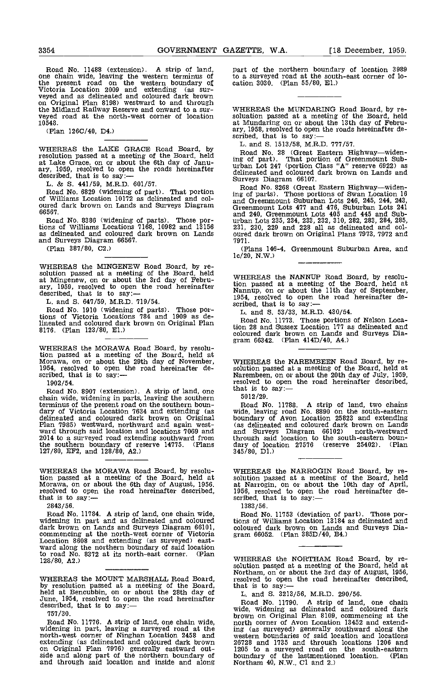Road No. 11488 (extension). A strip of land, pa<br>one chain wide, leaving the western terminus of to the present road on the western boundary of cation 303<br>Victoria Location 2009 and extending (as sur-<br>veyed and as delineated and coloured dark brown<br>on Original Plan 8198) westward to and through the Midland Railway Reserve and onward to a sur-<br>veyed road at the north-west corner of location soluation passed at a meeting of the Board, held 10548.

(Plan 1260/40, D4.)

WHEREAS the LAKE GRACE Road Board, by  $\overline{P}_{\text{D}}$ resolution passed at a meeting of the Board, held  $_{\text{inc of}}$ at Lake Grace, on or about the 6th day of Janu-<br>ary, 1959, resolved to open the roads hereinafter urles<br>described, that is to say:—

L. & S. 441/59, M.R.D. 601/57.

Road No. 6829 (widening of part). That portion  ${}_{\text{ing of}}$ of Williams Location 10172 as delineated and coloured dark brown on Lands and Surveys Diagram 66567.

Road No. 8386 (widening of parts). Those portions of Williams Locations 7168, 10982 and 13156 as delineated and coloured dark brown on Lands and Surveys Diagram 66567.

(Plan 387/80, 02.)

WHEREAS the MINGENEW Road Board, by re-<br>solution passed at a meeting of the Board, held at Mingenew, on or about the 3rd day of Febru-<br>ary, 1959, resolved to open the road hereinafter dio-<br>described, that is to say: --<br>L. and S. 647/59, M.R.D. 719/54.

Road No. 1910 (widening of parts). Those portions of Victoria Locations 784 and 1909 as delineated and coloured dark brown on Original Plan 8116. (Plan 123/80, El.)

WHEREAS the MORAWA Road Board, by resolution passed at a meeting of the Board, held at<br>Morawa, on or about the 29th day of November, WHEREAS the NAREMBEEN Road Board, by re-<br>1954, resolved to open the road hereinafter de-<br>solution passed at a meeting of the Boar

1902/54.

Road No. 8907 (extension). A strip of land, one  $\frac{\text{that}}{\text{d}x}$ chain wide, widening in parts, leaving the southern terminus of the present road on the southern boun-<br>dary of Victoria Location 7634 and extending (as wide,<br>delineated and coloured dark brown on Original bound<br>Plan 7985) westward, northward and again west-<br>ward through sai 2014 to a surveyed road extending southward from through said<br>the southern boundary of reserve 14775. (Plans dary of loca<br>127/80, EF2, and 128/80, A2.) 345/80, D1.)

WHEREAS the MORAWA Road Board, by resolu-WHEREAS the MORAWA Road Board, by resolu-<br>tion passed at a meeting of the Board, held at Morawa, on or about the 6th day of August, 1956.<br>Morawa, on or about the 6th day of August, 1956. at Narrogin, on or about the 10th d

2843/56.

Road No. 11784. A strip of land, one chain wide, widening in part and as delineated and coloured dark brown on Lands and Surveys Diagram 66101, commencing at the north-west corner of Victoria Lacation 8608 and extending as the north-west corner of Victoria<br>the north-west corner of Victoria Corner of Victoria Location<br>to road No. 8872 at its north-east corner. (Plan to road No.  $8372$  at its north-east corner. 128/80, A2.)

WHEREAS the MOUNT MARSHALL Road Board, resolved to open the road hereinaft<br>by resolution passed at a meeting of the Board, held at Bencubbin, on or about the 28th day of June, 1954, resolved to open the road hereinafter

757/30.

Road No. 11776. A strip of land, one chain wide, widening in part, leaving a surveyed road at the north-west corner of Ninghan Location 2458 and extending (as delineated and coloured dark brown extending (as delineated and coloured and coloured and coloured side and along part of the northern boundary of and through said location and inside and along

part of the northern boundary of location 3989 to a surveyed road at the south-east corner of lo- cation 3030. (Plan 55/80, El.)

WHEREAS the MUNDARING Road Board, by re- soluation passed at a meeting of the Board, held at Mundaring on or about the 13th day of Febru-<br>ary, 1958, resolved to open the roads hereinafter de-<br>scribed, that is to say:—

L. and 5. 1513/58, M.R.D. 777/57.

Road No. 28 (Great Eastern Highway-widening of part). That portion of Greenmount Sub- urban Lot 247 (portion Class "A" reserve 6922) as delineated and coloured dark brown on Lands and Surveys Diagram 66107.

Road No. 8268 (Great Eastern Highway-widening of parts). Those portions of Swan Location 16 and Greenmount Suburban Lots 246, 245, 244, 243, Greenmount Lots 417 and 476, Suburban Lots 241 and 240, Greenmount Lots 405 and 445 and Sub- urban Lots 235, 234, 233, 232, 310, 282, 283, 284, 285, 231, 230, 229 and 228 all as delineated and col- oured dark brown on Original Plans 7973, 7972 and 7971.

(Plans 146-4, Greenmount Suburban Area, and lc/20, N.W.)

WHEREAS the NANNUP Road Board, by resolution passed at a meeting of the Board, held at Nannup, on or about the 11th day of September, 1954, resolved to open the road hereinafter de- scribed, that is to say:

L. and S. 53/33, M.R.D. 430/54.

Road No. 11773. Those portions of Nelson Location 28 and Sussex Location 177 as delineated and coloured dark brown on Lands and Surveys Dia- gram 66342. (Plan 414D/40, A4.)

WHEREAS THE NAREMADE EN ROAD BOARD, by resolution passed at a meeting of the Board, held at Narembeen, on or about the 20th day of July, 1959, resolved to open the road hereinafter described, that is to say:-

50 12/29.

Road No. 11788. A strip of land, two chains wide, leaving road No. 8890 on the south-eastern boundary of Avon Location 25823 and extending (as delineated and coloured dark brown on Lands and Surveys Diagram 66102) north-westward through said location to the south-eastern boun- dary of location 27576 (reserve 25402). (Plan 345/80, Dl.)

WHEREAS the NARROGIN Road Board, by re- solution passed at a meeting of the Board, held at Narrogin, on or about the 10th day of April, 1956, resolved to open the road hereinafter de-<br>scribed, that is to say:-

13 83/56.

Road No. 11753 (deviation of part). Those portions of Williams Location 13184 as delineated and coloured dark brown on Lands and Surveys Dia- gram 66052. (Plan 385D/40, B4.)

WHEREAS the NORTHAM Road Board, by resolution passed at a meeting of the Board, held at Northam, on or about the 3rd day of August, 1956, resolved to open the road hereinafter described,

Road No. 11790. A strip of land, one chain wide, widening as delineated and coloured dark brown on Original Plan 8109, commencing at the north corner of Avon Location 13452 and extending (as surveyed) generally southward along the western boundaries of said location and locations 26728 and 1735 and through locatIons 1206 and 1205 to a surveyed road on the south-eastern boundary of the lastmentioned location, (Plan Northam 40, NW., Cl and 2.)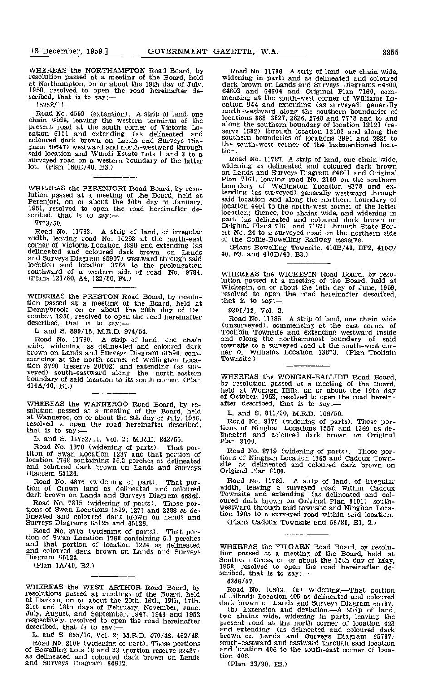WHEREAS the NORTHAMPTON Road Board, by resolution passed at a meeting of the Board, held at Northampton, on or about the 19th day of July, day 1950, resolved to open the road hereinafter de-<br>scribed, that is to say:---

1525 8/11.

Road No. 4559 (extension). A strip of land, one chain wide, leaving the western terminus of the present road at the south corner of Victoria Location 6151 and extending (as delineated and coloured dark brown on Lands and Surveys Dia- gram 65647) westward and north-westward through said location and Wundi Estate Lots 1 and 3 to a surveyed road on a western boundary of the latter lot. (Plan 160D/40, B3.)

WHEREAS the PERENJORI Road Board, by resolution passed at a meeting of the Board, held at Perenjori, on or about the 30th day of January, 1951, resolved to open the road hereinafter de-<br>scribed, that is to say:-

7773/50.

Road No. 11783. A strip of land, of irregular width, leaving road No. 10293 at the north-east of the Collie-Bowelling Railway Reserve.<br>
corner of Victoria Location 3890 and extending (as delineated and coloured dark brown and Surveys Diagram 65907) westward through said lodation and location 3784 to the prolongation southward of a western side of road No. 9784. (Plans 121/80, A4, 122/80, P4.)

WHEREAS the PRESTON Road Board, by resolu-<br>tion passed at a meeting of the Board, held at<br>Domybrook, on or about the 20th day of De-<br>eember, 1956, resolved to open the road hereinafter<br>described, that is to say:—<br>described

Road No. 11780. A strip of land, one chain wide, widening as delineated and coloured dark brown on Lands and Surveys Diagram 66590, com- mencing at the north corner of Wellington Location 3790 (reserve 20602) and extending (as sur-<br>veyed) south-eastward along the north-eastern<br>boundary of said location to its south corner. (Plan 414A/40, El.)

WHEREAS the WANNEROO Road Board, by resolution passed at a meeting of the Board, held at Wanneroo, on or about the 6th day of July, 1956, resolved to open the road hereinafter described, that is to say:  $\frac{1}{\text{L}}$  and S. 11752/11, Vol. 2; M.R.D. 843/55. That pure lineated a cloud No. 1878 (widening of pa

Road No. 1878 (widening of parts). That por-<br>titon of Swan Location 1237 and that portion of location 1763 containing 35.2 perches as delineated Account Frow Containing 35.2 percries as demneated site as delineated and coloured dark brown on Lands and Surveys Diagram 65124.

Road No. 4876 (widening of part). That por- tion of Crown land as delineated and coloured dark brown on Lands and Surveys Diagram 66369.

Road No. 7815 (widening of parts). Those portions of Swan Locations 1599, 1271 and 2288 as delineated and coloured dark brown on Lands and Surveys Diagrams 65125 and 65126.

Road No. 8705 (widening of parts). That por-<br>tion of Swan Location 1768 containing 5.1 perches<br>and that portion of location 1224 as delineated WHEF and coloured dark brown on Lands and Surveys Diagram 65124.

(Plan IA/40, B2.)

WHEREAS the WEST ARTHUR Road Board, by  $R_{02}$ resolutions passed at meetings of the Board, held<br>at Darkan, on or about the 20th, 16th, 19th, 17th, dark it<br>21st and 18th days of February, November, June. (b)<br>July, August, and September, 1947, 1948 and 1952 two c respectively, resolved to open the road hereinafter  $\frac{vw}{pv}$  described, that is to say:

described, that is to say:—<br>L, and S. 855/16, Vol. 2; M.R.D. 479/46, 452/48.<br>Road No. 2109 (widening of part). Those portions Road No. 2109 (widening of part). Those portions of Bowelling Lots 18 and 23 (portIon reserve 22437) as delineated and coloured dark brown on Lands and Surveys Diagram 64602.

Road No. 11786. A strip of land, one chain wide, widening in parts and as delineated and coloured dark brown on Lands and Surveys Diagrams 64600, 64603 and 64604 and Original Plan 7160, com-<br>mencing at the south-west corner of Williams Location 944 and extending (as surveyed) generally north-westward along the southern boundaries of locations 883, 2827, 2826, 2748 and 7778 and to and<br>along the southern boundary of location 12121 (re-<br>serve 1682) through location 12103 and along the southern boundaries of locations 3991 and 2839 to the south-west corner of the lastmentioned location.

Road No. 11787. A strip of land, one chain wide, widening as delineated and coloured dark brown on Lands and Surveys Diagram 64601 and Original Plan 7161, leaving road No. 2109 on the southern boundary of Wellington Location 4378 and ex-tending (as surveyed) generally westward through said location and along the northern boundary of location 4401 to the north-west corner of the latter location; thence, two chains wide, and widening in<br>part (as delineated and coloured dark brown on<br>Original Plans 7161 and 7162) through State For-

(Plans Bowelling Townsite, 410B/40, EF2, 410C/

WHEREAS the WICKEPIN Road Board, by reso-<br>lution passed at a meeting of the Board, held at<br>Wickepin, on or about the 16th day of June, 1959,

9395/12, Vol. 2.

Road No. 11785. A strip of land, one chain wide (unsurveyed), commencing at the east corner of Toolibin Townsite and extending westward inside and along the northernmost boundary of said townsite to a surveyed road at the south-west cor-<br>ner of Williams Location 13873. (Plan Toolibin<br>Townsite.)

WHEREAS the WONGAN-BALLIDU Road Board,<br>by resolution passed at a meeting of the Board,<br>held at Wongan Hills, on or about the 19th day of October, 1953, resolved to open the road herein- after described, that is to say:

L. and 5. 811/30, M.R.D. 106/50.

Road No. 8179 (widening of parts). Those portions of Ninghan Locations 1557 and 1369 as de-lineated and coloured dark brown on Original Plan 8100.

Road No. 8719 (widening of parts). Those portions of Ninghan Location 1365 and Cadoux Town-Original Plan 8100.

Road No. 11789. A strip of land, of irregular<br>width, leaving a surveyed road within Cadoux<br>Townsite and extending (as delineated and col-<br>oured dark brown on Original Plan 8101) south-<br>westward through said townsite and Ni tion 3905 to a surveyed road within said location.

(Plans Cadoux Townsite and 56/80, B1, 2.)

WHEREAS the YILGARN Road Board, by resolution passed at a meeting of the Board, held at Southern Cross, on or about the 15th day of May, 1958, resolved to open the road hereinafter de-

4346/57.

Road No. 10602. (a) Widening.—That portion<br>of Jilbadji Location 405 as delineated and coloured

dark brown on Lands and Surveys Diagram 65787.<br>
(b) Extension and deviation.—A strip of land, two chains wide, widening in parts, leaving the present road at the north corner of location 423 and extending (as delineated and coloured dark brown on Lands and Surveys Diagram 65787) south-eastward and eastward through said location and location 406 to the south-east corner of location 406.

(Plan 23/80, E2.)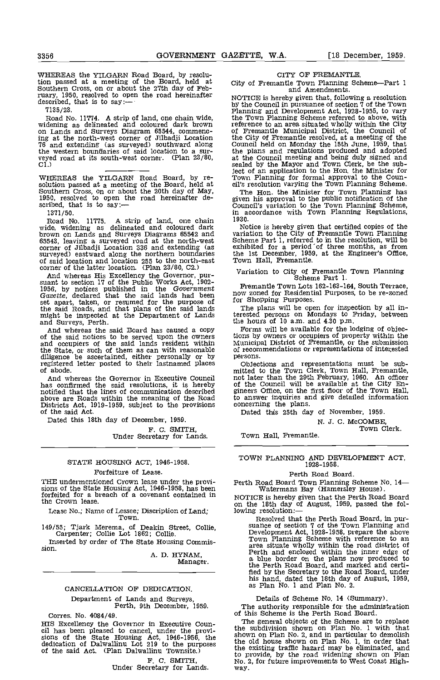WHEREAS the YILGARN Road Board, by resolution passed at a meeting of the Board, held at Southern Cross, on or about the 27th day of February, 1950, resolved to open the road hereinafter described, that is to say:—

7135/23.

Road No. 11774. A strip of land, one chain wide, widening as delineated and coloured dark brown on Lands and Surveys Diagram 65544, commencing at the north-west corner of Jilbadji Location 76 and extending (as surveyed) southward along the western bountlaries of said location to a surveyed road at its south-west corner. (Plan 23/80, Cl.)

WHEREAS the YILGARN Road Board, by resolution passed at a meeting of the Board, held at Southern Cross, on or about the 20th day of May, 1950, resolved to open the road hereinafter described, that is to say:-- 1371/50.

1371/50. Road No. 11775. A strip of land, one chain wide, widening as delineated and coloured dark brown on Lands and Surveys Diagrams 65542 and variat 65543, leaving a surveyed road at the north-west Schen<br>65543, leaving a surveyed road at the north-west Schen<br>corner of Jilbadji Location 336 and extending (as exhibi surveyed) eastward along the northern boundaries the of said location and location 255 to the north-east Tow corner of the latter location. (Plan 23/80, C2.)

And whereas His Excellency the Governor, pur-<br>suant to section 17 of the Public Works Act, 1902-<br>1956, by notices published in the Government Gazette, declared that the said lands had been solv zo<br>set apart, taken, or resumed for the purpose of for Sh the said Roads, and that plans of the said lands The<br>might be inspected at the Department of Lands terested<br>and Surveys, Perth. the house and Surveys, Perth.<br>of the said Board has caused a copy Form<br>of the said notices to

the State, or such of them as can with reasonable diligence be ascertained, either personally or by registered letter posted to their lastnamed places of abode.

And whereas the Governor in Executive Council has confirmed the said resolutions, it is hereby notified that the lines of communication described gineer above are Roads within the meaning of the Road to ans<br>Districts Act, 1919-1959, subject to the provisions concer<br>of the said Act. Date

of the said Act.<br>Dated this 18th day of December, 1959.

F. C. SMITH,<br>Under Secretary for Lands.

## STATE HOUSING ACT, 1946-1958. Forfeiture of Lease.

THE undermentioned Crown lease under the provisions of the State Housing Act, 1946-1958, has been forfeited for a breach of a covenant contained in the Crown lease.

Lease No.; Name of Lessee; Discription of Land; Town.

149/55; Tjark Merema, of Deakin Street, Collie, Carpenter; Collie Lot 1862; Collie.

Inserted by order of The State Housing Commis- sion.

A. D. HYNAM, Manager.

## CANCELLATION OF DEDICATION.

Department of Lands and Surveys, Perth, 9th December, 1959.

Corres. No. 4084/49.

HIS Excellency the Governor in Executive Council has been pleased to cancel, under the provisions of the State Housing Act, 1946-1956, the dedication of Dalwallinu Lot  $219$  to the purposes of the said Act. (Plan Dalwalli

F. C. SMITH,<br>Under Secretary for Lands.

## CITY OF FREMANTLE.

City of Fremantle Town Planning Scheme-Part 1 and Amendments.

NOTICE is hereby given that, following a resolution by the Council in pursuance of section 7 of the Town Planning and Development Act, 1928-1955, to vary the Town Planning Scheme referred to above, with reference to an area situated wholiy within the City of Fremantle Municipal District, the Council of the City of Fremantle resolved, at a meeting of the Council held on Monday the 15th June, 1959, that the plans and regulations produced and adopted at the Council meeting and being duly signed and sealed by the Mayor and Town Clerk, be the subject of an application to the Hon. the Minister for Town Planning for formal approval to the Coun- cil's resolution varying the Town Planning Scheme.

The Hon. the Minister for Town Planning has given his approval to the public notification of the Council's variation to the Town Planning Scheme, in accordance with Town Planning Regulations,

1930.<br>Notice is hereby given that certified copies of the<br>variation to the City of Fremantle Town Planning Notice is hereby given that certified copies of the variation to the City of Fremantle Town Planning Scheme Part 1, referred to in the resolution, will be exhibited for a period of three months, as from the 1st December, 1959, at the Engineer's Office, Town Hall, Fremantle.

# Variation to City of Fremantle Town Planning Scheme Part 1.

Fremantle Town Lots 162-163-164, south Terrace, now zoned for Residential Purposes, to be re-zoned for Shopping Purposes.

The plans will be open for inspection by all interested persons on Mondays to Friday, between the hours of 10 a.m. and  $4.30$  p.m.

Forms will be available for the lodging of objections by owners or occupiers of property within the Municipal District of Fremantle, or the submission of recommendations or representations of intecested persons.

persons. Objections and representations must be sub-<br>mitted to the Town Clerk, Town Hall, Fremantle,<br>not later than the 29th February, 1960. An officer<br>of the Council will be available at the City En-<br>gineers Office, on th

Dated this 25th day of November, 1959.

N. J. C. McCOMBE,<br>Town Clerk.

Town Hall, Fremantle.

TOWN PLANNING AND DEVELOPMENT ACT, 1928-1958.

## Perth Road Board.

Perth Road Board Town Planning Scheme No. 14-<br>Watermans Bay (Hamersley House).

NOTICE is hereby given that the Perth Road Board on the 18th day of August, 1959, passed the following resolution:—

Resolved that the Perth Road Board, in pur-<br>suance of section 7 of the Town Planning and<br>Development Act, 1928-1958, prepare the above<br>Town Planning Scheme with reference to an area situate wholly within the road district of Perth and enclosed within the inner edge of a blue border on the plans now produced to the Perth Road Board, and marked and certifled by the Secretary to the Road Board, under his hand, dated the 18th day of August, 1959, as Plan No. 1 and Plan No. 2.

Details of Scheme No. 14 (Summary).

The authority responsible for the administration of this Scheme is the Perth Road Board.

The general objects of the Scheme are to replace the subdivision shown on Plan No. 1 with that shown on Plan No. 2, and in particular to demolish the old house shown on Plan No. 1, in order that the existing traffic hazard may be eliminated, and to provide, by the road widening shown on Plan No. 2, for future improvements to West Coast Highway.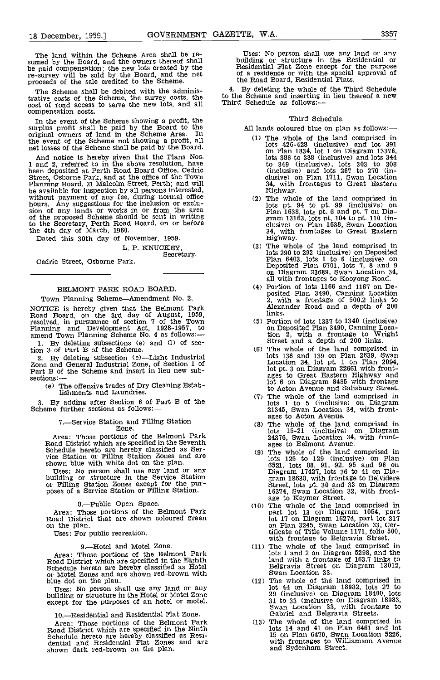The land within the Scheme Area shall be resumed by the Board, and the owners thereof shall **be paid compensation;** the new lots created by the re-survey will be sold by the Board, and the net proceeds of the sale credited to the Scheme.

The Scheme shall be debited with the administrative costs of the Scheme, the survey costs, the cost of road access to serve the new lots, and all compensation costs.

In the event of the Scheme showing a profit, the surplus profit shall be paid by the Board to the original owners of land in the Scheme Area. In the event of the Scheme not showing a profit, all net losses of the Scheme shall be paid by the Board.

And notice is hereby given that the Plans Nos.<br>1 and 2, referred to in the above resolution, have<br>been deposited at Perth Road Board Office, Cedric<br>Street, Osborne Park, and at the office of the Town<br>Planning Board, 31 Mal to the Secretary, Perth Road Board, on or before the 4th day of March, 1960. Dated this 30th day of November, 1959.

L. P. KNUCKEY,<br>
Secretary.<br>
Cedric Street, Osborne Park.

## BELMONT PARK ROAD BOARD.

Town Planning Scheme-Amendment No. 2.

NOTICE is hereby given that the Belmont Park Road Board, on the 3rd day of August, 1959, resolved, in pursuance of section '7 of the Town Planning and Development Act, 1928-1957, to amend Town Planning Scheme No. 4 as follows:-

By deleting subsections (e) and (1) of section 3 of Part B of the Scheme.

By deleting subsection (e)-Light Industrial Zone and General Industrial Zone, of Section 1 of Part B of the Scheme and insert in lieu new subsections:

(e) The offensive trades of Dry Cleaning Establishments and Laundries.

3. By adding after Section 6 of Part B of the Scheme further sections as follows:—

# 7.-Service Station and Filling Station Zone.

Area: Those portions of the Belmont Park<br>Road District which are specified in the Seventh<br>Schedule hereto are hereby classified as Ser-<br>vice Station or Filling Station Zones and are shown blue with white dot on the plan.

Uses: No person shall use any land or any building or structure in the Service Station or Filling Station Zones except for the pur- poses of a Service Station or Filling Station.

8.--Public Open Space.<br>Area: Those portions of the Belmont Park<br>Road District that are shown coloured green<br>on the plan.

Uses: For public recreation.

## 9.-Hotel and Motel Zone.

Area: Those portions of the Belmont Park Road District which are specified in the Eighth Schedule hereto are hereby classified as Hotel or Motel Zones and are shown red-brown with blue dot on the plan.

blue dot on the plan.<br>Uses: No person shall use any land or any building or structure in the Hotel or Motel Zone except for the purposes of an hotel or motel.

10.-Residential and Residential Flat Zone.

Area: Those portions of the Belmont Park Road District which are specified in the Ninth Schedule hereto are hereby classified as Residential and Residential Flat Zones and are shown dark red-brown on the plan.

Uses: No person shall use any land or any building or structure in the Residential or Residential Flat Zone except for the purpose of a residence or with the special approval of the Road Board, Residential Flats.

By deleting the whole of the Third Schedule to the Scheme and inserting in lieu thereof a new<br>Third Schedule as follows:—

## Third Schedule.

All lands coloured blue on plan as follows:-

- The whole of the land comprised in lots 426-428 (inclusive) and lot 391 on Plan 1834, lot 1 on Diagram 13376, lots 386 to 388 (inclusive) and lots 344 to 349 (inclusive), lots 303 to 308 (inclusive) and lots 267 to 270 (in-<br>clusive) on Plan 1711, Swan Location<br>34, with frontages to Great Eastern<br>Highway.<br>The whole of the land comprised in<br>lots pt. 94 to pt. 99 (inclusive) on
- Plan 1638, lots pt. 99 (inclusive) on Plan 1638, lots pt. 6 and pt. 7 on Dia-<br>gram 13163, lots pt. 104 to pt. 110 (in-<br>clusive) on Plan 1638, Swan Location<br>34, with frontages to Great Eastern<br>Highway.
- lots 290 to 292 (inclusive) on Deposited Plan 6403, lots 1 to 6 (inclusive) on Deposited Plan 6101, lots 7, 8 and 9 on Diagram 23689, Swan Location 34, all with frontages to Kooyong Road.
- Portion of lots 1166 and 1167 on Deposited Plan 3490, Canning Location 2, with a frontage of 500.2 links to Alexander Road and a depth of 200 links.
- Portion of lots 1337 to 1340 (inclusive) on Deposited Plan 3490, Canning Locaon 2, with a frontage to Wright<br>Street and a depth of 200 links.<br>The whole of the land comprised in
- lots 138 and 139 on Plan 2639, Swan Location 34, lot Pt. 1 on Plan 2094, lot pt. 3 on Diagram 22661 with front- ages to Great Eastern Highway and lot 6 on Diagram 8485 with frontage to Acton Avenue and Salisbury Street.
- The whole of the land comprised in lots <sup>1</sup> to 5 (inclusive) on Diagram 21345, Swan Location 34, with front-
- ages to Acton Avenue. The whole of the land comprised in lots 15-21 (inclusive) on Diagram 24376, Swan Location 34, with front-<br>ages to Belmont Avenue.<br>The whole of the land comprised in
- lots 125 to 129 (inclusive) on Plan 6521, lots 88, 91, 92, 95 and 96 on Diagram 17427, lots 36 to 41 on Dia- gram 18638, with frontage to Belvidere Street, lots pt. 30 and 33 on Diagram
- 16374, Swan Location 32, with front- age to Keymer Street. The whole of the land comprised in part lot 13 on Diagram 1054, part lot 17 on Diagram 16274, part lot 317 on Plan 3245, Swan Location 33, Certificate of Title Volume 1171, folio 500, with frontage to Belgravia Street. The whole of the land comprised in
- lots 1 and 2 on Diagram 5298, and the land with a frontage of 163 7 links to Belgravia Street on Diagram 13012, Swan Location 33.
- The whole of the land comprised in lot 44 on Diagram 18962, lots 27 to 20 (inclusive) on Diagram 19400, lots 31 to 33 (inclusive on Diagram 18983, Swan Location 33, with frontage to Gabriel and Belgravia Streets.
- lots 14 and 41 on Plan 6461 and lot 15 on Plan 6470, Swan Location 5226, with frontages to Williamson Avenue and Sydenham Street.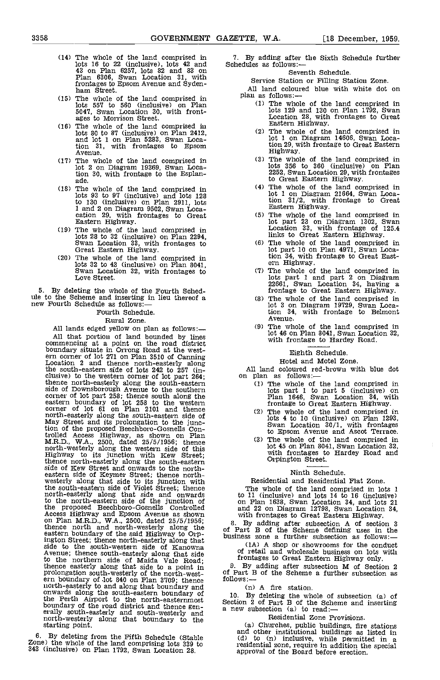- The whole of the land comprised in 7. I<br>lots 16 to 22 (inclusive), lots 42 and 83 on Plan 6257, lots 82 and 83 on<br>Plan 6306, Swan Location 31, with frontages to Epsom Avenue and Syden- ham Street.
- The whole of the land comprised in lots 557 to 560 (inclusive) on Plan 5047, Swan Location 30, with front-<br>ages to Morrison Street.<br>The whole of the land comprised in
- lots 80 to 87 (inclusive) on Plan 2412, and lot 1 on Plan 5283, Swan Location 31, with frontages to Epsom Avenue.
- The whole of the land comprised in lot 2 on Diagram 19369, Swan Location 30, with frontage to the Esplan- ade,
- The whole of the land comprised in lets 93 to 97 (inclusive) and lots 128 1 and 2 on Diagram 9502, Swan Loca-<br>cation 29, with frontages to Great<br>Eastern Highway.
- The whole of the land comprised in lots 28 to 32 (inclusive) on Plan 2294, Swan Location 33, with frontages to Great Eastern Highway.
- The whole of the land comprised in lots 32 to 43 (inclusive) on Plan 8041, Swan Location 32, with frontages to Love Street.

5. By deleting the whole of the Fourth Sched-<br>ule to the Scheme and inserting in lieu thereof a<br>new Fourth Schedule as follows:-

Fourth Schedule.

Rural Zone,

All lands edged yellow on plan as follows:-All that portion of land bounded by lines<br>
commencing at a point on the road district boundary situate in Orrong Road at the west-<br>
ern corner of lot 271 on Plan 3510 of Canning<br>
Location 2 and the west-<br>
Eighth Schedule.<br> Location 2 and thence north-easterly along the south-eastern side of lots 242 to 257 (in-<br>clusive) to the western corner of lot part 264; on plan as follows: thence north-easterly along the south-eastern<br>side of Downsborough Avenue to the southern corner of lot part 258; thence south along the eastern boundary of lot 258 to the western corner of lot 61 on Plan 2101 and thence north-easterly along the south-eastern side of May Street and its prolongation to the junc-tion of the proposed Eeechboro-Gosnells Controlled Access Highway, as shown on Plan M.R.D., WA., 2500, dated 25/5/1956; thence north-westerly along the western side of this Highway to its junction with ICew Street; thence north-easterly along the south-eastern side of Kew Street and onwards to the northeastern side of Keymer Street; thence north-<br>westerly along that side to its junction with the south-eastern side of Violet Street; thence north-easterly along that side and onwards to the north-eastern side of the junction of the proposed Beechboro-Gosnells Controlled a<br>
Access Highway and Epsom Avenue as shown on Plan M.R.D., W.A., 2500, dated 25/5/1956; s.<br>
thence north and north-westerly along the of P<sub>2</sub><br>
eastern boundary of the said Highwa ington Street; thence north-easterly along that side to the south-western side of Kanowna Avenue; thence south-easterly along that side to the northern side of Maida Vale Road; thence easterly along that side to a point in  $\frac{9}{5}$ . I prolongation south-westerly of the north-west-<br>ern boundary of Jot 840 on Plan 3709; thence<br>north-easterly to and along that boundary and<br>onwards along the south-eastern boundary of<br>the Perth Airport to the north-easternmo

By deleting from the Fifth Schedule (Stable Zone) the whole of the land comprising lots 339 to 343 (inclusive) on Plan 1792, Swan Location 28.

7. By adding after the Sixth Schedule further Schedules as follows:-

## Seventh Schedule.

Service Station or Filling Station Zone. All land coloured blue with white dot on plan as follows: $\frac{1}{1}$  The whole of the land comprised in

- lots 129 and 130 on Plan 1792, Swan Location 28, with frontages to Great Eastern Highway.
- The whole of the land comprised in lot 1 on Diagram 14606, Swan Location 29 with frontage to Great Eastern Highway.
- The whole of the land comprised in lots 356 to 360 (inclusive) on Plan 2252, Swan Location 29, with frontages to Great Eastern Highway.
- The whole of the land comprised in lot 1 on Diagram 21664, Swan Loca-tion 31/2, with frontage to Great Eastern Highway.
- (5) The whole of the land comprised in lot part 23 on Diagram 1302, Swan Location 33, with frontage of 125.4 links to Great Eastern Highway. The whole of the land comprised in
- lot part 10 on Plan 4971, Swan Loca-tion 34, with frontage to Great East- ern Highway.
- The whole of the land comprised in lots part 1 and part 2 on Diagram 22661, Swan Location 34, having a frontage to Great Eastern Highway. The whole of the land comprised in
- lot 3 on Diagram 19729, Swan Loca-tion 34, with frontage to Belmont Avenue.
- (9) The whole of the land comprised in lot 46 on Plan 8041, Swan Location 32, with frontage to Hardey Road.

## Eighth Schedule.

Hotel and Motel Zone.

All land coloured red-brown with blue dot<br>on plan as follows:—<br>(1) The whole of the land comprised in

- lots part 1 to part 5 (inclusive) on Plan 1646, Swan Location 34, with frontage to Great Eastern Highway. The whole of the land comprised in
- lots 4 to 10 (inclusive) on Plan 1293, Swan Location 30/1, with frontages
- to Epsom Avenue and Ascot Terrace. The whole of the land comprised in (3) The whole of the land comprised in lot 45 on Plan 8041, Swan Location 32, with frontages to Hardey Road and Orpington Street.

## Ninth Schedule.

Residential and Residential Flat Zone.

The whole of the land comprised in lots 1 to 11 (inclusive) and lots 14 to 16 (inclusive) on Plan 1638, Swan Location 34, and lots 21 and 22 on Diagram 12798, Swan Location 34, with frontages to Great Eastern Highway.

8. By adding after subsection A of section 3 of Part B of the Scheme defining uses in the business zone a further subsection as follows:-- (1A) A shop or showrooms for the conduct

of retail and wholesale business on lots with

frontages to Great Eastern Highway only.<br>
9. By adding after subsection M of Section 2 of Part B of the Scheme a further subsection as follows:-

(n) A fire station.

10. By deleting the whole of subsection (a) of Section 2 of Part B of the Scheme and inserting a new subsection  $(a)$  to read:—

Residential Zone Provisions.

(a) Churches, public buildings, fire stations and other institutional buildings as listed in (d) to (n) inclusive, while permitted in a residential zone, require in addition the special approval of the Board before erection.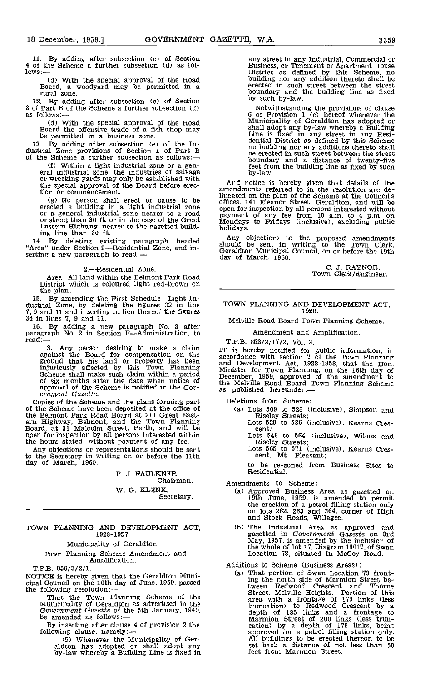11. By adding after subsection (c) of Section 4 of the Scheme a further subsection (d) as fol-<br>lows:—

(d) With the special approval of the Road Board, a woodyard may be permitted in a rural zone.

By adding after subsection (c) of Section 3 of Part B of the Scheme a further subsection (d) as follows:—

(d) With the special approval of the Road Board the offensive trade of a fish shop may be permitted in a business zone.

By adding after subsection (e) of the In- dustrial Zone provisions of Section 1 of Part B of the Scheme a further subsection as follows:-

(f) Within a light industrial zone or a general industrial zone, the industries of salvage<br>or wrecking yards may only be established with the special approval of the Board before erection or commencement.

 $(g)$  No person shall erect or cause to be  $\frac{m}{\text{m}}$ erected a building in a light industrial zone or a general industrial zone nearer to a road open for street than 30 ft. or in the case of the Great Monda Eastern Highway, nearer to the gazetted build- ing line than 30 ft.

By deleting existing paragraph headed  $\frac{Any}{should}$ "Area" under Section 2—Residential Zone, and in-<br>serting a new paragraph to read:-

2.-Residential Zone.

Area: All land within the Belmont Park Road District which is coloured light red-brown on<br>the plan.

the plan. By amending the First ScheduleLight In- dustrial Zone, by deleting the figures 32 in line 7, 9 and 11 and inserting in lieu thereof the figures 34 in lines 7, 9 and 11.

16. By adding a new paragraph No. 3 after paragraph No. 2 in Section E-Administration, to read:-

3. Any person desiring to make a claim against the Board for compensation on the accordance will also accordance with a ground that his land or property has been injuriously affected by this Town Planning and D<br>Scheme shall make such claim within a period Minister<br>of six months after the date when notice of the M approval of the Scheme is notified in the Gov-<br>ernment Gazette.

Copies of the Scheme and the plans forming part<br>of the Scheme have been deposited at the office of<br>the Belmont Park Road Board at 211 Great East-<br>ern Highway, Belmont, and the Town Planning<br>Board, at 31 Malcolm Street, Per open for inspection by all persons interested within<br>the hours stated, without payment of any fee.<br>Any objections or representations should be sent

Any objections or representations should be sent to the Secretary in writing on or before the 11th day of March, 1960.

> P. J. FAULKNER, Chairman. W. G. KLENK,<br>Secretary.

TOWN PLANNING AND DEVELOPMENT ACT, 1928-195 7.

Municipality of Geraldton.

# Town Planning Scheme Amendment and Amplification.

T.P.B. 856/3/2/1.

NOTICE is hereby given that the Geraldton Municipal Council on the 10th day of June, 1959, passed the following resolution:—

That the Town Planning Scheme of the Municipality of Geraldton as advertised in the Government Gazette of the 5th January, 1940, be amended as follows:—

By inserting after clause 4 of provision 2 the following clause, namely:

CS) Whenever the Municipality of Ger- aldton has adopted or shall adopt any by-law whereby a Building Line is fixed in

any street in any Industrial, Commercial or<br>Business, or Tenement or Apartment House<br>District as defined by this Scheme, no building nor any addition thereto shall be erected in such street betveen the street boundary and the building line as fixed by such by-law.

Notwithstanding the provisions of clause<br>6 of Provision 1 (c) hereof whenever the<br>Municipality of Geraldton has adopted or<br>shall adopt any by-law whereby a Building<br>Line is fixed in any street in any Resi-<br>dential District boundary and a distance of twenty-five feet from the building line as fixed by such by-law.

And notice is hereby given that details of the amendments referred to in the resolution are deopen for inspection by all persons interested without<br>payment of any fee from 10 a.m. to 4 p.m. on<br>Mondays to Fridays (inclusive), excluding public

Any objections to the proposed amendments should be sent in writing to the Town Clerk, Geraldton Municipal Council, on or before the 19th day of March, 1960.

C. J. RAYNOR, Town Clerk/Engineer.

TOWN PLANNING AND DEVELOPMENT ACT, 1928.

Melville Road Board Town Planning Scheme.

## Amendment and Amplification.

T.P.B. 853/2/17/2, Vol. 2.

IT is hereby notified for public information, in accordance with section 7 of the Town Planning and Development Act, 1928-1958, that the Hon.<br>Minister for Town Planning, on the 16th day of<br>December, 1959, approved of the amendment to the Melville Road Board Town Planning Scheme as published hereunder:

Deletions from Scheme:

Ca) Lots 509 to 528 (inclusive), Simpson and Riseley Streets; Lots 529 to 536 (inclusive), Kearns Cres-

Lots  $546$  to  $564$  (inclusive), Wilcox and

Riseley Streets; Lots 565 to 571 (inclusive), Kearns Cres- cent, Mt. Pleasant;

to be re-zoned from Business Sites to Residential.

Amendments to Scheme:

- Ca) Approved Business Area as gazetted on 19th June, 1959, is amended to permit the erection of a petrol filling station only on lots 262, 263 and 264, corner of High and Stock Roads, Willagee.
- (b) The Industrial Area as approved and gazetted in Government Gazette on 3rd<br>May, 1957, is amended by the inclusion of the whole of lot 17, Diagram 18017, of Swan Location 73, situated in McCoy Road.

## Additions to Scheme (Business Areas):

(a) That portion of Swan Location 73 fronting the north side of Marmion Street be-tween Redwood Crescent and Thorne Street, Melville Heights. Portion of this area with a frontage of 170 links (less truncation) to Redwood Crescent by a depth of 185 links and a frontage to Marmion Street of 200 links (less trun-<br>cation) by a depth of 175 links, being approved for a petrol filling station only. All buildings to be erected thereon to be set back a distance of not less than 50 feet from Marmion Street.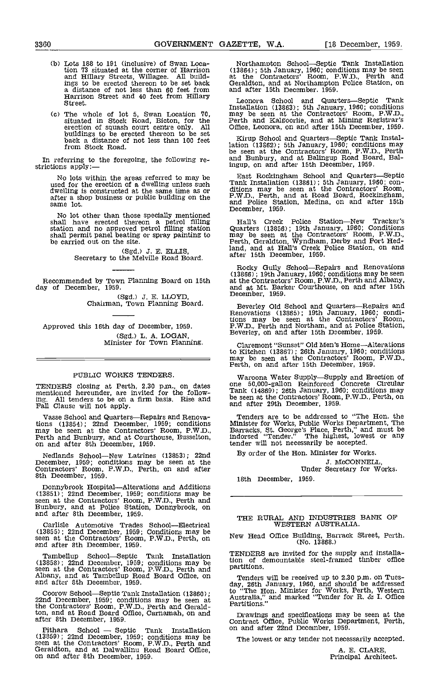- Lots 188 to 191 (inclusive) of Swan Loca-tion 73 situated at the corner of Harrison and Hillary Streets, Willagee. All build-ings to be erected thereon to be set back a distance of not less than 60 feet from and after 15th<br>
Harrison Street and 40 feet from Hillary Leonora Street.
- The whole of lot 5, Swan Location 70, may<br>situated in Stock Road, Bicton, for the Perth erection of squash court centre only. All C<br>buildings to be erected thereon to be set<br>back a distance of not less than 100 feet back a distance of not less than 100 feet<br>from Stock Road.

In referring to the foregoing, the following re- strictions apply:

No lots within the areas referred to may be used for the erection of a dwelling unless such dwelling is constructed at the same time as or after a shop business or public building on the same lot.

No lot other than those specially mentioned shall have erected thereon a petrol filling station and no approved petrol filling station Quart shall permit panel beating or spray painting to may be carried out on the site. Perth

(Sgd.) J. E. ELLIS,<br>Secretary to the Melville Road Board.

Recommended by Town Planning Board on 15th day of December, 1959.

(Sgd.) J. E. LLOYD,<br>Chairman, Town Planning Board.

Approved this 16th day of December, 1959. (Sgd.) L. A. LOGAN,<br>Minister for Town Planning.

## PUBLIC WORKS TENDERS.

TENDERS closing at Perth, 2.30 p.m., on dates one<br>mentioned hereunder, are invited for the following. All tenders to be on a firm basis. Rise and be see Fall Clause will not apply.

Vasse School and Quarters—Repairs and Renovations (13854); 22nd December, 1959; conditions may be seen at the Contractors' Room. P.W.D., Perth and Bunbury, and at Courthouse, Busselton, on and after 8th December, 1959.

Nedlands School—New Latrines (13853); 22nd  $B_3$ December, 1959; conditions may be seen at the Contractors' Room, P.W.D., Perth, on and after 8th December, 1959.

Donnybrook Hospital—Alterations and Additions (13851); 22nd December, 1959; conditions may be seen at the Contractors Room, P.W.D., Perth and Bunbury, and at Police Station, Donnybrook, on and after 8th December, 1959.

Carlisle Automotive Trades School—Electrical<br>
(13855); 22nd December, 1959; Conditions may be<br>
seen at the Contractors' Room, P.W.D., Perth, on New 1 and after 8th December, 1959.

Tambellup School-Septic Tank Installation<br>
(13858); 22nd December, 1959; conditions may be<br>
seen at the Contractors' Room, P.W.D., Perth and<br>
Albany, and at Tambellup Road Board Office, on<br>
and after 8th December, 1959.<br>
d

Coorow School—Septic Tank Installation (13860); <sup>to</sup> "Il<br>22nd December, 1959; conditions may be seen at austra<br>the Contractors' Room, P.W.D., Perth and Gerald-<br>ton, and at Road Board Office, Carnamah, on and Dra after 8th December, 1959.

Pithara School -- Septic Tank Installation <sup>On an</sup> (13859); 22nd December, 1959; conditions may be seen at the Contractors' Room, P.W.D., Perth and Geraldton, and at Dalwallinu Road Board Office, on and after 8th December,

Northampton School—Septic Tank Installation (13864); 5th January, 1960; conditions may be seen at the Contractors' Room, P.W.D., Perth and Geraldton, and at Northampton Police Station, on and after 15th December. 1959.

Leonora School and Quarters—Septic Tank Installation (13863); 5th January, 1960; conditions may be seen at the Contractors' Room, P.W.D., Perth and Kalgoorlie, and at Mining Registrar's Office, Leonora, on and after 15th December, 1959.

Kirup School and Quarters-Septic Tank Installation (13862); 5th January, 1960; conditions may be seen at the Contractors' Room, P.W.D., Perth and Bunbury, and at Balingup Road Board, Balingup, on and after 15th December, 1959.

East Rockingham School and Quarters—Septic<br>Tank Installation (13861); 5th January, 1960; con-<br>ditions may be seen at the Contractors' Room,<br>P.W.D., Perth, and at Road Board, Rockingham,<br>and Police Station, Medina, on and a December, 1959.

Hall's Creek Police Station—New Tracker's Quarters (13856); 19th January, 1960; Conditions may be seen at the Contractors' Room, P.W.D., Perth, Geraldton, Wyndham, Derby and Port liedland, and at Hall's Creek Police Station, on and after 15th December, 1959.

Rocky Gully School-Repairs and Renovations (13866); 19th January, 1960; conditions may be seen<br>at the Contractors' Room, P.W.D., Perth and Albany,<br>and at Mt. Barker Courthouse, on and after 15th December, 1959.

Beverley Old School and Quarters—Repairs and<br>Renovations (13865); 19th January, 1960; conditions may be seen at the Contractors' Room, P.W.D., Perth and Northam, and at Police Station, Beverley, on and after 15th December, 1959.

Claremont "Sunset" Old Men's Home—Alterations to Kitchen (13867); 26th January, 1960; conditions may be seen at the Contractors' Room, P.W.D., Perth, on and after 15th December, 1959.

Waroona Water Supply—Supply and Erection of<br>one 50,000-gallon Reinforced Concrete Circular<br>Tank (14869); 26th January, 1960; conditions may be seen at the Contractors' Room, P.W.D., Perth, on and after 29th December, 1959.

Tenders are to be addressed to "The Hon. the Minister for Works, Public Works Department, The Barracks, St. George's Place, Perth," and must be indorsed "Tender." The highest, lowest or any tender will not necessarily be accepted.

By order of the Hon. Minister for Works.

J. McCONNELL, Under Secretary for Works.

18th December, 1959.

## THE RURAL AND INDUSTRIES BANK OF WESTERN AUSTRALIA.

New Head Office Building, Barrack Street, Perth. (No. 13868.)

TENDERS are invited for the supply and installa-tion of demountable steel-framed timber office partitions.

Tenders will be received up to 2.30 p.m. on Tues- day, 26th January, 1960, and should be addressed to "The Hon. Minister for Works, Perth, Western Australia" and marked "Tender for R. & I. Office Partitions."

Drawings and specifications may be seen at the Contract Office, Public Works Department, Perth, on and after 22nd December, 1959.

The lowest or any tender not necessarily accepted.

A. B. CLARE, Principal Architect.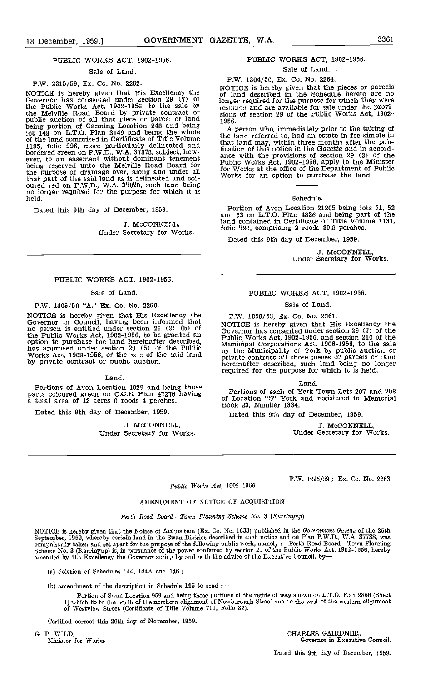## PUBLIC WORKS ACT, 1902-1956.

#### Sale of Land

## P.W. 2315/59, Ex. Co. No. 2262.

NOTICE is hereby given that His Excellency the  $\frac{1}{12}$  of  $\frac{1}{18}$  Governor has consented under section 29 (7) of  $\frac{1}{10}$ the Public Works Act, 1902-1956, to the sale by resume the Melville Road Board by private contract or public auction of all that piece or parcel of land 1956. being portion of Canning Location 248 and being and head and lot 148 on L.T.O. Plan 3149 and being the whole the land comprised in Certificate of Title Volume the land comprised in Certificate of Title Volume the land comprised in Certificate of Title Volume the land bordered green on P.W.D., W.A. 37878, subject, how-<br>ever, to an easement without dominant tenement and<br>being reserved unto the Melville Road Board for Pr the purpose of drainage over, along and under all that part of the said land as is delineated and col-<br>
oured red on P.W.D., W.A. 37878, such land being<br>
no longer required for the purpose for which it is<br>
held.

Dated this 9th day of December, 1959.

## .5. McCONNELL, Under Secretary for Works.

## PUBLIC WORKS ACT, 1902-1956.

## Sale of Land.

## P.W. 1405/58 "A," Ex. Co. No. 2260.

NOTICE is hereby given that His Excellency the Governor in Council, having been informed that NOTICE is hereby given that His Excellency the no person is entitled under section 29 (3) (b) of Governor has consented under se the Public Works Act, 1902-1956, to be granted an option to purchase the land hereinafter described, and has approved under section 29 (5) of the Public  $\frac{h}{h}$  the Works Act, 1902-1956, of the sale of the said land by private contract or public auction.

#### Land.

Portions of Avon Location 1029 and being those<br>parts coloured green on C.C.E. Plan 47276 having  $\overline{C}^F$  Le a total area of 12 acres 0 roods 4 perches.

Dated this 9th day of December, 1959.

J. McCONNELL. Under Secretary for Works.

## PUBLIC WORKS ACT, 1902-1956.

## Sale of Land.

#### P.W. 1304/50, Ex, Co. No. 2264.

NOTICE is hereby given that the pieces or parcels of land described in the Schedule hereto are no longer required for the purpose for which they were resumed and are available for sale under the provi- sions of section 29 of the Public Works Act, 1902- 1956.

A person who, immediately prior to the taking of the land referred to, had an estate in fee simple in that land may, within three months after the publication of this notice in the Gazette and in accord-<br>ance with the provisions of section 29 (3) of the<br>Public Works Act, 1902-1956, apply to the Minister<br>for Works at the office of the Department of Public<br>Works for an op

### Schedule.

Portion of Avon Location 21205 being lots 51, 52 and 53 on L.T,O. Plan 4826 and being part of the land contained in Certificate of Title Volume 1131, folio 720, comprising 2 roods 39.8 perches.

Dated this 9th day of December, 1959.

J. McCONNELL,<br>Under Secretary for Works.

## PUBLIC WORKS ACT, 1902-1956.

### Sale of Land.

## P.W. 1858/53, Ex. Co. No. 2261.

Solution has constant to an account 29 (17) of the<br>Municipal Corporations Act, 1906-1956, to the sale<br>by the Municipality of York by public auction or<br>private contract all those pieces or parcels of land hereinafter described, such land being no longer required for the purpose for which it is held.

Land.

Portions of each of York Town Lots 207 and 208 of Location "5" York and registered in Memorial Book 23, Number 1334.

Dated this 9th day of December, 1959.

J. McCONNELL, Under Secretary for Works.

P.W. 1295/59; Ex. Co. No. 2263

#### Public Works Act, 1902-1956

## AMENDMENT OF NOTICE OF ACQUISITION

#### Perth Road Board-Town Planning Scheme No. 3 (Karrinyup)

NOTICE is hereby given that the Notice of Acquisition (Ex. Co. No. 1633) published in the Government Gazette of the 25th<br>September, 1959, whereby certain land in the Swan District described in such notice and on Plan P.W.D compulsorily taken and set apart for the purpose of the following public work, namely :—Perth Road Board—Town Planning<br>Scheme No. 3 (Karrinyup) is, in pursuance of the power conferred by section 21 of the Public Works Act, amended by His Excellency the Governor acting by and with the advice of the Executive Council, by

(a) deletion of Schedules 144, 144A and 146;

(b) amendment of the description in Schedule 145 to read :-

Portion of Swan Location 959 and being these portions of the rights of way shown oa L.T.O. Plan 2856 (Sheet 1) which lie to the north of the northern alignment of Newborough Street and to the west of the western alignment of Westview Street (Certificate of Title Volume Ill, Folio 82).

Certified correct this 26th day of November, 1959.

G. P. WILD,<br>
Minister for Works.<br>
CHARLES GAIRDNER,<br>
Governor in Executiv Governor in Executive Council.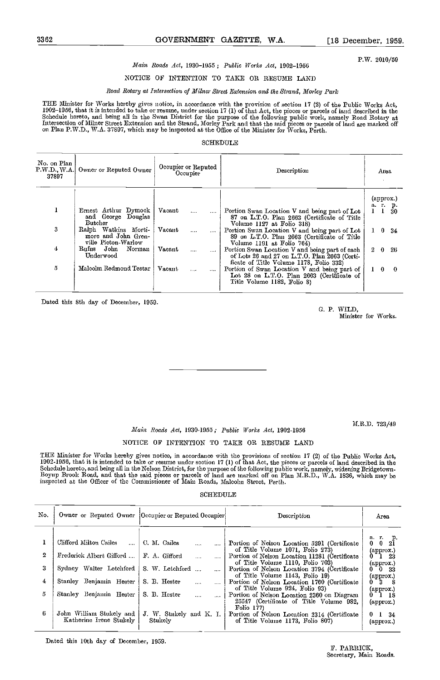P.W. 2010/59

## Main Roads Act, 1930-1955; Public Works Act, 1902-1956

## NOTICE OF INTENTION TO TAKE OR RESUME LAND

## Road Rotary at Intersection of Milner Street Extension and the Strand, Morley Park

THE Minister for Works hereby gives notice, in accordance with the provision of section 17 (2) of the Public Works Act,<br>1902–1956, that it is intended to take or resume, under section 17 (1) of that Act, the pieces or parc Schedule hereto, and being all in the Swan District for the purpose of the following public work, namely Road Rotary at<br>Intersection of Milner Street Extension and the Strand, Morley Park and that the said pieces or parcel

## SOHEDULE

| No. on Plan<br>Owner or Reputed Owner<br>P.W.D. W.A.<br>37897 |                                                                    | Occupier or Reputed<br>Occupier |          |          | Description                                                                                                                                |              |    | Area                 |  |  |
|---------------------------------------------------------------|--------------------------------------------------------------------|---------------------------------|----------|----------|--------------------------------------------------------------------------------------------------------------------------------------------|--------------|----|----------------------|--|--|
|                                                               |                                                                    |                                 |          |          |                                                                                                                                            |              |    | (approx.)<br>а г. р. |  |  |
|                                                               | Ernest Arthur Dymock<br>and George Douglas<br>Butcher              | Vacant                          | $\cdots$ |          | Portion Swan Location V and being part of Lot<br>87 on L.T.O. Plan 2663 (Certificate of Title<br>Volume 1127 at Foho 318)                  |              |    | 30                   |  |  |
| 3                                                             | Ralph Watkins Morti-<br>more and John Gren-<br>ville Picton-Warlow | Vacant                          | .        |          | Portion Swan Location V and being part of Lot<br>89 on L.T.O. Plan 2663 (Certificate of Title<br>Volume 1191 at Folio 764)                 | $\mathbf{1}$ |    | $0 \t34$             |  |  |
| 4                                                             | Rufus John<br>Norman<br>Underwood                                  | Vacant                          | $\cdots$ | $\cdots$ | Portion Swan Location V and being part of each<br>of Lots 26 and 27 on L.T.O. Plan 2663 (Certi-<br>ficate of Title Volume 1178, Folio 332) | 2            | -0 | -26                  |  |  |
| 5                                                             | Malcolm Redmond Testar                                             | Vacant                          | $\cdots$ |          | Portion of Swan Location V and being part of<br>Lot 28 on L.T.O. Plan 2663 (Certificate of<br>Title Volume 1182, Foho 8)                   | $\mathbf{I}$ |    | $0\quad 0$           |  |  |

Dated this 8th day of December, 1950.

C. P. WILD, Minister for Works.

M.R.D. 723/49

## Main Roads Act, 1930-1955 ; Public Works Act, 1902-1956

## NOTICE OF INTENTION TO TAKE OR RESUME LAND

THE Minister for Works hereby gives notice, in accordance with the provisions of section 17 (2) of the Public Works Act,<br>1902-1956, that it is intended to take or resume under soction 17 (1) of that Act, the pieces or parc Boyup Brook Road, and that the said pieces or parcels of land are marked off on Plan M.R.D., W.A. 1836, which may be<br>inspected at the Officer of the Commissioner of Main Roads, Malcolm Street, Perth.

### SCHEDULE

| No.    |                                                     | Owner or Reputed Owner  Occupier or Reputed Occupier | Description                                                                                                                                                           | Агэа                                                                    |
|--------|-----------------------------------------------------|------------------------------------------------------|-----------------------------------------------------------------------------------------------------------------------------------------------------------------------|-------------------------------------------------------------------------|
| 2      | Clifford Milton Cailes<br>Frederick Albert Gifford  | C. M. Cailes<br><br>F. A. Gifford                    | Portion of Nelson Location 5291 (Certificate<br>of Title Volume 1071, Folio 273)<br>Portion of Nelson Location 11281 (Certificate<br>of Title Volume 1110, Folio 703) | arp.<br>0 0 21<br>$(\text{approx.})$<br>$0^-1$ 23<br>$(\text{approx.})$ |
| 3<br>4 | Sydney Walter Lotchford<br>Stanley Benjamin Hester  | S. W. Letchford<br>S. B. Hester<br>$\cdots$          | Portion of Nelson Location 3794 (Certificate<br>of Title Volume 1143, Folio 19)<br>Portion of Nelson Location 1760 (Certificate                                       | $0\ 0\ 33$<br>(арргох.)<br>$0-3$ 8                                      |
| 5.     | Stanley Benjamin Hester                             | S. B. Hester<br>$\cdots$                             | of Title Volume 924, Folio 93)<br>Portion of Nelson Location 2360 on Diagram<br>25547 (Certificate of Title Volume 982.<br>Folio 177)                                 | (approx.)<br>$0^{\circ}1^{\circ}18$<br>$\left(\text{approx.}\right)$    |
| 6.     | John William Stukely and<br>Katherine Irene Stukely | J. W. Stukely and K. I.<br>Stukelv                   | Portion of Nelson Location 2314 (Certificate<br>of Title Volume 1173, Folio 807)                                                                                      | 0 <sub>1</sub><br>-34<br>(approx.)                                      |

Dated this 10th day of December, 1959.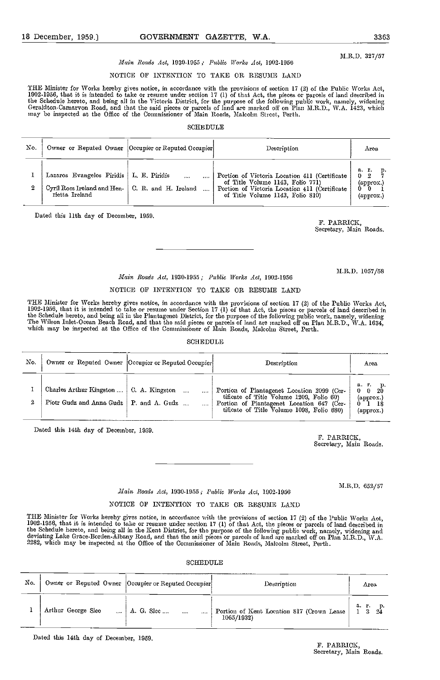## Main Roads Act, 1930-1955; Public Works Act, 1909.1056

## NOTICE OF INTENTION TO TAKE OR RESUME LAND

THE Minister for Works hereby gives notice, in accordance with the provisions of section 17 (2) of the Public Works Act, 1902-1956, that it is intended to take or resume under section 17 (1) of that Act, the pieces or parcels of land described in<br>the Schedule hereto, and being all in the Victoria District, for the purpose of the following pu may be inspected at the Office of the Commissioner of Main Roads, Malcolm Street, Perth.

## SCHEDULE

| No. |                                                                            | Owner or Reputed Owner [Occupier or Reputed Occupier] | Description                                                                                                                                                            | Area                                                              |
|-----|----------------------------------------------------------------------------|-------------------------------------------------------|------------------------------------------------------------------------------------------------------------------------------------------------------------------------|-------------------------------------------------------------------|
| 2   | Lazaros Evangelos Piridis<br>Cyril Ross Ireland and Hen-<br>rietta Ireland | L. E. Piridis<br><br>C. R. and H. Ireland             | Portion of Victoria Location 411 (Certificate<br>of Title Volume 1143, Folio 771)<br>Portion of Victoria Location 411 (Certificate<br>of Title Volume 1143, Folio 810) | $a \cdot r$ .<br>p.<br>$0 \t2$<br>$(\text{approx.})$<br>(approx.) |

Dated this 11th day of December, 1059.

F. PARRICK, Secretary, Main Roads.

M.R.D. 1057/58

## Main Roads Act, 1930-1955 ; Public lVorks Act, 1902.1056 NOTICE OF INTENTION TO TAKE OR RESUME LAND

THE Minister for Works hereby gives notice, in accordance with the provisions of section 17 (2) of the Public Works Act,<br>1902-1956, that it is intended to take or resume under Section 17 (1) of that Act, the pieces or parc The Wilson Inlet-Oceaa Beach Road, and that the said pieces or parcels of land are marked off on Plan M.R.D., WA. 1034, which may be inspected at the Office of the Commissioner of Main Roads, Malcolm Street, Perth.

#### **SCHEDULE**

| No. |                                                     | Owner or Reputed Owner  Occupier or Reputed Occupier | Description                                                                                                                                                                      | Area                                                                               |
|-----|-----------------------------------------------------|------------------------------------------------------|----------------------------------------------------------------------------------------------------------------------------------------------------------------------------------|------------------------------------------------------------------------------------|
| 2   | Charles Arthur Kingston<br>Piotr Gudz and Anna Gudz | C. A. Kingston<br>P. and A. Gudz                     | Portion of Plantagenet Location 2099 (Cer-<br>tificate of Title Volume 1209, Folio 60)<br>Portion of Plantagenet Location 647 (Cer-<br>tificate of Title Volume 1098, Folio 680) | а г.<br>-20<br>$\mathbf{0}$<br>$\mathbf{0}$<br>$\alpha$ pprox.)<br>18<br>(approx.) |

Dated this 14th day of December, 1959. F. PARRICK,

Secretary, Main Roads.

M,R.D. 652/57

## Main Roads Act, 1930-1955; Public Works Act, 1902-1956 NOTIOE OF INTENTION TO TAKE OR RESUME LAND

THE Minister for Works hereby gives notice, in accordance with the provisions of section 17 (2) of the Public Works Act,<br>1902-1956, that it is intended to take or resume under section 17 (1) of that Act, the pieces or parc the Schedule hereto, and being all in the Kent District, for the purpose of the following public work, namely, widening and<br>deviating Lake Grace-Borden-Albany Road, and that the said pieces or parcels of land are marked of

## SCHEDULE

| No. |                    | Owner or Reputed Owner   Occupier or Reputed Occupier | Description                                             | Area |
|-----|--------------------|-------------------------------------------------------|---------------------------------------------------------|------|
|     | Arthur George Slec | A. G. Slee<br>$\cdots$<br>                            | Portion of Kent Location 817 (Crown Lease<br>1065/1932) | а г. |

Dated this 14th day of December, 1059.

## F. PARRICK, Secretary, Main Roads.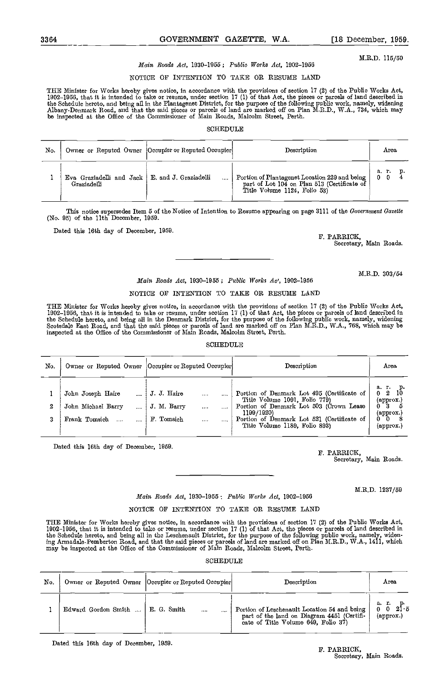M.R.D. 115/50

## Main Roads Act, 1930-1955; Public Works Act, 1902-1956

## NOTICE OF INTENTION TO TAXE OR RESUME LAND

THE Minister for Works hereby gives notice, in accordance with the provisions of section 17 (2) of the Public Works Act,<br>1902–1956, that it is intended to take or resume, under section 17 (1) of that Act, the pieces or par the Schedulc hercto, and being all in the Plantagenet District, for the purpose of the following public work, namely, widening<br>Albany-Denmark Road, aud that the said pieces or parcels of land are marked off on Plan M.R.D.,

## SCHEDULE

| No. |                                                               | Owner or Reputed Owner   Occupier or Reputed Occupier | Description                                                                                                                  | Area       |
|-----|---------------------------------------------------------------|-------------------------------------------------------|------------------------------------------------------------------------------------------------------------------------------|------------|
|     | Eva Graziadelli and Jack   E and J Graziadelli<br>Graziadelli |                                                       | Portion of Plantagenet Location 229 and being<br>part of Lot 104 on Plan 513 (Certificate of<br>Title Volume 1124, Folio 53) | <b>a 1</b> |

This notice supersedes Item 5 of the Notice of Intention to Resume appearing on page 3111 of the Government Gazette (No. 95) of the 11th December, 1959.

Dated this 16th day of December, 1959.<br>
F. PARRICK,

Secretary, Main Roads.

## Main Roads Act, 1930-1955; Public Works Ac', 1902-1956

## NOTICE OF INTENTION TO TAKE OR RESUME LAND

THE Minister for Works hereby gives notice, in accordance with the provisions of section 17 (2) of the Public Works Act,<br>1902–1956, that it is intended to take or resume, under scction 17 (1) of that Act, the pieces or par the Schedule hereto, and being all in the Denmark District, for the purpose of the following public work, namely, widening<br>Scotsdale East Road, and that the said pieces or parcels of land are marked off on Plan M.R.D., W.A inspected at the Office of the Commissioner of Main Roads, Malcolm Street, Perth.

## SCHEDULE

| No.    |                                                          | Owner or Reputed Owner   Occupier or Reputed Occupier                   | Description                                                                                                                                                                                                         | Area                                                                           |
|--------|----------------------------------------------------------|-------------------------------------------------------------------------|---------------------------------------------------------------------------------------------------------------------------------------------------------------------------------------------------------------------|--------------------------------------------------------------------------------|
| 2<br>3 | John Joseph Haire<br>John Michael Barry<br>Frank Tomsich | J. J. Haire<br><br>J. M. Barry<br>1.1.1.1<br>F. Tomsich<br><br>$\cdots$ | Portion of Denmark Lot 495 (Certificate of<br>Title Volume 1091, Folio 779)<br>Portion of Denmark Lot 503 (Crown Lease<br>1199/1920)<br>Portion of Denmark Lot 521 (Certificate of<br>Title Volume 1189. Folio 893) | а. г.<br>10<br>2<br>(approx.)<br>- 3<br>(арргох.)<br>$\mathbf{0}$<br>(approx.) |

Dated this 16th day of December, 1959. F. PARRICK,

Secretary, Main Roads.

M.R.D. 1237/59

## Main Roads Act, 1930-1955 : Public Works Act, 1902-1956

## NOTICE OF INTENTION TO TAKE OR RESUME LAND

THE Minister for Works hereby gives notice, in accordance with the provisions of section 17 (2) of the Public Works Act, 1902–1956, that it is intended to take or resume, under section 17 (1) of that Act, the pieces or parcels of land described in<br>the Schedule hereto, and being all in the Leschenault District, for the purpose of the followin ing Armadale-Pemberton Road, and that the said pieces or parcels of land are marked off on Plan M.R.D., W.A., 1411, which<br>may be inspected at the Office of the Commissioner of Main Roads, Malcolm Street, Perth.

SCHEDULE

| No. |                                    | Owner or Reputed Owner   Occupier or Reputed Occupier | Description                                                                                                                                     | Агеа                                         |
|-----|------------------------------------|-------------------------------------------------------|-------------------------------------------------------------------------------------------------------------------------------------------------|----------------------------------------------|
|     | Edward Gordon Smith    E. G. Smith |                                                       | Portion of Leschenault Location 54 and being<br>part of the land on Diagram 4451 (Certifi-<br>cate of Title Volume $6\overline{4}9$ , Folio 37) | a. r.<br>21ิธ<br>$\langle$ approx. $\rangle$ |

Dated this 16th day of December, 1959.

M.R.D. 303/54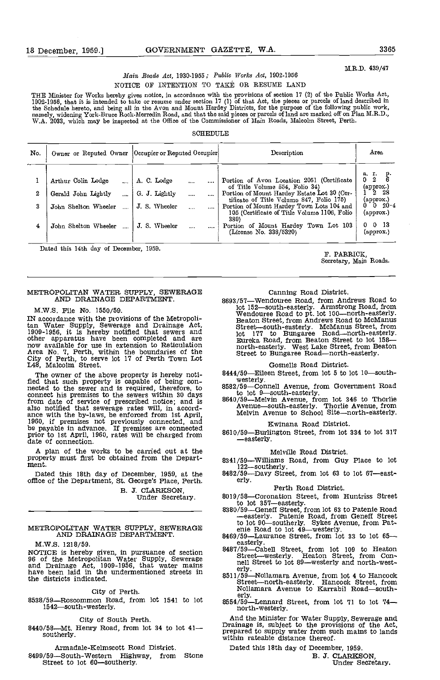M.R.D. 439/47

## Main Roads Act, 1930-1955; Public Works Act, 1902-1956 NOTICE OF INTENTION TO TAKE OR RESUME LAND

THE Minister for Works hereby gives notice, in accordance with the provisions of section 17 (2) of the Public Works Act, 1902-1956, that it is intended to take or resume under section 17 (1) of that Act, the pieces or parcels of land described in the Schedule hereto, and being all in the Avon and Mount Hardey Districts, for the purpose of the following public work, namely, widening York-Bruce Rock-Merredin Road, and that the said pieces or parcels of land are marked off on Plan M.R.D.,<br>W.A. 2033, which may be inspected at the Office of the Commissioner of Main Roads, Malcolm Street,

#### **SCHEDULE**

| No.         |                                                                                           | Owner or Reputed Owner   Occupier or Reputed Occupier                      | Description                                                                                                                                                                                                                                                                                                                                    | Area                                                                                                                                                                 |
|-------------|-------------------------------------------------------------------------------------------|----------------------------------------------------------------------------|------------------------------------------------------------------------------------------------------------------------------------------------------------------------------------------------------------------------------------------------------------------------------------------------------------------------------------------------|----------------------------------------------------------------------------------------------------------------------------------------------------------------------|
| 2<br>3<br>4 | Arthur Colin Lodge<br>Gerald John Lightly<br>John Shelton Wheeler<br>John Shelton Wheeler | A. C. Lodge<br><br>G. J. Lightly<br><br>J. S. Wheeler<br>J. S. Wheeler<br> | Portion of Avon Location 2051 (Certificate<br>of Title Volume 554, Folio 34)<br>Portion of Mount Hardey Estate Lot 30 (Cer-<br>tificate of Title Volume 847, Folio 175)<br>Portion of Mount Hardey Town Lots 104 and<br>105 (Certificate of Title Volume 1106, Folio<br>389)<br>Portion of Mount Hardey Town Lot 103<br>(License No. 338/5320) | а. г.<br>Ř.<br>0 <sub>2</sub><br>(approx.)<br><sup>-</sup> 2 28<br>$(\text{approx.})$<br>$0\quad0\quad20\quad4$<br>(approx.)<br>$0 \t 0 \t 13$<br>$(\text{approx.})$ |
|             | Dated this 14th day of December, 1959.                                                    |                                                                            | F. PARRICK.                                                                                                                                                                                                                                                                                                                                    |                                                                                                                                                                      |

Secretary, Main Roads.

## METROPOLITAN WATER SUPPLY, SEWERAGE AND DRAINAGE DEPARTMENT.

M.W.S. File No. 1550/59.

IN accordance with the provisions of the Metropolitan Water Supply, Sewerage and Drainage Act, St. St. 1909-1956, it is hereby notified that sewers and looker apparatus have been completed and are mow available for use in Area No. 7, Perth, within the boundaries of the City of Perth, to serve lot 17 of Perth Town Lot L48, Malcolm Street.

The owner of the above property is hereby noti-<br>fled that such property is capable of being con-<br>nected to the sewer and is required, therefore, to  $8582/59$ —Connell Avenue, from Government Road<br>nected to the sewer and is connect his premises to the sewers within 30 days<br>from date of service of prescribed notice; and is<br>from date of service of prescribed notice; and is<br>also notified that sewerage rates will, in accord-<br>ance with the by-law prior to 1st April, 1960, rates will be charged from  $8610/59 - B1$ date of connection.

A plan of the works to be carried out at the property must first be obtained from the Depart- ment.

Dated this 18th day of December, 1959, at the 8482/59-<br>office of the Department, St. George's Place, Perth. erly.

B. J. CLARKSON,<br>Under Secretary.

## METROPOLITAN WATER SUPPLY, SEWERAGE and AND DRAINAGE DEPARTMENT.

M.W.S. 1218/59.

NOTICE is hereby given, in pursuance of section 96 of the Metropolitan Water Supply, Sewerage and Drainage Act, 1909-1956, that water mains have been laid in the undermentioned streets in  $\frac{1}{2511/5}$ the districts indicated,

City of Perth.

8538/59—Roscommon Road, from lot 1541 to lot 1542—south-westerly.

City of South Perth.<br>8440/58—Mt. Henry Road, from lot 34 to lot 41 southerly.

Armadale-Kelmscott Road District.

8499/59-South-Western Highway, from Stone Street to lot 60-southerly.

## Canning Road District.

8693/57-Wendouree Road, from Andrews Road to lot 152—south-easterly. Armstrong Road, from Wendouree Road to pt. lot 100—north-easterly.<br>Wendouree Road to pt. lot 100—north-easterly.<br>Beaton Street, from Andrews Road to McManus<br>Street—south-easterly. McManus Street, fr lot <sup>177</sup> to Bungaree Roadnorth-easterly. Eureka Road, from Beaten Street to lot 158 north-easterly. West Lake Street, from Beaton<br>Street to Bungaree Road—north-easterly.

## Gosnells Road District.

- 8444/59-Eileen Street, from lot 5 to lot 10-south-
- 
- to lot 9-south-easterly.<br>8640/59-Melvin Avenue, from lot 346 to Thorlie Avenue-south-easterly. Thorlie Avenue, from Melvin Avenue to School Site-north-easterly.

## Kwlnana Road District.

8610/59-Burlington Street, from lot 334 to lot 317 -easterly.

### Melville Road District.

- 8341/59—Williams Road, from Guy Place to lot  $122$ —southerly.<br>8482/59—Davy Street, from lot 63 to lot 67—east-
- 

## Perth Road District,

- 
- 8019/58—Coronation Street, from Huntriss Street<br>to lot 357—easterly.<br>8380/59—Geneff Street, from lot 63 to Patenie Road<br>—easterly. Patenie Road, from Geneff Street<br>to lot 90—southerly. Sykes Avenue, from Pat-<br>and to lot 4
- 
- 8487759-Cabell Street, from lot 109 to Heaton<br>Street-westerly. Heaton Street, from Con-
- nell Street to lot 89—westerly and north-west-<br>erly.<br>8511/59—Nollamara Avenue, from lot 4 to Hancock<br>Street—north-easterly. Hancock Street, from<br> $\frac{1}{2}$  See A—south-Street-north-easterly. Hancock Street, from<br>Nollamara Avenue to Karrabil Road-south-
- erly.<br> $8554/59$ —Lennard Street, from lot 71 to lot 74 north-westerly.

And the Minister for Water Supply, Sewerage and Drainage is, subject to the provisions of the Act, prepared to supply water from such maths to lands within rateable distance thereof.

Dated this 18th day of December, 1959,

B. 3. CLARKSON, Under Secretary,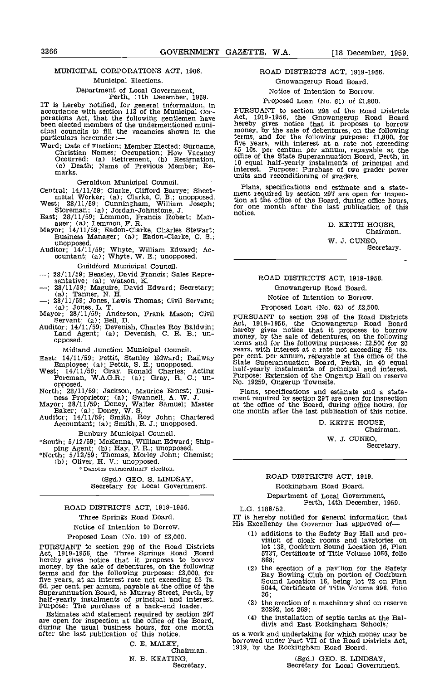# MUNICIPAL CORPORATIoNS ACT, 1906.

## Municipal Elections.

Department of Local Government, Perth, 11th December, 1959.

IT is hereby notified, for general information, in accordance with section 113 of the Municipal Cor-<br>porations Act, that the following gentlemen have Act,<br>been elected members of the undermentioned municipal councils to fill the vacancies shown in the particulars hereunder:

Ward; Date of Election; Member Elected: Surname, Christian Names; Occupation; How Vacancy Occurred: (a) Retirement, (b) Resignation, Co. Death; Name of Previous Member; Re-<br>marks. Purpose: Purchase of two<br>marks. white and reconditioning of graders.

Geraldton Municipal Council.

Central; 14/11/59; Clarke, Clifford Barrye; Sheet-<br>metal Worker; (a); Clarke, C. B.; unopposed.<br>West; 28/11/59; Cunningham, William Joseph; for one<br>streman; (a); Jordan-Johnstone, J.<br>East; 28/11/59; Lemmon, Francis Robert;

- Guildford Municipal Council.<br>
--; 28/11/59; Beasley, David Francis; Sales Repre-<br>
sentative; (a); Watson, K.<br>
--; 28/11/59; Maguire, David Edward; Secretary;
- 
- 
- 
- 

- Midland Junction Municipal Council.<br>
East;  $14/11/59$ ; Pettit, Stanley Edward; Railway<br>
Employee; (a); Pettit, S. E.; unopposed.<br>
West;  $14/11/59$ ; Gray, Ronald Charles; Acting<br>
Foreman, W.A.G.R.; (a); Gray, R. C.; un-<br>
o
- 
- 
- 

Bunbury Municipal Council.

\*South; 5/12/59; McKenna, William Edward; Ship-<br>ping Agent; (b); Hay, F. R.; unopposed.<br>\*North; 5/12/59; Thomas, Morley John; Chemist;<br>(b); Oliver, H. V.; unopposed.

Denotes extraordinary election.

(Sgd.) GEO. S. LINDSAY, Secretary for Local Government.

## ROAD DISTRICTS ACT, 1919-1956.

Three Springs Road Board.

Notice of Intention to Borrow.

Proposed Loan (No. 19) of £3,000.

PURSUANT to section 298 of the Road Districts Act, 1919-1956, the Three Springs Road Board hereby gives notice that it proposes to borrow money, by the sale of debentures, on the following (<br>terms and for the following purposes: £3,000, for<br>five years, at an interest rate not exceeding £5 7s.<br>6. per cent. per annum, payable at the office of the<br>Superannuati

Estimates and statement required by section 297 are open for inspection at the office of the Board, during the usual business hours, for one month during the usual business hours, for one month after the last publication of this notice.

C. E. MALEY, Chairman. N. B. KEATING, Secretary.

## ROAD DISTRICTS ACT, 1919-1956. Gnowangerup Road Board.

Notice of Intention to Borrow.

## Proposed Loan (No. 61) of £1,800.

PURSUANT to section 298 of the Road Districts Act, 1919-1956, the Gnowangerup Road Board hereby gives notice that it proposes to borrow money, by the sale of debentures, on the following terms, and for the following purpose: £1,800, for five years, with interest at a rate not exceeding £5 lOs. per centum per annum, repayable at the office of the State Superannuation Board, Perth, in 10 equal half-yearly instalments of principal and interest. Purpose: Purchase of two grader power units and reconditioning of graders.

Plans, specifications and estimate and a state- ment required by section 297 are open for inspection at the office of the Board, during office hours, for one month after the last publication of this notice.

D. KEITH HOUSE, Chairman.

W. J. CUNEO, Secretary.

## ROAD DISTRICTS ACT, 1919-1958. Gnowangerup Road Board.

Notice of Intention to Borrow.

(a); Tamer, N. H.<br>
(a); Tamer, N. H.<br>
(a); Tamer, N. H.<br>
(a); Jones, L. T.<br>
Mayor; 28/11/59; Anderson, Frank Mason; Civil<br>
Servant; (a); Bell, D.<br>
Auditor; 14/11/59; Devenish, Charles Roy Baldwin;<br>
Land Agent; (a); Devenis Proposed Loan (No. 62) of £2,500. PURSUANT to section 298 of the Road Districts Act, 1919-1956, the Gnowangerup Road Board hereby gives notice that it proposes to borrow money, by the sale of debentures, on the following terms and for the following purposes: £2,500 for 20<br>years, with interest at a rate not exceeding £5 10s.<br>per cent. per annum, repayable at the office of the<br>State Superannuation Board, Perth, in 40 equal<br>half-yearly insta

Plans, specifications and estimate and a state- ment required by section 297 are open for inspection at the office of the Board, during office hours, for one month after the last publication of this notice.

D. KEITH HOUSE, Chairman.

> W. J. CUNEO, Secretary.

ROAD DISTRICTS ACT, 1919.

Rockingham Road Board.

Department of Local Government, Perth, 14th December, 1959. L.G. 1186/52.

IT is hereby notified for general information that His Excellency the Governor has approved of

- additions to the Safety Bay Hall and pro- vision of cloak rooms and lavatories on lot 133, Cockburn Sound Location 16, Plan 5137, Certificate of Title Volume 1066, folio 868;
- the erection of a pavilion for the Safety<br>Bay Bowling Club on portion of Cockburn<br>Sound Location 16, being lot 72 on Plan<br>5044, Certificate of Title Volume 996, folio 36;
- the erection of a machinery shed on reserve 20292, lot 269;
- the installation of septic tanks at the Bal- divis and East Rockingham Schools;

as a work and undertaking for which money may be borrowed under Part VII of the Road Districts Act, 1919, by the Rocklngham Road Board.

(Sgd.) GEO. S. LINDSAY, Secretary for Local Govcrnment.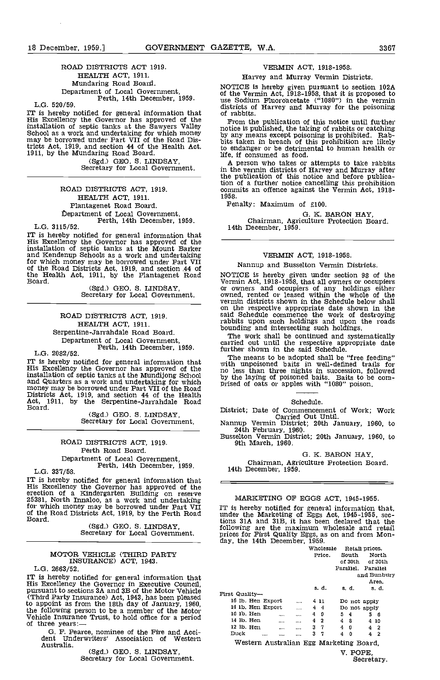## ROAD DISTRICTS ACT 1919. HEALTH ACT, 1911. Mundaring Road Board. Department of Local Government, Perth, 14th December, 1959. L.G. 520/59.

IT is hereby notified for general information that of rabbits.<br>
His Excellency the Governor has approved of the From the publication of this notice until further<br>
installation of septic tanks at the Sawyers Valley notice i installation of septic tanks at the Sawyers Valley motice<br>School as a work and undertaking for which money may be borrowed under Part VII of the Road Dis-<br>hits ta tricts Act, 1919, and section 44 of the Health Act, 1911, by the Mundaring Road Board.

(Sgd.) GEO. S. LINDSAY, Secretary for Local Government.

ROAD DISTRICTS ACT, 1919. HEALTH ACT, 1911. PIantagenet Road Board. Thepartment of Local Government, Perth, 14th December, 1959.

L.G. 3115/52.

IT is hereby notified for general information that His Excellency the Governor has approved of the installation of septic tanks at the Mount Barker and Kendenup Schools as a work and undertaking for which money may be borrowed under Part VII of the Road Districts Act, 1919, and section A4 of the Health Act, 1911, by the Plantagenet Road Board.

(Sgd.) GEO. S. LINDSAY, Secretary for Local Government.

ROAD DISTRICTS ACT, 1919. HEALTH ACT, 1911. Serpentine-Jarrandale Road Board. Department of Local Government, Perth, 14th December, 1959. L.G. 2082/52.

IT is hereby notified for general information that His Excellency the Governor has approved of the movement of which<br>and Quarters as a work and undertaking for which<br>and Quarters as a work and undertaking for which<br>money may be borrowed under Part VII of the Read<br>Districts Act, 1919, and section 44 of the Health<br>Act, 19

Secretary for Local Government.

ROAD DISTRICTS ACT, 1919. Perth Road Board. Department of Local Government,<br>Perth, 14th December, 1959.<br>IT is hereby notified for general information that

IT is hereby notified for general information that<br>His Excellency the Governor has approved of the<br>erection of a Kindergarten Building on reserve<br>25381, North Innaloo, as a work and undertaking  $M$ for which money may be borrowed under Part VII IT is<br>of the Road Districts Act, 1919, by the Perth Road ander<br>Board. tions

(Sgd.) GEO. S. LINDSAY, Secretary for Local Government.

## MOTOR VEHICLE (THIRD PARTY INSURANCE) ACT, 1943.

L.G. 2663/52. IT is hereby notified for general information that<br>His Excellency the Governor in Executive Council,<br>pursuant to sections 3A and 3B of the Motor Vehicle Third Party Insurance) Act, 1943, has been pleased<br>to appoint as from the 18th day of January, 1960,<br>the following person to be a member of the Motor<br>Vehicle Insurance Trust, to hold office for a period<br>of three years:—<br>1

G. F. Pearce, nominee of the Fire and Acci- dent Underwriters' Association of Western Australia.<br>
(Sgd.) GEO. S. LINDSAY.

Secretary for Local Government.

## VERMIN ACT, 1918-1958.

## Harvey and Murray Vermin Districts.

NOTICE is hereby given pursuant to section 102A of the Vermin Act, 1918-1958, that it is proposed to use Sodium Fluoroacetate ("1080") in the vermin districts of Harvey and Murray for the poisoning of rabbits,

From the publication of this notice until further notice is published, the taking of rabbits or catching by any means except poisoning is prohibited. Rab- bits taken in breach of this prohibition are likely to endanger or be detrimental to human health or life, if consumed as food.

A person who takes or attempts to take rabbits in the vermin districts of Harvey and Murray after the publication of this notice and before publication of a further notice cancelling this prohibition commits an offence against the Vermin Act, 1918- 1958.

Penalty: Maximum of £100.

G. K. BARON HAY, Chairman, Agriculture Protection Board. 14th December, 1959.

## VERMIN ACT, 1918-1958.

## Nannup and Busselton Vermin Districts.

NOTICE is hereby given under section 98 of the Vermin Act, 1918-1958, that all owners or occupiers or owners and occupiers of any holdings either owned, rented or leased within the whole of the vermin districts shown in th on the respective appropriate date shcwn in the said Schedule commence the work of destroying rabbits upon such holdings and upon the roads bounding and intersecting such holdings.

The work shall be continued and systematically carried out until the respective appropriate date further shown in the said Schedule.

The means to be adopted shall be "free feeding" with unpoisoned baits in well-defined trails for no less than three nights in succession, followed by the laying of poisoned baits. Baits to be com-prised of oats or apples with "1080" poison.

### Schedule.

District; Date of Commencement of Work; Work Carried Out Until.

Nannup Vermin District; 20th January, 1960, to

24th February, 1960.<br>Busselton Vermin District; 20th January, 1960, to<br>9th March, 1960.

## G. K. BARON HAY.

Chairman, Agriculture Protection Board. 14th December, 1959.

## MARKETING OF EGGS ACT, 1945-1955.

IT is hereby notified for general information that, under the Marketing of Eggs Act, 1945-1955, sec-tions 31A and 31B, it has been declared that the following are the maximum wholesale and retail prices for First Quality Eggs, as on and from Mon- day, the 14th December, 1959.

|                   |                                         |               | Wholesale      |                    | Retail prices. |   |                 |  |
|-------------------|-----------------------------------------|---------------|----------------|--------------------|----------------|---|-----------------|--|
|                   |                                         |               | Price.         |                    | South          |   | North           |  |
|                   |                                         |               |                |                    |                |   | of 30th of 30th |  |
|                   |                                         |               |                | Parallel. Parallel |                |   |                 |  |
|                   |                                         |               |                |                    |                |   | and Bunbury     |  |
|                   |                                         |               |                |                    |                |   | Area.           |  |
|                   |                                         |               | s.d.           | s. d.              |                |   | s. d.           |  |
| First Quality-    |                                         |               |                |                    |                |   |                 |  |
| 16 lb. Hen Export |                                         | $\cdots$      | 4 11           |                    | Do not apply   |   |                 |  |
| 14 1b. Hen Export |                                         | and the state | $4\quad 4$     |                    | Do not apply   |   |                 |  |
| 16 1b. Hen        | $\ddotsc$                               | and the       | 49             | 54                 |                |   | 56              |  |
| 14 lb. Hen        | $\cdots$                                | $\cdots$      | $4\quad 2$     |                    | 48             |   | 4 10            |  |
| $12$ $lb$ . Hen   | $\sim$ 1000 $\sim$                      | 1.121         | 3 <sub>7</sub> | $4\quad0$          |                |   | $4\quad 2$      |  |
| Duck              | $\cdots$<br>$\cdots$                    | $\cdots$      | 3 7            | $\overline{\bf 4}$ | $\mathbf{0}$   | 4 | - 2             |  |
|                   | Western Australian Egg Marketing Board. |               |                |                    |                |   |                 |  |
|                   |                                         |               |                |                    | V. POPE.       |   | Secretary.      |  |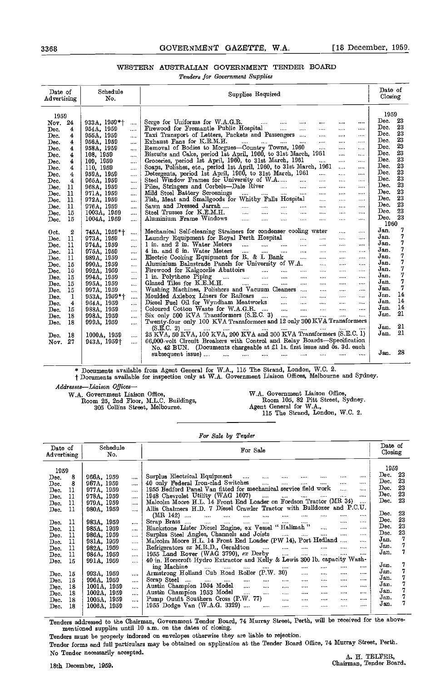## WESTERN AUSTRALIAN GOVERNMENT TENDER BOARD

Tenders for Government Supplies

| Date of<br>Advertising                                                                                                                                                                                                              | Schedule<br>No.                                                                                                                                                                                                                                                                                                                                          | Supplies Required                                                                                                                                                                                                                                                                                                                                                                                                                                                                                                                                                                                                                                                                                                                                                                                                                                                                                                                                                                                                                                                                                                                                                                                                                                                                                                                                                                                        | Date of<br>Closing                                                                                                                                                                                                                |
|-------------------------------------------------------------------------------------------------------------------------------------------------------------------------------------------------------------------------------------|----------------------------------------------------------------------------------------------------------------------------------------------------------------------------------------------------------------------------------------------------------------------------------------------------------------------------------------------------------|----------------------------------------------------------------------------------------------------------------------------------------------------------------------------------------------------------------------------------------------------------------------------------------------------------------------------------------------------------------------------------------------------------------------------------------------------------------------------------------------------------------------------------------------------------------------------------------------------------------------------------------------------------------------------------------------------------------------------------------------------------------------------------------------------------------------------------------------------------------------------------------------------------------------------------------------------------------------------------------------------------------------------------------------------------------------------------------------------------------------------------------------------------------------------------------------------------------------------------------------------------------------------------------------------------------------------------------------------------------------------------------------------------|-----------------------------------------------------------------------------------------------------------------------------------------------------------------------------------------------------------------------------------|
| 1959<br>24<br>Nov.<br>4<br>Dec.<br>4<br>Dec.<br>4<br>Dec.<br>Dec.<br>4<br>$\overline{\mathbf{4}}$<br>Dec.<br>4<br>Dec.<br>4<br>Dec.<br>Dec.<br>4<br>4<br>Dec.<br>Dec.<br>11<br>11<br>Dec.<br>11<br>Dec.<br>11<br>Dec.<br>15<br>Dec. | $933A.1959*$<br>$\cdots$<br>954A, 1959<br><br>955A, 1959<br>$\ddotsc$<br>956A, 1959<br>eres.<br>958A, 1959<br><br>108, 1959<br><br>109, 1959<br>$\cdots$<br>110, 1959<br>$\cdots$<br>959A, 1959<br><br>965A, 1959<br>$\cdots$<br>968A, 1959<br>$\cdots$<br>971A, 1959<br>$\cdots$<br>972A, 1959<br><br>976A, 1959<br>$\cdots$<br>1003A, 1959<br>$\cdots$ | Scrge for Uniforms for W.A.G.R.<br>المتقادر المتبدر المتفادرات<br>$\sim 100$ and $\sim 100$<br>$\cdots$<br>$\cdots$<br>Firewood for Fremantle Public Hospital<br><b>Continued</b><br>$\cdots$<br>$\cdots$<br>Taxi Transport of Letters, Packets and Passengers<br>$\sim 100$<br>$\cdots$<br>المتفاد المتناد المتفاد المتنادر<br>Exhaust Fans for K.E.M.H.<br>$\cdots$<br>$\ddotsc$<br>$\cdots$<br>Removal of Bodies to Morgues-Country Towns, 1960<br>$\cdots$<br>$\cdots$<br>Biscuits and Cake, period 1st April, 1960, to 31st March, 1961<br>$\cdots$<br>$\cdots$<br>Groceries, period 1st April, 1960, to 31st March, 1961<br><b>Allen Comment</b><br>$\cdots$<br>$\cdots$<br>Soaps, Polishes, etc., period 1st April, 1960, to 31st March, 1961<br>$\ddotsc$<br>$\cdots$<br>Detergents, period 1st April, 1960, to 31st March, 1961<br>$\ldots$<br>$\cdots$<br>$\cdots$<br>Steel Window Frames for University of W.A<br>$\cdots$<br>$\cdots$<br>Piles, Stringers and Corbels-Dale River<br>$\cdots$<br><br>Mild Steel Battery Screenings<br>Fish, Meat and Smallgoods for Whitby Falls Hospital<br>$\sim 100$<br>$\ldots$ .<br>$\sim$<br>$\cdots$<br>المسارة أأسترد المتنا المتنا<br>Sawn and Dressed Jarrah<br>$\mathbf{m}$<br>$\cdots$<br>$\cdots$<br>Steel Trusses for K.E.M.H.<br><b>Sales Control</b><br><b>Sales</b> College<br>$\mathbf{a}$<br>$\ddotsc$<br>$\cdots$<br>$\cdots$<br>$\cdots$ | 1959<br>Dec. 23<br>23<br>Dec.<br>23<br>Dec.<br>23<br>Dec.<br>23<br>Dec.<br>23<br>Dec.<br>23<br>Dec.<br>23<br>Dec.<br>23<br>Doc.<br>23<br>Doc.<br>23<br>Dec.<br>23<br>Dec.<br>23<br>Dec.<br>23<br>Dec.<br>23<br>Dec.<br>23<br>Dec. |
| 15<br>Dec.<br>2<br>Oct.<br>11<br>Dec.<br>11<br>Dec.<br>11<br>Dec.<br>11<br>Dec.<br>15<br>Dec.<br>15<br>Dec.<br>15<br>Dec.<br>Dec.<br>15<br>15<br>Dec.<br>1<br>Dec.<br>4<br>Dec.<br>15<br>Dec.<br>18<br>Dec.                         | 1004A, 1959<br><br>745A, 1959*†<br><br>973A, 1959<br>$\cdots$<br>974A, 1959<br>$\cdots$<br>975A, 1959<br><br>989A, 1959<br>$\cdots$<br>990A, 1959<br><br>992A, 1959<br>ia ia<br>994A, 1959<br>$\cdots$<br>995A, 1959<br><br>997A, 1959<br>$\cdots$<br>953A, 1959*†<br>$\cdots$<br>964A, 1959<br>$\cdots$<br>988A, 1959<br><br>998A, 1959<br>             | Aluminium Frame Windows<br><b>Section</b><br>$\mathbf{m}$ and $\mathbf{m}$<br>$\cdots$<br><br>$\cdots$<br>$\cdots$<br>Mechanical Self-cleaning Strainers for condenser cooling water<br>$\cdots$<br>$\cdots$<br>Laundry Equipment for Royal Perth Hospital<br>$\cdots$<br>$\ddotsc$<br>$\cdots$<br>1 in. and 2 in. Water Meters<br>$\cdots$<br>$\cdots$<br>4 in. and 6 in. Water Meters<br>$\cdots$<br>$\cdots$<br>Electric Cooking Equipment for R. & I. Bank<br>$\sim 100$<br>$\cdots$<br>$\mathcal{L}_{\text{max}}$<br>Aluminium Balustrade Panels for University of W.A.<br>$\cdots$<br>$\cdots$<br>$\cdots$<br>$\cdots$<br>$\cdots$<br>$\cdots$<br>Glazed Tiles for K.E.M.H. $\dots$ $\dots$ $\dots$ $\dots$<br>$\sim 100$<br>$\cdots$<br>$\cdots$<br>Washing Machines, Polishers and Vacuum Cleaners<br>$\cdots$<br><br>Moulded Axlebox Liners for Railcars<br>$\cdots$<br>$\cdots$<br>Diesel Fuel Oil for Wyndham Meatworks<br>$\cdots$<br>$\cdots$<br>Coloured Cotton Waste for W.A.G.R.<br>$\cdots$<br>$\cdots$<br>Six only 500 KVA Transformers (S.E.C. 3)<br>$\mathbf{r}$<br>$\ddotsc$                                                                                                                                                                                                                                                                                                        | 1960<br>7<br>Jan.<br>7<br>$Jan$ .<br>7<br>Jan.<br>7<br>Jan.<br>7<br>Jan.<br>7<br>Jan.<br>7<br>Jan.<br>7<br>J <sub>nn</sub><br>7<br>Jan.<br>7<br>Jan.<br>14<br>$Jun$ .<br>14<br>$Jnn$ .<br>14<br>Jan.<br>21<br>$Jan$ .             |
| 18<br>Dec.<br>18<br>Dec.<br>-27<br>Nov.                                                                                                                                                                                             | 999A, 1959<br>$\cdots$<br>1000A, 1959<br>$\cdots$<br>943A, 1959 <sup>+</sup><br>$\cdots$                                                                                                                                                                                                                                                                 | Twenty-four only 100 KVA Transformers and 12 only 300 KVA Transformers<br>25 KVA, 50 KVA, 100 KVA, 200 KVA and 300 KVA Transformers (S.E.C. 1)<br>66,000-volt Circuit Breakers with Control and Relay Boards-Specification<br>No. 42 BUN. (Documents chargeable at £1 1s. first issue and 5s. 3d. each<br>subsequent issue)<br>$\sim$ $\sim$ $\sim$ $\sim$ $\sim$<br><b>Save Common</b><br>$\cdots$<br>$\cdots$<br>$\cdots$                                                                                                                                                                                                                                                                                                                                                                                                                                                                                                                                                                                                                                                                                                                                                                                                                                                                                                                                                                              | 21<br>Jan.<br>21<br>Jan<br>-28<br>Jan.                                                                                                                                                                                            |

\* Documents available from Agent General for W.A., 115 The Strand, London, W.C. 2.<br>† Documents available for inspection only at W.A. Government Liaison Offices, Melbourne and Sydney.

Addresses-Liaison Offices-

W.\_A. Government Liaison Office, Room 25, 2nd Floor, M.L.C. Buildings, 305 CoUins Street, Melbourne.

W.A. Government Liaison Office, Room 105, 82 Pitt Street, Sydney. Agent General for W.A., 115 The Strand, London, W.C. 2.

## For Sale by Tender

|      | Date of<br>Advertising | Schedule<br>No. |          | For Sale                                                                                                                 | Date of<br>Closing |
|------|------------------------|-----------------|----------|--------------------------------------------------------------------------------------------------------------------------|--------------------|
| 1959 |                        |                 |          |                                                                                                                          | 1959               |
| Dec. | 8                      | 966A, 1959      | $\cdots$ | Surplus Electrical Equipment<br>$\cdots$<br>$\cdots$<br><br><br>                                                         | -23<br>Dec.        |
| Dec. |                        | 967A, 1959      | $\cdots$ | 40 only Federal Iron-clad Switches<br>$\cdots$<br><br><br><br>$\cdots$<br>                                               | 23<br>Dec.         |
| Dec. | 11                     | 977A, 1959      | $\cdots$ | 1955 Bedford Panel Van fitted for mechanical service field work<br>1.1.1                                                 | 23<br>Dec.         |
| Dec. | 11                     | 978A, 1959      | $\cdots$ | 1948 Chevrolet Utility (WAG 1607)<br>$\cdots$<br>$\cdots$<br>$\cdots$<br>$\cdots$<br>$\cdots$<br>$\cdots$                | 23<br>Dec.         |
| Dec. | 11                     | 979A, 1959      | $\cdots$ | Malcolm Moore H.L. 14 Front End Loader on Fordson Tractor (MR 34)<br>$\cdots$                                            | 23<br>Dec. .       |
| Dec. | 11                     | 980A, 1959      | $\cdots$ | Allis Chalmers H.D. 7 Diesel Crawler Tractor with Bulldozer and P.C.U.                                                   |                    |
|      |                        |                 |          | (MR $142$ )<br>$\cdots$<br>$\cdots$<br><br>$\cdots$<br>$\cdots$<br>$\cdots$                                              | 23<br>Dec.         |
| Dec. | 11                     | 983A, 1959      | $\cdots$ | Scrap Brass<br>$\cdots$<br>$\sim 100$<br><b>STAR</b><br>$\cdots$<br><b>Service</b><br>$\cdots$<br>$\sim 100$<br>$\cdots$ | 23<br>Dec.         |
| Dec. | 11                     | 985A, 1959      | $\cdots$ | Blackstone Lister Dicsel Engine, ex Vessel "Halimah"<br>$\ldots$<br><br>                                                 | 23<br>Dec.         |
| Dec. | 11                     | 986A, 1959      | $\cdots$ | Surplus Steel Angles, Channels and Joists<br>$\cdots$<br>$\cdots$<br>                                                    | 23<br>Dec.         |
| Dec. | 11                     | 981A, 1959      | $\cdots$ | Malcolm Moore H.L. 14 Front End Loader (PW 14), Port Hedland<br>                                                         | Jan.               |
| Dec. | 11                     | 982A, 1959      |          | Refrigerators ex M.R.D., Geraldton<br>$\cdots$<br>$\cdots$<br>$\cdots$<br>$\cdots$<br>$\cdots$<br>                       | Jan.               |
|      | 11                     | 984A, 1959      | $\cdots$ | 1955 Land Rover (WAG 3790), $ex$ Derby<br>$\cdots$<br>$\cdots$<br>$\cdots$<br><br>                                       | Jan                |
| Dec. | 15                     | 991A, 1959      | $\cdots$ | 40 in. Horseroft Hydro Extractor and Kelly & Lewis 300 lb. capacity Wash-                                                |                    |
| Dec. |                        |                 | $\cdots$ | ing Machine<br>$\cdots$<br>$\cdots$<br>$\cdots$<br>$\cdots$<br>$\cdots$<br>1.111                                         | Jan.               |
|      |                        | 993A, 1959      |          | 1.111<br>$\cdots$<br>Armstrong Holland Cub Road Roller (P.W. 30)<br>$\ddotsc$<br>1.111<br>$\cdots$<br>                   | Jan.               |
| Dec. | 15                     |                 | $\cdots$ | Scrap Steel<br>$\cdots$<br>                                                                                              | Jan.               |
| Dec. | 15                     | 996A, 1959      | $\cdots$ | and the<br>$\sim 100$<br>$\cdots$<br>$\cdots$<br><br>$\cdots$<br>$\cdots$                                                | Jan.               |
| Dec. | 18                     | 1001A, 1959     | $\cdots$ | Austin Champion 1954 Model<br><b>Sales</b><br>saac.<br>$\cdots$<br>1.111<br><br><br>                                     | 7<br>Jan.          |
| Dec. | 18                     | 1002A, 1959     | $\cdots$ | Austin Champion 1953 Model<br>$\ddotsc$<br>1.1.1.1<br><br><br>$\cdots$<br>$\cdots$                                       | 7<br>Jan.          |
| Dec. | 18                     | 1005A, 1959     | $\cdots$ | Pump Outfit Southern Cross (P.W. 77)<br><br>$\cdots$<br><br>$\cdots$<br>1.111                                            | Jan.               |
| Dec. | 18                     | 1006A, 1959     | $\cdots$ | 1955 Dodge Van (W.A.G. 3329)<br><br><br><br><br>                                                                         |                    |

Tenders addressed to the Chairman, Government Tender Board, 74 Murray Street, Perth, will be received for the abovementioned supplies until 10 a.m. on the dates of closing.

Tenders must be properly indorsed on envelopes otherwise they are liable to rejection.

Tender forms and full particulars may be obtained on application at the Tender Board Office, 74 Murray Street, Perth. No Tender necessarily accepted. A H TELFER,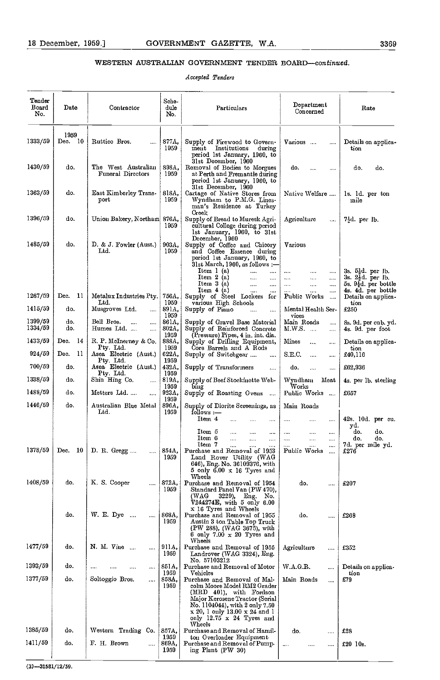## WESTERN AUSTRALIAN GOVERNMENT TENDER BOARD-continued.

## Accepted Tenders

| Tender<br>Board<br>No. | Date                    | Contractor                                                | Sche-<br>dule<br>No.   | Particulars                                                                                                                                                                                                                   | $\mathbf{Department}$<br>Concerned                                   | Rate                                                                                   |
|------------------------|-------------------------|-----------------------------------------------------------|------------------------|-------------------------------------------------------------------------------------------------------------------------------------------------------------------------------------------------------------------------------|----------------------------------------------------------------------|----------------------------------------------------------------------------------------|
| 1333/59                | 1959<br>Dec. $10$       | Ruttico Bros.<br>                                         | 877A.<br>1959          | Supply of Firewood to Govern-<br>ment Institutions during<br>period 1st January, 1960, to                                                                                                                                     | Various                                                              | Details on applica-<br>tion                                                            |
| 1430/59                | do.                     | The West Australian<br>Funeral Directors                  | 898A,<br>1959          | 31st December, 1960<br>Removal of Bodies to Morgues<br>at Perth and Fremantle during<br>period 1st January, 1960, to                                                                                                          | do.<br><br>                                                          | do.<br>do.                                                                             |
| 1363/59                | do.                     | East Kimberley Trans-<br>port                             | 818A,<br>1959          | 31st December, 1960<br>Cartage of Native Stores from<br>Wyndham to P.M.G. Lines-<br>man's Residence at Turkey<br>Creek                                                                                                        | Native Welfare                                                       | ls. ld. per ton<br>mile                                                                |
| 1396/59                | do.                     | Union Bakery, Northam 876A,                               | 1959                   | Supply of Bread to Muresk Agri-<br>cultural College during period<br>1st January, 1960, to 31st<br>December, 1960                                                                                                             | Agriculture<br>$\cdots$                                              | 73d per lb.                                                                            |
| 1485/59                | do.                     | D. & J. Fowler (Aust.)<br>Ltd.                            | 903A,<br>1959          | Supply of Coffee and Chicory<br>and Coffee Essence during<br>period 1st January, 1960, to<br>31st March, 1960, as follows :-<br>Item 1(a)<br>$\sim$ . $\sim$<br>$\ddotsc$<br>Item $2(a)$<br>$\cdots$<br>$\sim$<br>Item 3(a)   | Various<br>$\cdots$<br>$\cdots$<br><br>$\cdots$<br>$\cdots$<br><br>  | 3s. 5½d. per lb.<br>3s. $2\frac{1}{2}d$ . per lb.<br>5s. $9\overline{4}d$ . per bottle |
| 1267/59                | <b>11</b><br>Dec.       | Metalux Industries Pty.                                   |                        | $\cdots$<br>$\cdots$<br>Item 4 (a)<br>$\cdots$<br>$\cdots$                                                                                                                                                                    | <br><br><br>                                                         | 4s. 4d. per bottle                                                                     |
| 1415/59                | do.                     | Ltd.<br>Musgroves Ltd.                                    | 756A.<br>1959<br>891A, | Supply of Steel Lockers for<br>various High Schools<br>Supply of Piano                                                                                                                                                        | Public Works<br>$\cdots$<br>Mental Health Ser-                       | Details on applica-<br>tion<br>£250                                                    |
| 1399/59<br>1334/59     | do.<br>do.              | <br>Bell Bros.<br>$\ddotsc$<br>$\cdots$<br>Humes Ltd.<br> | 1959<br>861A.<br>802A. | $\cdots$<br>$\cdots$<br>Supply of Gravel Base Material<br>Supply of Reinforced Concrete                                                                                                                                       | vices<br>Main Roads<br>$\cdots$<br>M.W.S.<br>$\cdots$                | 8s. 9d. per cub. yd.<br>4s. 9d. per foot                                               |
| 1433/59                | Dec.<br>14              | R. P. McInerney & Co.                                     | 1959<br>888A.          | (Pressure) Pipes, 4 in. int. dia.<br>Supply of Drilling Equipment,                                                                                                                                                            | Mines<br><br>$\cdots$                                                | Details on applica-                                                                    |
| 924/59                 | -11<br>Dec.             | Ptv. Ltd.<br>Asea Electric (Aust.)                        | 1959<br>622A.          | Core Barrels and A Rods<br>Supply of Switchgear<br>$\cdots$                                                                                                                                                                   | S.E.C.<br><br>$\cdots$                                               | tion<br>£40,116                                                                        |
| 700/59                 | do.                     | Pty. Ltd.<br>Asea Electric (Aust.)                        | 1959<br>432A.          | Supply of Transformers<br>$\cdots$                                                                                                                                                                                            | do.<br>$\cdots$<br>$\cdots$                                          | £62,936                                                                                |
| 1338/59                | do.                     | Pty. Ltd.<br>Shin Hing Co.<br>$\cdots$                    | 1959<br>819A,          | Supply of Beef Stockinette Web-                                                                                                                                                                                               | Wyndham<br>Meat                                                      | 4s. per 1b. sterling                                                                   |
| 1488/59                | do.                     | Metters Ltd<br>$\mathbf{r}$                               | 1959<br>923A,          | bing<br>Supply of Roasting Ovens                                                                                                                                                                                              | Works<br>Public Works                                                | £657                                                                                   |
| 1446/59                | do.                     | Australian Blue Metal<br>Ltd.                             | 1959<br>896A.<br>1959  | Supply of Diorite Screenings, as<br>follows :-                                                                                                                                                                                | Main Roads                                                           |                                                                                        |
|                        |                         |                                                           |                        | Item 4<br><br>$\cdots$<br>Item 5<br>$\cdots$<br>$\cdots$<br>$\cdots$<br>Item 6<br>$\cdots$<br><br>                                                                                                                            | $\cdots$<br>$\cdots$<br><br>$\cdots$<br><br>$\cdots$<br><br>$\cdots$ | 42s. 10d. per cu.<br>yd.<br>do.<br>do.<br>do.<br>do.                                   |
| 1378/59                | 10 <sup>1</sup><br>Dec. | D. R. Gregg<br>$\cdots$ 1                                 | 854A,<br>1959          | Item 7<br>$\cdots$<br>$\cdots$<br><br>Purchase and Removal of 1953<br>Land Rover Utility (WAG<br>646), Eng. No. 36109376, with<br>5 only $6.00 \times 16$ Tyres and                                                           | <br>$\cdots$<br>$\cdots$<br>Public Works                             | 7d. per mile yd.<br>£276                                                               |
| 1408/59                | do.                     | K. S. Cooper<br>                                          | 872A,<br>1959          | Wheels<br>Purchase and Removal of 1954<br>Standard Panel Van (PW 470),<br>(WAG<br>3229),<br>Eng. No.<br>$V244274E$ , with 5 only 6.00                                                                                         | do.<br>                                                              | £207                                                                                   |
|                        | do.                     | W. E. Dyc.<br>$\cdots$<br>$\cdots$                        | 868A,<br>1959          | x 16 Tyres and Wheels<br>Purchase and Removal of 1955<br>Austin 3 ton Table Top Truck<br>(PW 288), (WAG 3675), with<br>6 only 7.00 $\times$ 20 Tyres and                                                                      | do.<br>                                                              | £268                                                                                   |
| 1477/59                | do.                     | N. M. Vine<br>                                            | 911A,<br>1959          | Wheels<br>Purchase and Removal of 1955<br>Landrover (WAG 3324), Eng.<br>No. 57103212                                                                                                                                          | Agriculture<br>                                                      | £352                                                                                   |
| 1393/59                | do.                     | $\cdots$<br>                                              | 851A,<br>1959          | Purchase and Removal of Motor<br>Vehicles                                                                                                                                                                                     | W.A.G.R.<br>                                                         | Details on applica-<br>tion                                                            |
| 1377/59                | do.                     | Soltoggio Bros.<br>$\cdots$                               | 858A,<br>1959          | Purchase and Removal of Mal-<br>colm Moore Model RM2 Grader<br>(MRD 401), with Fordson<br>Major Kerosene Tractor (Serial<br>No. 1104044), with 2 only 7.50<br>$x 20$ , 1 only 13.00 $x 24$ and 1<br>only 12.75 x 24 Tyres and | Main Roads<br>$\cdots$                                               | £79                                                                                    |
| 1385/59                | do.                     | Western Trading Co.                                       | 857A,                  | Wheels<br>Purchase and Removal of Hamil-                                                                                                                                                                                      | do.<br>                                                              | £28                                                                                    |
| 1411/59                | do.                     | F. H. Brown<br>                                           | 1959<br>869A,<br>1959  | ton Overloader Equipment<br>Purchase and Removal of Pump-<br>ing Plant (PW 30)                                                                                                                                                | $\ldots$<br>                                                         | £20 10s.                                                                               |

 $(3) -31581/12/59.$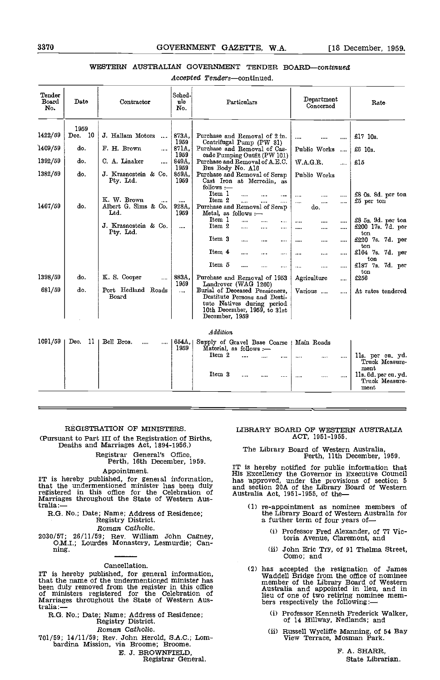## 8870 GOVERNMENT GAZETTE, W.A. [18 December, 1959.

## WESTERN AUSTRALIAN GOVERNMENT TENDER BOARD-continued

Accepted Tenders-continued.

| Tender<br>Board<br>No. | Date            | Contractor                                                       | Sched-<br>ule<br>No.      | Particulars                                                                                                                                    | Department<br>Concerned                                      | Rate                                           |
|------------------------|-----------------|------------------------------------------------------------------|---------------------------|------------------------------------------------------------------------------------------------------------------------------------------------|--------------------------------------------------------------|------------------------------------------------|
| 1422/59                | 1959<br>Dec. 10 | J. Hallam Motors<br>$\ddotsc$                                    | 873A                      | Purchase and Removal of 2 in.                                                                                                                  |                                                              | £17 10s.                                       |
| 1409/59                | do.             | F. H. Brown<br>                                                  | 1959<br>871A.             | Centrifugal Pump (PW 31)<br>Purchase and Removal of Cas-                                                                                       | Public Works<br>$\ddotsc$                                    | £6 10s.                                        |
| 1392/59                | do.             | C. A. Linaker<br>                                                | 1959<br>849A.<br>1959     | cade Pumping Outfit (PW 101)<br>Purchase and Removal of A.E.C.                                                                                 | W.A.G.R.<br>$\ddotsc$                                        | $-15$                                          |
| 1382/59                | do.             | J. Krasnostein & Co.<br>Pty. Ltd.                                | 859A,<br>1959             | Bus Body No. A16<br>Purchase and Removal of Scrap<br>Cast Iron at Merredin, as<br>follows :-                                                   | Public Works                                                 |                                                |
| 1467/59                | do.             | K. W. Brown<br>$\cdots$<br>Albert G. Sims & Co.<br>$_{\rm Ltd.}$ | $\cdots$<br>928A.<br>1959 | Item 1<br>.<br><br>Item 2<br><br><br><br>Purchase and Removal of Scrap<br>Metal, as follows :-                                                 | $\cdots$<br>$\cdots$<br><br>$\cdots$<br><br>$\cdots$<br>do.  | £8 0s. 8d. per ton<br>£5 per ton               |
|                        |                 | J. Krasnostein & Co.<br>Pty. Ltd.                                |                           | Item 1<br>$\cdots$<br>.<br>.<br>Item 2<br>.<br><br>$\cdots$                                                                                    | $\cdots$<br><br>$\cdots$<br>$\cdots$<br>$\cdots$<br>$\cdots$ | £8 5s. 9d. per ton<br>£200 17s. 7d. per<br>ton |
|                        |                 |                                                                  |                           | Item 3<br><br><br><br>Item 4                                                                                                                   | $\cdots$<br>$\cdots$<br>$\cdots$                             | £220 7s. 7d. per<br>ton                        |
|                        |                 |                                                                  |                           | <br>$\cdots$<br>$\cdots$<br>Item 5<br>----                                                                                                     | $\cdots$<br>$\cdots$<br>$\cdots$                             | £164 7s. 7d. per<br>ton<br>£187 7s. 7d. per    |
| 1398/59                | do.             | K. S. Cooper<br>                                                 | 883A,<br>1959             | <br>Purchase and Removal of 1953<br>Landrover (WAG 1260)                                                                                       | $\cdots$<br>$\cdots$<br>$\cdots$<br>Agriculture<br>$\cdots$  | ton<br>£256                                    |
| 681/59                 | do.             | Port Hedland Roads<br>Board                                      | $\cdots$                  | Burial of Deceased Pensioners,<br>Destitute Persons and Desti-<br>tute Natives during period<br>10th December, 1959, to 31st<br>December, 1959 | Various<br>$\cdots$                                          | At rates tendered                              |
|                        |                 |                                                                  |                           | Addition                                                                                                                                       |                                                              |                                                |
| 1091/59                | Dec.<br>-11     | Bell Bros.<br><br>$\cdots$                                       | 654A.<br>1959             | Supply of Gravel Base Coarse<br>Material, as follows -<br>Item 2                                                                               | Main Roads                                                   | lls. per cu. yd.                               |
|                        |                 |                                                                  |                           | <br>Item 3                                                                                                                                     | <br>$\cdots$<br>                                             | Truck Measure<br>ment                          |
|                        |                 |                                                                  |                           | $\cdots$<br>                                                                                                                                   | $\cdots$<br>                                                 | lls. 6d. per cu. yd.<br>Truck Measure-<br>ment |

## REGISTRATION OF MINISTERS.

(Pursuant to Part III of the Registration of Births, Deaths and Marriages Act, 1894-1956.)

Registrar General's Office, Perth, 16th December, 1959.

### Appointment.

IT is hereby published, for general information, that is the undermentioned minister has been duly and set registered in this office for the Celebration of Australia:—<br>Marriages throughout the State of Western Aus-<br>tralia:—

R.G. No.; Date; Name; Address of Residence; Registry District.

## Roman Catholic.

2030/57; 26/11/59; Rev. William John Cagney, O.M.I.; Lourdes Monastery, Lesmurdie; Can- ning.

Cancellation.<br>IT is hereby published, for general information, that the name of the undermentioned minister has been duly removed from the register in this office of ministers registered for the Celebration of Marriages throughout the State of Western Aus- $\frac{1}{2}$ tralia: $\frac{1}{2}$ 

R.G. No.; Date; Name; Address of Residence; Registry District.

## Roman Catholic.

- 701/59; 14/11/59; Rev. John Herold, S.A.C.; Lom- bardina Mission, via Broome; Broome.
	- B. J. BROWNPIELD

Registrar General.

## LIBRARY BOARD OF WESTERN AUSTRALIA ACT, 1951-1955.

# The Library Board of Western Australia, Perth, 11th December, 1959.

IT is hereby notified for public information that His Excellency the Governor in Executive Council has npproved, under the provisions of section 5 and section 20A of the Library Board of Western Australia Act, 1951-1955, of the

- re-appointment as nominee members of the Library Board of Western Australia for a further term of four years of—
	- (i) Professor Fred Alexander, of 77 Victoria Avenue, Claremont, and
	- (ii) John Eric Try, of 91 Thelma Street, Como; and
- has accepted the resignation of James Waddell Bridge from the office of nominee member of the Library Board of Western Australia and appointed in lieu, and in lieu of one of two retiring nominee mem-<br>bers respectively the following:—
	- Professor Kenneth Frederick Walker, of 14 HilIway, Nedlands; and
	- Russell Wycliffe Manning, of 54 Bay View Terrace, Mosman Park.

F. A. SHARR, State Librarian.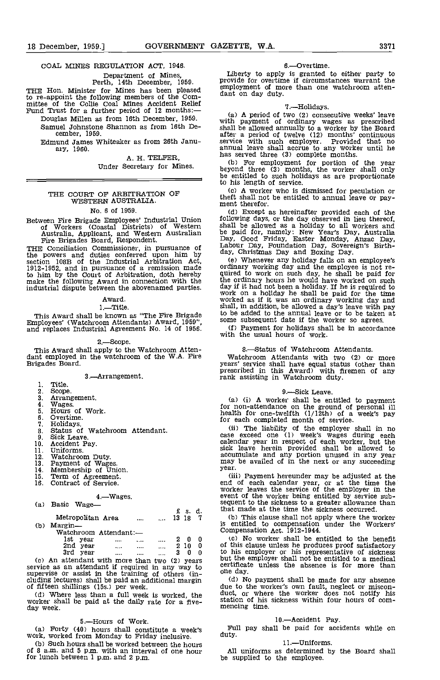## COAL MINES REGULATION ACT, 1946.

Department of Mines, Perth, 14th December, 1959.

THE Hon. Minister for Mines has been pleased  $\frac{\text{empty}}{\text{d}$ to re-appoint the following members of the Com-<br>mittee of the Collie Coal Mines Accident Relief Fund Trust for a further period of 12 months:—

Douglas Millen as from 16th December, 1959. Samuel Johnstone Shannon as from 16th December, 1959.

Edmund James Whiteaker as from 26th January, 1960.

> A. H. TELFER, Under Secretary for Mines.

# THE COURT OF ARBITRATION OF WESTERN AUSTRALIA.

## No. 6 of 1959.

Between Fire Brigade Employees' Industrial Union of Workers (Coastal Districts) of Western Australia, Applicant, and Western Australian Fire Brigades Board, Respondent.

THE Conciliation Commissioner, in pursuance of  $\frac{\text{Labor}}{\text{day}}$  Circle powers and duties conferred upon him by section 108B of the Industrial Arbitration Act, (e)<br>1912-1952, and in pursuance of a remission made ordin to him by the Court of Arbitration, doth hereby quired make the following Award in connection with the the or industrial dispute between the abovenamed parties.

Award.

1.—Title.<br>This Award shall be known as "The Fire Brigade" This Award shall be known as "The Fire Brigade Employees' (Watchroom Attendants) Award, 1959", and replaces Industrial Agreement No. 14 of 1956.

#### 2.—Scope.

This Award shall apply to the Watchroom Atten-<br>dant employed in the watchroom of the W.A. Fire<br>Brigades Board.

3.-Arrangement.

## $\mathbf{1}$

- Title.<br>Scope.  $2^{\circ}$
- $\overline{a}$ Arrangement.<br>Wages.
- 4. Hours of Work.
- 5. 6.
- Overtime. 7.
- 
- $\ddot{\mathbf{8}}$ . Status of Watchroom Attendant.
- 9. Sick Leave.  $10<sub>1</sub>$
- Accident Pay. Uniforms.
- $\frac{11}{12}$ .
- 13.
- 14.
- Watchroom Duty.<br>Payment of Wages.<br>Membership of Union.<br>Term of Agreement.<br>Contract of Service. 15.
- 16.
	-

|     |                       | $4 - W$ ages. |      |   |       |    | eve  |
|-----|-----------------------|---------------|------|---|-------|----|------|
| (a) | Basic<br>Wage—        |               |      |   |       |    | seq  |
|     |                       |               |      |   | £s.   | d. | tha  |
|     | Metropolitan Area     |               |      |   | 13 18 | 7  |      |
| (b) | Margin-               |               |      |   |       |    | is   |
|     | Watchroom Attendant:- |               |      |   |       |    | Cor  |
|     | lst.<br>year          |               |      |   | O     | 0  |      |
|     | 2nd year              |               | <br> | 2 | 10    | 0  | οf   |
|     | 3rd<br>year           |               |      | 3 |       |    | to   |
|     |                       |               |      |   |       |    | 1. 4 |

(c) An attendant with more than two (2) years but the service as an attendant if required in any way to  $\frac{\text{cutoff}}{\text{const}}$ supervise or assist in the training of others (in-<br>cluding lectures) shall be paid an additional margin (d)<br>of fifteen shillings (15s.) per week. due t

of fifteen shillings (15s.) per week.<br>(d) Where less than a full week is worked, the worker shall be paid at the daily rate for a five-<br>day week.

## 5.-Hours of Work.

Forty (40) hours shall constitute a week's work, worked from Monday to Friday inclusive.

(b) Such hours shall be worked between the hours of 8 a.m. and 5 p.m. with an interval of one hour all uniforms as determined<br>for lunch between 1 p.m. and 2 p.m.  $\frac{1}{2}$  p.m. for lunch between 1 p.m. and 2 p.m.

### 6.-Overtime,

Liberty to apply is granted to either party to provide for overtime if circumstances warrant the provide for overtime if circumstances warrant the employment of more than one watchroom atten- dant on day duty.

#### 7.-Holidays.

A period of two (2) consecutive weeks' leave with payment of ordinary wages as prescribed shall be allowed annually to a worker by the Board after a period of twelve (12) months' continuous service with such employer. Provided that no<br>annual leave shall accrue to any worker until he

has served three (3) complete months.<br>
(b) For employment for portion of the year beyond three (3) months, the worker shall only be entitled to such holidays as are proportionate to his length of service.

A worker who is dismissed for peculation or theft shall not be entitled to annual leave or pay- ment therefor,

Except as hereinafter provided each of the following days, or the day observed in lieu thereof, shall be allowed as a holiday to all workers and be paid for, namely: New Year's Day, Australia Day, Good Friday, Easter Monday, Anzac Day, Labour Day, Foundation Day, Sovereign's Birth-<br>Labour Day, Foundation Day, Sovereign's Birth-<br>day, Christmas Day and Boxing Day.

Whenever any holiday falls on an employee's ordinary working day and the employee is not re- quired to work on such day, he shall be paid for the ordinary hours he would have worked on such day if it had not been a holiday. If he is required to work on a holiday he shall be paid for the time worked as if it was an ordinary working day and shall, in addition, be allowed a day's leave with pay to be added to the annual leave or to be taken at some subsequent date if the worker so agrees.

Payment for holidays shall be in accordance with the usual hours of work.

## 8.-Status of Watchroom Attendants.

Watchroom Attendants with two (2) or more years' service shall have equal status (other than prescribed in this Award) with firemen of any rank assisting in Watchroom duty.

## 9.-Sick Leave.

(a) (i) A worker shall be entitled to payment for non-attendance on the ground of personal ill health for one-twelfth  $(1/12th)$  of a week's pay for each completed month of service.

The liability of the employer shall in no case exceed one (1) week's wages during each calendar year in respect of each worker, but the sick leave herein provided shall be allowed to accumulate and any portion unused in any year may be availed of in the next or any succeeding year.

(iii) Payment hereunder may be adjusted at the end of each calendar year, or at the time the worker leaves the service of the employer in the event of the worker being entitled by service subevent of the worker being entitled by service sub- sequent to the sickness to a greater allowance than that made at the time the sickness occurred.

(b) This clause shall not apply where the worker is entitled to compensation under the Workers' Compensation Act. 1912-1944.

1st year .... ..... .... 2 0 0 c) No worker shall be entitled to the benefit<br>2nd year .... ..... ..... 2 10 0 of this clause unless he produces proof satisfactory to his employer or his representative of sickness but the employer shall not be entitled to a medical certificate unless the absence is for more than certificate unless the absence is for more than<br>one day.<br>(d) No payment shall be made for any absence

(d) No payment shall be made for any absence due to the worker's own fault, neglect or miscon- duct, or where the worker does not notify his station of his sickness within four hours of commencing time.

## 10.-Accident Pay.

Full pay shall be paid for accidents while on

## 11.-Uniforms.

All uniforms as determined by the Board shall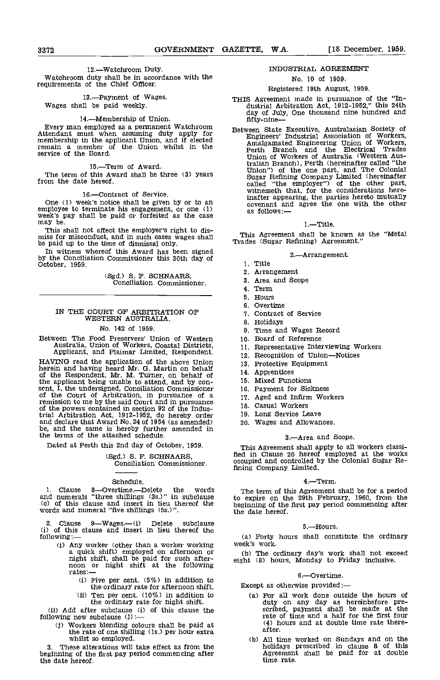### 12.-Watchroom Duty.

Watchroom duty shall be in accordance with the requirements of the Chief Officer.

13.-Payment of Wages. Wages shall be paid weekly.

14.—Membership of Union.<br>Every man employed as a permanent Watchroom. Attendant must when assuming duty apply for membership in the applicant Union, and if elected remain a member of the Union whilst in the<br>service of the Board.

15.-Term of Award.

The term of this Award shall be three (3) years from the date hereof.

16.-Contract of Service.

One (1) week's notice shall be given by or to an employee to terminate his engagement, or one (1) week's pay shall be paid or forfeited as the case

employee to terminate his engagement, or one (1)<br>week's pay shall be paid or forfeited as the case<br>may be.<br>This shall not affect the employer's right to dis-<br>miss for misconduct, and in such cases wages shall<br>be paid up to

In witness whereof this Award has been signed by the Conciliation Commissioner this 30th day of October, 1959.

(Sgd.) S. F. SCHNAARS, Conciliation Commissioner.

# IN THE COURT OF ARBITRATION OF WESTERN AUSTRALIA.

## No. 142 of 1959.

Between The Food Preservers' Union of Western Australia, Union of Workers, Coastal Districts, Applicant, and Plaimar Limited, Respondent.

HAVING read the application of the above Union 13.<br>herein and having heard Mr. G. Martin on behalf 13.<br>of the Respondent, Mr. M. Turner, on behalf of 14. the applicant being unable to attend, and by con-<br>sent, I, the undersigned, Conciliation Commissioner 16.<br>of the Court of Arbitration, in pursuance of a remission to me by the said Court and in pursuance of the powers contained in section 92 of the Industrial Arbitration Act, 1912-1952, do hereby order and declare that Award No. 24 of 1954 (as amended) be, and the same is hereby further amended in the terms of the attached schedule.

Dated at Perth this 2nd day of October, 1959.

# (Sgd.) S. F. SCHNAARS, Conciliation Commissioner.

## Schedule.

1. Clause 8-Overtime-Delete the words and numerals "three shillings (3s.)" in subclause to exect the conduction of this clause and insert in lieu thereof the words and numeral "five shillings (5s.)".

2. Clause 9—Wages.—(i) Delete subclause<br>(i) of this clause and insert in lieu thereof the following:-

- (i) Any worker (other than a worker working week's work. a quick shift) employed on afternoon or (b) is night shift, shall be paid for such after-<br>noon or night shift at the following eight  $rates :=$ 
	- (i) Five per cent.  $(5\%)$  in addition to the ordinary rate for afternoon shift.
	- the ordinary rate for afternoon shift. Excent. (10%) in addition to the case of the case of the case of the case of the case of the case of the case of the case of the case of the case of the case of the case of the case o the ordinary rate for night shift.

(ii) Add after subclause (i) of this clause the following new subclause (j)

(I) Workers blending colours shall be paid at the rate of one shilling (is.) per hour extra whilst so employed.

beginning of the first pay period commencing after the date hereof.

## INDUSTRIAL AGREEMENT

## No. 10 of 1959.

## Registered 19th August, 1959.

- THIS Agreement made in pursuance of the "In- dustrial Arbitration Act, 1912-1952," this 24th day of July, One thousand nine hundred and fifty-nine-
- Between State Executive, Australasian Society of Engineers' Industrial Association of Workers, Amalgamated Engineering Union of Workers, Perth Branch and the Electrical Trades Union of Workers of Australia (Western Aus-tralian Branch), Perth (hereinafter called "the Union") of the one part, and The Colonial Sugar Refining Company Limited (hereinafter Sugar Refining Company Limited (hereinafter called "the employer") of the other part, witnesseth that, for the considerations hereinafter appearing, the parties hereto mutually covenant and agree the one with the other

## 1.-Title.

This Agreement shall be known as the "Metal Trades (Sugar Refining) Agreement."

#### 2.-Arrangement.

- 1 Title
- Arrangement
- Area and Scope
- 4. Term
- 5. Hours
- Overtime
- 7. Contract of Service
- 8. Holidays
- 9. Time and Wages Record
- 10 Board of Reference
- 11. Representative Interviewing Workers
- 12. Recognition of Union-Notices
- 13. Protective Equipment
- 14. Apprentices
- 15. Mixed Functions
- 16. Payment for Sickness
- Aged and Infirm Workers
- Casual Workers
- 19. Long Service Leave
- Wages and Allowances.

## 3.-Area and Scope.

This Agreement shall apply to all workers classi- fied in Clause 20 hereof employed at the works occupied and controlled by the Colonial Sugar Refining Company Limited.

## 4.-Term.

The term of this Agreement shall be for a period to expire on the 29th February, 1960, from the beginning of the first pay period commencing after the date hereof.

#### 5.-Hours.

(a) Forty hours shall constitute the ordinary

(b) The ordinary day's work shall not exceed eight (8) hours, Monday to Friday inclusive.

#### 6.-Overtime.

Except as otherwise provided:-

- For all work done outside the hours of duty on any day as hereinbefore pre- scribed, payment shall be made at the rate of time and a half for the first four (4) hours and at double time rate there-<br>after.
- whilst so employed.<br>
3. These alterations will take effect as from the state of the state of this<br>
3. These alterations will take effect as from the state of this holidays prescribed in clause 8 of this Agreement shall be paid for at double time rate.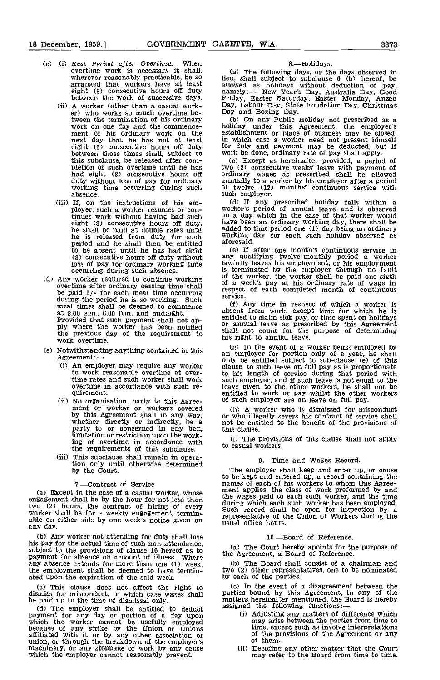- (c) (i) Rest Period after Overtime. When<br>overtime work is necessary it shall, wherever reasonably practicable, be so arranged that workers have at least eight (8) consecutive hours off duty between the work of successive days.
	- (ii) A worker (other than a casual work-<br>er) who works so much overtime be-<br>tween the termination of his ordinary tween the termination of his ordinary work on one day and the commence- ment of his ordinary work on the next day that he has not at least eight (0) consecutive hours off duty between those times shall, subject to work be done, ordinary rate of pay shall apply.<br>this subclause, be released after com- (c) Except as hereinafter provided, a period of this subclause, be released after com-<br>pletion of such overtime until he has had eight (8) consecutive hours off ord duty without loss of pay for ordinary annua<br>working time occurring during such of two absence.
	- If, on the instructions of his em- ployer, such a worker resumes or continues work without having had such on a eight (8) consecutive hours off duty, he shall be paid at double rates until he is released from duty for such<br>period and he shall then be entitled<br>to be absent until he has had eight<br>(8) consecutive hours off duty without to be absent to be absent to be absent the had loss of pay for ordinary working time occurring during such absence.
- (d) Any worker required to continue working be paid  $5/-$  for each meal time occurring respect service. during the period he is so working. Such  $\begin{array}{c} \text{set 1} \\ \text{model 2} \end{array}$  and midnight. The interval time in respect of which a worker is at 8.00 a.m., 6.00 p.m. and midnight. at 8.00 a.m., 6.00 p.m. and midnight. absent<br>Provided that such payment shall not ap-<br>ply where the worker has been notified or any the previous day of the requirement to shall if work overtime.
- (e) Notwithstanding anything contained in this Agreement:-
	- (i) An employer may require any worker to work reasonable overtime at overtime rates and such worker shall work such overtime in accordance with such requirement.
	- No organisation, party to this Agree- ment or worker or workers covered by this Agreement shall in any way, whether directly or indirectly, be a party to or concerned in any ban, limitation or restriction upon the working of overtime in accordance with  $\frac{1}{10}$  to easy the requirements of this subclause.
	- (iii) This subclause shall remain in operation only until otherwise determined by the Court.

7.—Contract of Service.<br>(a) Except in the case of a casual worker, whose (a) Except in the case of a casual worker, whose  $\frac{m}{2}$  engagement shall be by the hour for not less than  $\frac{dm}{d}$ two (2) hours, the contract of hiring of every during<br>worker shall be for a weekly engagement, termin-<br>able on either side by one week's notice given on represent able on either side by one week's notice given on<br>any day.

Ant' worker not attending for duty shall lose his pay for the actual time of such non-attendance, subject to the provisions of clause 16 hereof as to payment for absence on account of illness. Where any absence extends for more than one (1) week, (b) The Board shall the employment shall be deemed to have termin- two (2) other represent ated upon the expiration of the sa

(c) This clause does not affect the right to dismiss for misconduct, in which case wages shall be paid up to the time of dismissal only.

be paid up to the time of unsinissal only.<br>
(d) The employer shall be entitled to deduct<br>
payment for any day or portion of a day upon<br>
which the worker cannot be usefully employed<br>
because of any strike by the Union or Un

8.—Holidays.<br>(a) The following days, or the days observed in (a) The following days, or the days observed in<br>let, shall subject to subclause 6 (b) hereof, be<br>allowed as holidays without deduction of pay,<br>namely:— New Year's Day, Australia Day, Good<br>Friday, Easter Saturday, Easter Mo

Let  $\alpha$  be an Public Holiday not prescribed as a holiday under this Agreement, the employer's establishment or place of business may be closed, in which case a worker need not present himself for duty and payment may be

two (2) consecutive weeks' leave with payment of ordinary wages as prescribed shall be allowed annually to a worker by his employer after a period of twelve (12) months' continuous service with of twelve (12) months' continuous service with<br>such employer.

If any prescribed holiday falls within a worker's period of annual leave and is observed on a day which in the case of that worker would have been an ordinary working day, there shall be added to that period one (1) day being an ordinary working day for each such holiday observed as aforesaid.

If after one month's continuous service in any qualifying twelve-monthly period a worker lawfully leaves his employment, or his employment is terminated by the employer through no fault of the worker, the worker shall be paid one-sixth of a week's pay at his ordinary rate of wage in respect of each completed month of continuous service.

entitled to claim sick pay, or time spent on holidays<br>or annual leave as prescribed by this Agreement<br>shall not count for the purpose of determining his right to annual leave.

(g) In the event of a worker being employed by an employer for portion only of a year, he shall only be entitled subject to sub-clause (e) of this clause, to such leave on full pay as is proportionate such employer, and if such leave is not equal to the leave given to the other workers, he shall not be entitled to work or pay whilst the other workers of such employer are on leave on full pay.

A worker who is dismissed for misconduct or who illegally severs his contract of service shall not be entitled to the benefit of the provisions of this clause.

The provisions of this clause shall not apply to casual workers.

## 9.-Time and Wages Record.

The employer shall keep and enter up, or cause to be kept and entered up, a record containing the names of each of his workers to whom this Agreement applies, the class of work preformed by and the wages paid to each such worker, and the time the wages paid to each such worker, and the time during which each such worker has been employed. Such record shall be open for inspection by a representative of the Union of Workers during the usual office hours.

## 10.-Board of Reference.

(a) The Court hereby apoints for the purpose of the Agreement, a Board of Reference.

(b) The Board shall consist of a chairman and two (2) other representatives, one to be nominated

In the event of a disagreement between the parties bound by this Agreement, in any of the matters hereinafter mentioned, the Board is hereby matters hereing or members, the beard is in

- (i) Adjusting any matters of difference which may arise between the parties from time to time, except such as involve Interpretations of the provisions of the Agreement or any of them.
- (ii) Deciding any other matter that the Court may refer to the Board from time to time.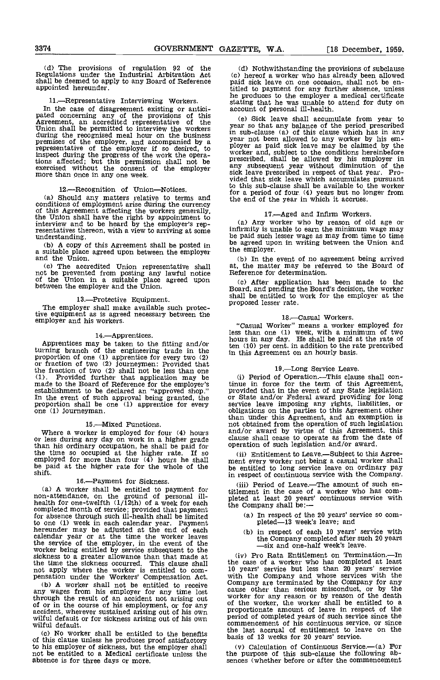(d) The provisions of regulation <sup>92</sup> of the Regulations under the Industrial Arbitration Act (c)<br>shall be deemed to apply to any Board of Reference paid<br>appointed hereunder. title

11.—Representative Interviewing Workers. In the case of disagreement existing or antici-<br>pated concerning any of the provisions of this  $\frac{1}{2}$  (exerement, an accredited representative of the  $\frac{1}{2}$ Union shall be permitted to interview the workers during the recognised meal hour on the business in superemises of the employer, and accompanied by a year representative of the employer if so desired, to uncrease inspect during the progress of the work the opera-<br>tions affected; but this permission shall not be presc exercised without the consent of the employer and<br>more than once in any one week.

## 12.---Recognition of Union--Notices.

(a) Should any matters relative to terms and conditions of employment arise during the currency conditions of employment arise during the currency of this Agreement affecting the workers generally, the Union shall have the right by appointment to interview and to be heard by the employer's representatives thereon, with a view to arriving at some understanding.

a suitable place agreed upon between the employer and the Union.

(c) The accredited Union representative shall at, the not be prevented from posting any lawful notice Referen of the Union in a suitable place agreed upon (c) A between the employer and the Union.

13.Protective Equipment. The employer shall make available such protective equipment as is agreed necessary between the employer and his workers.

## 14.Apprentices.

Apprentices may be taken to the fitting and/or<br>turning branch of the engineering trade in the<br>proportion of one (1) apprentice for every two (2)<br>or fraction of two (2) journeymen: Provided that<br>the fraction of two (2) sha (1). Provided further that application may be (i) made to the Board of Reference for the employer's tinue establishment to be declared an "approved shop." provi In the event of such approval being granted, the provest proportion shall be one (1) apprentice for every service one (1) journeyman.

### 15.---Mixed Functions.

Where a worker is employed for four (4) hours and/or award by virtue of this Agreement or less during any day on work in a higher grade clause shall cease to operate as from the than his ordinary occupation, he shall be p than his ordinary occupation, he shall be paid for operation of such legislation and/or award.<br>the time so occupied at the higher rate. If so (ii) Entitlement to Leave.—Subject to this Agreethe time so occupied at the higher rate. If so (ii) employed for more than four (4) hours he shall ment<br>be paid at the higher rate for the whole of the be er be paid at the higher rate for the whole of the shift.

16.—Payment for Sickness. (a) A worker shall be entitled to payment for time-attendance, on the ground of personal illhealth for one-twelfth  $(1/12th)$  of a week for each the C completed month of service; provided that payment for absence through such ill-health shall be limited to one (1) week in each calendar year. Payment<br>hereunder may be adjusted at the end of each calendar year or at the time the worker leaves (b) the service of the employer, in the event of the worker being entitled by service subsequent to the sickness to a greater allowance than that made at the time the sickness occurred. This clause shall the cheap of apply where the worker is entitled to com-<br>pensation under the Workers' Compensation Act. (with the Worker shall not be entitled to receive compensation Act.

(b) A worker shall not be entitled to receive any wages from his employer for any time lost through the result of an accident not arising out through the result of an accident not arising out worke<br>of or in the course of his employment, or for any of the accident, wherever sustained arising out of his own propo<br>wilful default or for sickness arising out of his own period<br>wilful default.

(c) No worker shall be entitled to the benefits of this clause unless he produces proof satisfactory not be entitled to a Medical certificate unless the absence is for three days or more,

(d) Nothwithstanding the provisions of subclause<br>(c) hereof a worker who has already been allowed paid sick leave on one occasion, shall not be en-<br>titled to payment for any further absence, unless titled to payment for any further absence, unless he produces to the employer a medical certificate stating that he was unable to attend for duty on account of personal ill-health.

(e) Sick leave shall accumulate from year to year so that any balance of the period prescribed in sub-clause (a) of this clause which has in any year not been allowed to any worker by his employer as paid sick leave may be claimed by the worker and, subject to the conditions hereinbefore prescribed, shall be allowed by his employer in any subsequent year without diminution of the sick leave prescribed in respect of that year. Provided that sick leave which accumulates pursuant to this sub-clause shall be available to the worker for a period of four (4) years but no longer from the end of the year in which it accrues.

(b) A copy of this Agreement shall be posted in be agreed upon in writing between the Union and 17.—Aged and Infirm Workers.<br>(a) Any worker who by reason of old age or infirmity is unable to earn the minimum wage may be paid such lesser wage as may from time to time the employer.

> (b) In the event of no agreement being arrived at, the matter may be referred to the Board of Reference for determination.

> After application has been made to thc Board, and pending the Board's decision, the worker shall be entitled to work for the employer at the proposed lesser rate.

## 18. Casual Workers.

"Casual Worker" means a worker employed for less than one (1) week, with a minimum of two hours in any day. He shall be paid at the rate of ten (10) per cent, in addition to the rate prescribed in this Agreement on an hourly basis.

#### 19.Long Service Leave.

(i) Period of Operation.—This clause shall con-<br>tinue in force for the term of this Agreement, tinue in force for the term of this Agreement, provided that in the event of any State legislation or State and/or Federal award providing for long service leave imposing any rights, liabilities, or obligations on the parties to this Agreement other than under this Agreement, and an exemption is not obtained from the operation of such legislation and/or award by virtue of this Agreement, this clause shall cease to operate as from the date of

ment every worker not being a casual worker shall be entitled to long service leave on ordinary pay in respect of continuous service with the Company.

(iii) Period of Leave.--The amount of such entitlement in the case of a worker who has completed at least 20 years' continuous service with the Company shall be:

- (a) In respect of the 20 years' service so completed— $13$  week's leave; and
- in respect of each 10 years' service with the Company completed after such 20 years —six and one-half week's leave.

(iv) Pro Rata Entitlement on Termination.---In the case of a worker who has completed at least 10 years' service but less than 20 years' service with the Company and whose services with the Company are terminated by the Company for any cause other than serious misconduct, or by the<br>worker for any reason or by reason of the death<br>of the worker, the worker shall be entitled to a<br>proportionate amount of leave in respect of the<br>period of completed years of s commencement of his continuous service, or since<br>the last accrual of entitlement to leave on the basis of 13 weeks for 20 years' service.

(v) Calculation of Continuous Service.--- (a) For the purpose of this sub-clause the foUowing ab- sences (whether before or after the commencement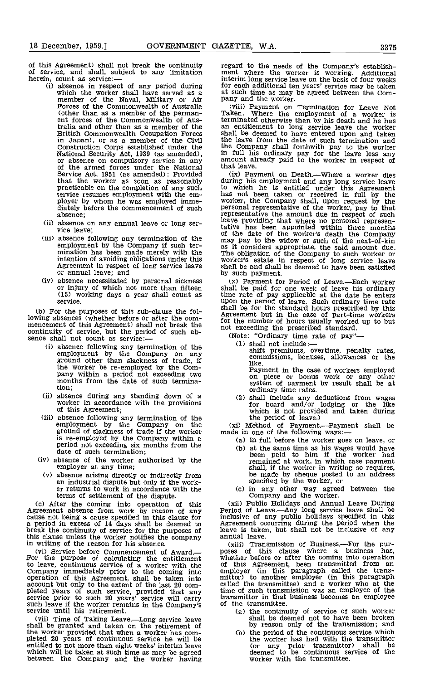of this Agreement) shall not break the continuity of service, and shall, subject to any limitation herein, count as service: $\frac{1}{10}$  absence in respect of any period during

- which the worker shall have served as a at such time as may member of the Naval, Military or Air pany and the worker. member of the Naval, Military or Air and the worker.<br>Forces of the Commonwealth of Australia (viii) Payment on Termination for Leave Not (other than as a member of the perman-<br>Taken.—Where the employment of a worker is ent forces of the Commonwealth of Australia and other than as a member of the British Commonwealth Occupation Forces in Japan), or as a member of the Civil the leave from the date of such termination and<br>Construction Corps established under the Unit his ordinary pay for the leave less any<br>or absence on compulsory service in any amount al Service Act, 1951 (as amended): Provided that the worker as soon as reasonably service resumes employment with the em-<br>ployer by whom he was employed imme-<br>diately before the commencement of such absence;
- (ii) absence on any annual leave or long ser- vice leave;
- employment by the Company if such ter-<br>mination has been made merely with the<br>intention of avoiding obligations under this Agreement in respect of long service leave<br>or annual leave; and
- (15) working days a year shall count as service.

(b) For the purposes of this sub-clause the fol-<br>lowing absences (whether before or after the commencement of this Agreement) shall not break the continuity of service, but the period of such ab-<br>continuity of service, but the period of such ab-<br>sence shall not count as service:---<br>(Note: "Ordinary time rate of pay"-

- absence following any termination of the  $\frac{(1)}{(1)}$  employment by the Company on any ground other than slackness of trade, if the worker be re-employed by the Com-<br>pany within a period not exceeding two<br>months from the date of such termination;
- absence during any standing down of a worker in accordance with the provisions of this Agreement;
- (iii) absence following any termination of the<br>employment by the Company on the (xi) ground of slackness of trade if the worker is re-employed by the Company within a period not exceeding six months from the date of such termination;
- (iv) absence of the worker authorised by the employer at any time;
	- (v) absence arising directly or indirectly from an industrial dispute but only if the work-<br>er returns to work in accordance with the<br>terms of settlement of the dispute.

terms of settlement of the dispute.<br>
(c) After the coming into operation of this (xii)<br>
Agreement absence from work by reason of any Period cause not being a cause specified in this clause for a inclusion a period in excess of 14 days shall be deemed to Agreen break the continuity of service for the purposes of this clause unless the worker notifies the company in writing of the reason for his absence.

(vi) Service before Commencement of Award. For the purpose of calculating the entitlement to leave, continuous service of a worker with the of this Company immediately prior to the coming into employ operation of this Agreement, shall be taken into  $\frac{1}{100}$ account but only to the extent of the last 20 com-<br>
pleted years of such service, provided that any time of<br>
service prior to such 20 years' service will carry transm such leave if the worker remains in the Company's of service until his retirement.

(vii) Time of Taking Leave.Long service leave shall be granted and taken on the retirement of the worker provided that when a worker has com-<br>pleted 20 years of continuous service he will be entitled to not more than eight weeks' interim leave which will be taken at such time as may be agreed between the Company and the worker having

regard to the needs of the Company's establish- ment where the worker is working. Additional interim long service leave on the basis of four weeks for each additional ten years' service may be taken at such time as may be agreed between the Com-

Taken.—Where the employment of a worker is<br>terminated otherwise than by his death and he has an entitlement to long service leave the worker shall be deemed to have entered upon and taken the leave from the date of such termination and the Company shall forthwith pay to the worker in full his ordinary pay for the leave less any amount already paid to the worker in respect of that leave.

that the worker as soon as reasonably during his employment and any long service leave<br>practicable on the completion of any such to which he is entitled under this Agreement (iii) absence following any termination of the may pay to the widow or such of the next-of-kin (ix) Payment on Death.—Where a worker dies<br>during his employment and any long service leave<br>to which he is entitled under this Agreement<br>has not been taken or received in full by the<br>worker, the Company shall, upon reques leave providing that where no personal representative has been appointed within three months of the date of the worker's death the Company may pay to the widow or such of the next-of-kin as it considers appropriate, the said amount due. The obligation of the Company to such worker or worker's estate in respect of long service leave shall be and shall be deemed to have been satisfied by such payment.

(iv) absence necessitated by personal sickness (x) Payment for Period of Leave.—Each worker or injury of which not more than fifteen shall be paid for one week of leave his ordinary shall be paid for one week of leave his ordinary<br>time rate of pay applicable at the date he enters time rate of pay applicable at the date he enters upon the period of leave. Such ordinary time rate shall be for the standard hours presoribed by this Agreement but in the case of part-time workers Agreement but in the case of part-time workers for the number of hours usually worked up to but

- shall not include:
	- shift premiums, overtime, penalty rates, commissions, bonuses, allowances or the like.<br>Payment in the case of workers employed

Payment in the case of bonus work or any other system of payment by result shall be at ordinary time rates.

shall include any deductions from wages for board and/or lodging or the like which is not provided and taken during

the period of leave.)<br>
(xi) Method of Payment.—Payment shall be made in one of the following ways:—

- (a) in full before the worker goes on leave, or at the same time as his wages would have been paid to him if the worker had
- remained at work, in which case payment shall, if the worker in writing so requires, be made by cheque posted to an address specified by the worker, or
- in any other way agreed between the Company and the worker.<br>(xii) Public Holidays and Annual Leave During

Period of Leave.—Any long service leave shall be inclusive of any public holidays specified in this Agreement occurring during the period when the leave is taken, but shall not be inclusive of any annual leave.

(xiii) Transmission of Business.—For the pur-<br>poses of this clause where a business has,<br>whether before or after the coming into operation<br>of this Agreement, been transmitted from an employer (in this paragraph called the trans- mittor) to another employer (in this paragraph called the transmittee) and a worker who at the time of such transmission was an employee of the transmittor in that business becomes an employee of the transmittee.

- the continuity of service of such worker shall he deemed not to have been broken by reason only of the transmission; and
- (b) the period of the continuous service which the worker has had with the transmittor (or any prior transmittor) shall be deemed to be continuous service of the worker with the transmittee.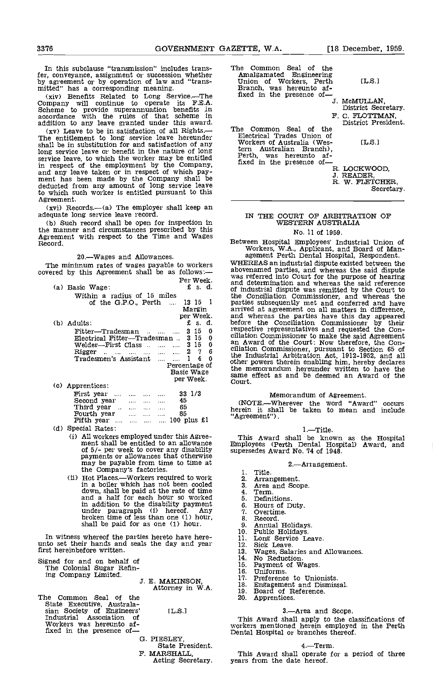In this subclause "transmission" includes trans-<br>fer, conveyance, assignment or succession whether fer, conveyance, assignment or succession whether<br>by agreement or by operation of law and "trans- mitted" has a corresponding meaning. Bran<br>(xiv) Benefits Related to Long Service.—The fixed<br>Company will continue to operate

Scheme to provide superannuation benefits in accordance with the rules of that scheme in

addition to any leave granted under this award.<br>
(xy) Leave to be in satisfaction of all Rights. The entitlement to long service leave hereunder shall be in substitution for and satisfaction of any wom shall be in substitution for and satisfaction of any long service leave or benefit in the nature of long service leave, to which the worker may be entitled<br>in respect of the employment by the Company,<br>and any leave taken or in respect of which payment has been made by the Company shall be deducted from any amount of long service leave to which such worker is entitled pursuant to this

 $(xvi)$  Records.  $-(a)$  The employer shall keep an adequate long service leave record.

(b) Such record shall be open for inspection In the manner and circumstances prescribed by this Agreement with respect to the Time and Wages Record.

20.Wages and Allowances.

Per Week.

| $(a)$ Basic Wage:                   | - -- -- ---      | £ s. d. |   | and   |
|-------------------------------------|------------------|---------|---|-------|
|                                     |                  |         |   | of in |
| Within a radius of 15 miles         |                  |         |   | the   |
| of the G.P.O., $Perth$              | 13 15 1          |         |   | part  |
|                                     |                  | Margin  |   | arri  |
|                                     | per Week.        |         |   | and   |
| (b) Adults:                         |                  | £s.d.   |   | befo  |
| Fitter-Tradesman                    |                  | $3\,15$ | 0 | resp  |
| Electrical Fitter-Tradesman         |                  | 315     | 0 | cilia |
| Welder—First Class   3 15           |                  |         | 0 | an 1  |
| Rigger                              |                  | 27      | 6 | cilia |
| Tradesmen's Assistant               |                  | 4       | 0 | the   |
|                                     | Percentage of    |         |   | othe  |
|                                     | Basic Wage       |         |   | the   |
|                                     | per Week.        |         |   | sam   |
| (c) Apprentices:                    |                  |         |   | Cou   |
| First year                          | $33 \frac{1}{3}$ |         |   |       |
| Second year<br>$\cdots$<br>$\cdots$ | 45               |         |   | Œ     |
|                                     |                  |         |   |       |

| First year $\ldots$ $\ldots$ $\ldots$ $\ldots$ |  |          | 33 1/3 |      |
|------------------------------------------------|--|----------|--------|------|
| Second year                                    |  | $\cdots$ | 45     | Œ    |
| Third year                                     |  |          | 65     | here |
| Fourth year                                    |  | $\cdots$ | 85     | "Agi |
| Fifth year $$ $$ $$ $$ $100$ plus £1           |  |          |        |      |
| Special Potes                                  |  |          |        |      |

(d) Special Rates:

- All workers employed under this Agree- ment shall be entitled to an allowance of 5/- per week to cover any disability payments or allowances that otherwise may be payable from time to time at may be payable from time to time at<br>the Company's factories.
- (ii) Hot Places.—Workers required to work  $\frac{2}{3}$ .<br>in a boiler which has not been cooled  $\frac{3}{3}$ . in a boiler which has not been cooled 3. down, shall be paid at the rate of time  $\frac{4}{3}$ .<br>and a half for each hour so worked  $\frac{4}{5}$ . in addition to the disability payment under paragraph (i) hereof. Any  $\frac{7}{7}$ , broken time of less than one (1) hour,  $\frac{8}{9}$ , shall be paid for as one (1) hour.  $\frac{9}{9}$

In witness whereof the parties hereto have here-<br>unto set their hands and seals the day and year 1 first hereinbefore written.

Signed for and on behalf of The Colonial Sugar Refin-

ing Company Limited. J. E. MAKINSON, Attorney in WA.

The Common Seal of the State Executive, Australa-<br>sian Society of Engineers' [L.S.]<br>Industrial Association of Workers was hereunto af-<br>fixed in the presence of-

State President.<br>F. MARSHALL. Acting Secretary.

- The Common Seal of the<br>Amalgamated Engineering Union of Workers, Perth [L.S.]<br>Branch, was hereunto af-<br>fixed in the presence of-<br>J. MCMULLAN,
- F. C. FLOTTMAN,<br>The Common Seal of the District President. The Common Seal of the Electrical Trades Union of Workers of Australia (Wes- IL.S.] Workers of Australian Branch),<br>
tern Australian Branch),<br>
Perth, was hereunto af-<br>
fixed in the presence of-R. LOCKWOOD,<br>
I. READER,<br>
I. W. FLETCHER,<br>
R. W. FLETCHER,
- 

District Secretary.

Secretary.

## IN THE COURT OF ARBITRAflON OF WESTERN AUSTRALIA

No. 11 of 1959.

Between Hospital Employees' Industrial Union of Workers, W.A., Applicant, and Board of Man- agement Perth Dental Hospital, Respondent.

The minimum rates of wages payable to workers WHEREAS an industrial dispute existed between the covered by this Agreement shall be as follows:— abovenamed parties, and whereas the said dispute  $\begin{array}{cc}\n & 4 & 6 \\
\ldots & 1 & 4 & 0 \\
\end{array}$  the Industrial Arbitration Act, 1912-1952, and all other powers therein enabling him, hereby declares<br>Percentage of the memorandum because written to be a the WHEREAS an industrial dispute existed between the abovenamed parties, and whereas the said dispute was referred into Court for the purpose of hearing and determination and whereas the said reference of industrial dispute was remitted by the Court to the Conciliation Commissioner, and whereas the parties subsequently met and conferred and have arrived at agreement on all matters in difference, and whereas the parties have this day appeared before the Conciliation Commissioner by their respective representatives and requested the Con-<br>ciliation Commissioner to make the said Agreement<br>an Award of the Court: Now therefore, the Con-<br>ciliation Commissioner, pursuant to Section 65 of the memorandum hereunder written to have the same effect as and be deemed an Award of the Court.

Memorandum of Agreement.<br>(NOTE.—Wherever the word "Award" occurs<br>herein it, shall be taken to mean and include "Agreement").

## 1.-Title.

This Award shall be known as the Hospital Employees (Perth Dental Hospital) Award, and supersedes Award No. 74 of 1948.

#### 2.Arrangement.

- Title.<br>Arrangement.
- 
- Area and Scope.<br>Term.
- 
- Definitions.
- Hours of Duty. overtime.
- 
- 
- 
- 8. Record.<br>9. Annual Holidays.<br>10. Public Holidays.<br>11. Long Service Leave.<br>12. Sick Leave.
- 
- Sick Leave.<br>Wages, Salaries and Allowances.<br>No Reduction.
- 14.
- 15. Payment of Wages. Uniforms.
- 16.
- Preference to Unionists. 17.
- 18. Engagement and Dismissal. Board of Reference.
- 19.
- 20. Apprentices.

#### 3.Area and Scope.

G. PIESLEY, Dental Hospital or branches thereof. This Award shall apply to the classifications of workers mentioned herein employed in the Perth

#### 4.Term.

This Award shall operate for a period of three years from the date hereof.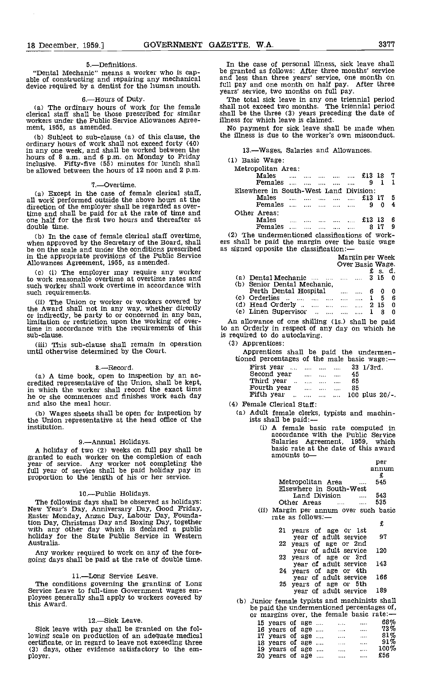5.—Definitions.<br>"Dental Mechanic" means a worker who is cap-

6.Hours of Duty. The ordinary hours of work for the female clerical staff shall be those prescribed for similar share workers under the Public Service Allowances Agree- ill ment, 1955, as amended.

Subject to sub-clause (a) of this clause, the ordinary hours of work shall not exceed forty (40) in any one week, and shall be worked between the hours of 8 a.m. and 6 p.m. on Monday to Friday  $(1)$ inclusive. Fifty-five (55) minutes for lunch shall be allowed between the hours of 12 noon and 2 p.m.

#### 7.Overtime.

Except in the case of female clerical staff, all work performed outside the above hours at the direction of the employer shall be regarded as overtime and shall be paid for at the rate of time and one half for the first two hours and thereafter at double time.

in the appropriate provisions of the Public Service Allowances Agreement, 1955, as amended.

(a) (i) The employer may require any worker to work reasonable overtime at overtime rates and such worker shall work overtime in accordance with such requirements.

(ii) The Union or worker or workers covered by<br>the Award shall not in any way, whether directly or indirectly, be party to or concerned in any ban. limitation or restriction upon the working of overtime in accordance with the requirements of this sub-clause.

This sub-clause shall remain in operation until otherwise determined by the Court.

8.—Record.<br>(a) A time book, open to inspection by an ac-A time book, open to inspection by an ac- credited representative of the Union, shall be kept, in which the worker shall record the exact time he or she commences and finishes work each day and also the meal hour.

Wages sheets shall be open for inspection by the Union representative at the head office of the institution.

## 9.Annual Holidays.

A holiday of two (2) weeks on full pay shall be granted to each worker on the completion of each year of service. Any worker not completing the full year of service shall be paid holiday pay in proportion to the length of his or her service.

10.—Public Holidays.<br>The following days shall be observed as holidays: The following days shall be observed as holidays:<br>New Year's Day, Anniversary Day, Good Friday,<br>Easter Monday, Anzac Day, Labour Day, Foundation Day, Christmas flay and Boxing flay, together with any other day which is declared a public holiday for the State Public Service in Western Australia.

Any worker required to work on any of the fore-going days shall be paid at the rate of double time.

11.—Long Service Leave.<br>The conditions governing the granting of Long<br>Service Leave to full-time Government wages em-<br>ployees generally shall apply to workers covered by this Award.

#### 12.-Sick Leave.

Sick leave with pay shall be granted on the folcertificate, or in regard to leave not exceeding three (3) days, other evidence satisfactory to the em- ployer.

"Dental Mechanic" means a worker who is cap-<br>able of constructing and repairing any mechanical and less than three years' service, one month on<br>device required by a dentist for the human mouth. It'll pay and one month on h In the case of personal illness, sick leave shall be granted as follows: After three months' service and less than three years' service, one month on full pay and one month on half pay. After three years' service, two months on full pay.

> The total sick leave in any one triennial period shall not exceed two months. The triennial period shall be the three (3) years preceding the date of illness for which leave is claimed.

No payment for sick leave shall be made when the illness is due to the worker's own misconduct.

### 13.-Wages, Salaries and Allowances.

(1) Basic Wage:

| Metropolitan Area:                     |  |                                   |  |        |     |     |
|----------------------------------------|--|-----------------------------------|--|--------|-----|-----|
| Males                                  |  | المتدار متدر المتدر المتدر المتدر |  | £13 18 |     |     |
| <b>Females</b>                         |  |                                   |  | 9      |     |     |
| Elsewhere in South-West Land Division: |  |                                   |  |        |     |     |
| Males                                  |  | المتحصر المحدود المحدود المحدود   |  | £13 17 |     | - 5 |
| <b>Females</b>                         |  | فتتحدث فتتدار فتتدار فتتدار فكتد  |  | 9      |     |     |
| Other Areas:                           |  |                                   |  |        |     |     |
| Males                                  |  |                                   |  | £13    | -13 | В   |
| Females                                |  |                                   |  |        |     | 9   |

(b) In the case of female clerical staff overtime, (2) The undermentioned classifications of work-<br>when approved by the Secretary of the Board, shall be shall be paid the margin over the basic wage<br>be on the scale and unde ers shall be paid the margin over the basic wage

|                                  | Over Basic Wage. |  |       |  |
|----------------------------------|------------------|--|-------|--|
|                                  |                  |  | £s.d. |  |
| (a) Dental Mechanic     3 15 0   |                  |  |       |  |
| (b) Senior Dental Mechanic.      |                  |  |       |  |
| Perth Dental Hospital (1996) 0 0 |                  |  |       |  |
| (c) Orderlies $1\ 5\ 6$          |                  |  |       |  |
| (d) Head Orderly      2 15 0     |                  |  |       |  |
| (e) Linen Supervisor    1 8 0    |                  |  |       |  |
|                                  |                  |  |       |  |

Margin per Week

An allowance of one shilling (is.) shall be paid to an Orderly in respect of any day on which he is required to do autoclaving.

(3) Apprentices:

Apprentices shall be paid the undermen-

| tioned percentages of the male basic wage:- |  |          |                              |  |
|---------------------------------------------|--|----------|------------------------------|--|
| First year     33 1/3rd.                    |  |          |                              |  |
| Second year                                 |  | $\cdots$ | 45                           |  |
| Third year                                  |  |          | 65                           |  |
| Fourth year                                 |  | $\cdots$ | 85                           |  |
|                                             |  |          | Fifth year    100 plus 20/-. |  |
|                                             |  |          |                              |  |

(4) Female Clerical Staff:

- (a) Adult female clerks, typists and machin $i$ sts shall be paid: $\frac{A}{b}$  female basic rate computed in
	- accordance with the Public Service Salaries Agreement, 1959, which basic rate at the date of this award amounts to-

|                                       | per   |
|---------------------------------------|-------|
|                                       | annum |
|                                       |       |
| Metropolitan Area<br>$\cdots$         | 545   |
| Elsewhere in South-West               |       |
| Land Division                         | 543   |
| Other Areas                           | 535   |
| Afanata wan concern arran anat trouts |       |

Margin per annum over such basic rate as follows:-

| 21 years of age or 1st |                                                                                                                                                       |                                                                 |
|------------------------|-------------------------------------------------------------------------------------------------------------------------------------------------------|-----------------------------------------------------------------|
|                        |                                                                                                                                                       |                                                                 |
|                        |                                                                                                                                                       |                                                                 |
|                        |                                                                                                                                                       |                                                                 |
|                        |                                                                                                                                                       |                                                                 |
|                        |                                                                                                                                                       |                                                                 |
|                        |                                                                                                                                                       |                                                                 |
|                        |                                                                                                                                                       |                                                                 |
| 25 years of age or 5th |                                                                                                                                                       |                                                                 |
| year of adult service  |                                                                                                                                                       |                                                                 |
|                        | year of adult service<br>22 years of age or 2nd<br>year of adult service<br>23 years of age or 3rd<br>year of adult service<br>24 years of age or 4th | £<br>- 97<br>- 120<br>- 143<br>year of adult service 166<br>189 |

(b) Junior female typists and machinists shall be paid the undermentioned percentages of, or margins over, the female basic rate:-

|  |                          |  | $\sigma$ indicates $\sigma$ , $\sigma$ , and iterative sectors. |              |         |
|--|--------------------------|--|-----------------------------------------------------------------|--------------|---------|
|  | 15 years of age          |  | $\cdots$                                                        | $\cdots$     | 68%     |
|  | 16 years of age          |  | 1.111                                                           | $\mathbf{r}$ | 73%     |
|  | 17 years of age          |  | $\cdots$                                                        | $\cdots$     | 81%     |
|  | 18 years of age $\dots$  |  | $\cdots$                                                        |              | $91\%$  |
|  | 19 years of age          |  | 1.1.1                                                           | .            | $100\%$ |
|  | 20 years of age $\ldots$ |  |                                                                 | $\cdots$     | £56     |
|  |                          |  |                                                                 |              |         |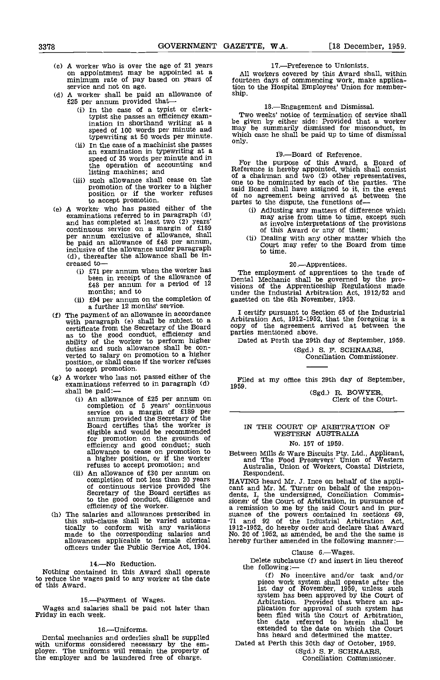- (c) A worker who is over the age of 21 years<br>on appointment may be appointed at a<br>minimum rate of pay based on years of fourt<br>service and not on age.<br>(d) A worker shall be paid an allowance of ship.<br> $£25$  per annum provid
- - (i) In the case of a typist or clerk-<br>typist she passes an efficiency examination in shorthand writing at a be gi speed of 100 words per minute and may typewriting at 50 words per minute. which
	- In the case of a machinist she passes an examination in typewriting at a speed of 35 words per minute and in the operation of accounting and listing machines; and
	- (iii) such allowance shall cease on the promotion of the worker to a higher position or if the worker refuses to accept promotion.
- (e) A worker who has passed either of the examinations referred to in paragraph  $(d)$ examinations referred to in paragraph (d)<br>and has completed at least two (2) years'<br>continuous service on a margin of £189 per annum exclusive of allowance, shall  $\alpha$  is the paid an allowance of £48 per annum,  $\alpha$  is the paid an allowance of £48 per annum, inclusive of allowance, shall (ii) Dealing with any other matter which the be paid an allowance under paragraph court may refer to the Board from time (d), thereafter the allowance shall be in-<br>
creased to-<br>
(i) £71 per an
	-
	- (ii) £94 per annum on the completion of a further 12 months' service.
- (f) The payment of an allowance in accordance  $\begin{array}{cc} I & c \\ \text{with paragraph} & (e) & \text{shall be subject to a} \end{array}$ certificate from the Secretary of the Board copy as to the good conduct, efficiency and parties<br>ability of the worker to perform higher Date<br>duties and such allowance shall be converted to salary on promotion to a higher position, or shall cease if the worker refuses to accept promotion.
- (g) A worker who has not passed either of the examinations referred to in paragraph (d) shall be paid:--<br>(i) An allowance of £25 per annum on
	- completion of 5 years' continuous<br>service on a margin of £189 per<br>annum provided the Secretary of the<br>Board certifles that the worker is<br>eligible and would be recommended<br>efficiency and good conduct; such<br>allowance to ceas refuses to accept promotion; and
	- (ii) An allowance of £30 per annum on completion of not less than 20 years **HAV**<br>of continuous service provided the cant<br>Secretary of the Board certifies as dents to the good conduct, diligence and sioner efficiency of the worker.
- (h) The salaries and allowances prescribed in suance<br>this sub-clause shall be varied automa-<br>tically to conform with any variations 1912-19<br>made to the corresponding salaries and No. 20 allowances applicable to female clerical officers under the Public Service Act, 1904.

#### 14.No Reduction.

Nothing contained in this Award shall operate to reduce the wages paid to any worker at the date of this Award.

## 15.-Payment of Wages.

Wages and salaries shall be paid not later than Friday in each week.

### 16.Uniforms.

Dental mechanics and orderlies shall be supplied with uniforms considered necessary by the em- ployer. The uniforms will remain the property of the employer and be laundered free of charge.

## 17.-Preference to Unionists.

All workers covered by this Award shall, within fourteen days of commencing work, make application to the Hospital Employees' Union for member- ship.

18.Engagement and Dismissal. Two weeks' notice of termination of service shall be given by either side: Provided that a worker may be summarily dismissed for misconduct, in which case he shall be paid up to time of dismissal only.

## 19.—Board of Reference.

For the purpose of this Award, a Board of Reference is hereby appointed, which shall consist of a chairman and two (2) other representatives, one to be nominated by each of the parties. The said Board shall have assigned to it, in the event of no agreement being arrived at between the partes to the dispute, the functions of—

- (i) Adjusting any matters of difference which may arise from time to time, except such as involve interpretations of the provisions<br>of this Award or any of them;<br>(ii) Dealing with any other matter which the<br>Court may refer to the Board from time
- to time.

## 20.Apprentices.

Fine employment of apprentices to the trade of<br>
feen in receipt of the allowance of  $\frac{12}{12}$  period of 12 months; and to  $\frac{12}{12}$  months; and to  $\frac{12}{12}$  months; and to  $\frac{12}{12}$  months; and to  $\frac{12}{12}$  month The employment of apprentices to the trade of Dental Mechanic shall be governed by the pro-<br>visions of the Apprenticeship Regulations made gazetted on the 6th November, 1953,

I certify pursuant to Section 65 of the Industrial Arbitration Act, 1912-1952, that the foregoing is a copy of the agreement arrived at between the parties mentioned above.

Dated at Perth the 29th day of September, 1959. CSgd.) S. F. SCHNAARS, Conciliation Commissioner.

Filed at my office this 29th day of September, 1959.

(Sgd.) R. BOWYER,<br>Clerk of the Court.

## IN THE COURT OF ARBITRATION OF WESTERN AUSTRALIA No. 157 of 1959.

Between Mills & Ware Biscuits Pty. Ltd., Applicant, and The Food Preservers' Union of Western Australia, Union of Workers, Coastal Districts, Respondent.

HAVING heard Mr. J. Ince on behalf of the applicant and Mr. M. Turner on behalf of the respondents, I, the undersigned, Conciliation Commissioner of the Court of Arbitration, in pursuance of the powers contained in sectio

#### Clause 6.-Wages.

Delete subclause (f) and insert in lieu thereof the following:—

(f) No incentive and/or task and/or piece work system shall operate after the 1st day of November, 1959, unless such system has been approved by the Court of Arbitration. Provided that where an application for approval of such system has been filed with the Court of Arbitration, the date referred to herein shall be extended to the date on which the Court has heard and determined the matter.

Dated at Perth this 30th day of October, 1959.

Conciliation Commissioner.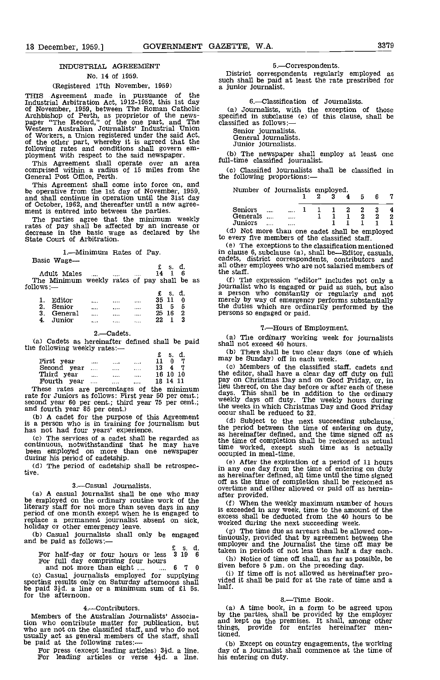## INDUSTRIAL AGREEMENT

## No. 14 of 1959.

## (Registered 17th November, 1959)

THIS Agreement made in pursuance of the Industrial Arbitration Act, 1912-1952, this 1st day of November, 1959, between The Roman Catholic (a) Journalists, with Archbishop of Perth, as proprietor of the news-<br>paper "The Record," of the one part, and The classified as follows:-<br>Western Australian Journalists' Indus of Workers, a Union registered under the said Act,  $\overline{G}$  of the other part, whereby it is agreed that the  $\overline{G}$ following rates and conditions shall govern em-<br>ployment with respect to the said newspaper. (b)<br>This Agreement shall operate over an area full-tin

comprised within a radius of 15 miles from the (c)<br>General Post Office, Perth. the f

This Agreement shall come into force on, and be operative from the 1st day of November, 1959, No. 1959, November, 1959, November, 1959, November, 1959, November, 1959, November, 1959, November, 1959, November, 1959, November, 1959, November, 1959, November, 1959, Nov

and of October, 1962, and thereafter until a new agreement is entered into between the parties.<br>The parties agree that the minimum weekly rates of pay shall be affected by an increase or decrease in the basic wage as decla

## 1.--Minimum Rates of Pay.

| Basic | Wage- |
|-------|-------|
|-------|-------|

| Basic Wage-                                               |  |          |      |       | cade<br>all c |
|-----------------------------------------------------------|--|----------|------|-------|---------------|
| Adult Males                                               |  | $\cdots$ | 14 1 | £s.d. | the           |
| The Minimum weekly rates of pay shall be as<br>follows .— |  |          |      |       | (f<br>iour    |
|                                                           |  |          |      | S.    | a p           |

|   | Fditor  | <br>      |       | . .<br>---<br>35 11 | -- |  |
|---|---------|-----------|-------|---------------------|----|--|
| ິ | Senior  | <br>      | 1.7.1 | 21<br>5             | 5  |  |
| 2 | General | <br>      |       | 25<br>1 G           | 2  |  |
|   | Junior  | <br>1.111 | 1.1.1 | າາ                  | 2  |  |

#### 2.Cadets.

(a) Cadets as hereinafter defined shall be paid  $\frac{a}{\text{shall}}$ the following weekly rates:— $\epsilon$  s. d.

|                |          |          | Ł  | s.       | α. |  |
|----------------|----------|----------|----|----------|----|--|
| First year     |          | <br>1.11 |    |          |    |  |
| Second year    | $\cdots$ | <br>     | 13 |          |    |  |
| Third year     |          | <br>     |    | 16 10 10 |    |  |
| Fourth<br>vear | $\cdots$ | <br>     |    | 18 14 11 |    |  |
|                |          |          |    |          |    |  |

rate for Juniors as follows: First year 50 per cent.;<br>second year 60 per cent.; third year 75 per cent.;<br>and fourth year 85 per cent.)<br>(b) A cadet for the purpose of this Agreement<br>is a person who is in training for journ These rates are percentages of the minimum  $\frac{1}{1}$  days This s

(b) A cadet for the purpose of this Agreement is a person who is in training for journalism but has not had four years' experience.<br>
(c) The services of a cadet shall be regarded as continuous, notwithstanding that he may

(d) The period of cadetship shall be retrospective.

## 3.-Casual Journalists.

(a) A casual journalist shall be one who may after provided. be employed on the ordinary routine work of the  $\epsilon$ iterary staff for not more than seven days in any<br>
period of one month except when he is engaged to<br>
replace a permanent journalist absent on sick, worked<br>
holiday or other emergency leave.<br>
(b) Casual journalists shall o

(b) Casual journalists shall only be engaged and be paid as follows: $-$ 

£ 5. d. For half-day or four hours or less 3 19 <sup>6</sup> For full day comprising four hours<br>and not more than eight ... .... 6 7 0

Casual journalists employed for supplying  $(i)$  1 sporting results only on Saturday afternoons shall be paid  $3\frac{1}{2}d$ . a line or a minimum sum of £1 5s. for the afternoon.

4.—Contributors.<br>Members of the Australian Journalists' Associa-From who contribute matter for publication, but<br>who are not on the classified staff, and who do not<br>who are not on the classified staff, and who do not<br>usually act as general members of the staff, shall<br>be paid at the fol

## 5.Correspondents.

District correspondents regularly employed as such shall be paid at least the rate prescribed for a junior journalist.

## 6.Classification of Journalists.

Journalists, with the exception of those specified in subclause (e) of this clause, shall be classified as follows:—

Senior journalists. General journalists. Junior journalists.

(b) The newspaper shall employ at least one full-time classified journalist.

(C) Classified journalists shall be classified in the following proportions:

| Number of journalists employed. |   |  |                     |  |                     |    |    |
|---------------------------------|---|--|---------------------|--|---------------------|----|----|
|                                 |   |  | $1 \t2 \t3 \t4 \t5$ |  |                     | 67 |    |
| <b>Seniors</b>                  | . |  |                     |  | $2 \quad 2 \quad 3$ |    |    |
| Generals   1 1 1 2 2            |   |  |                     |  |                     |    | -2 |
| Juniors                         |   |  |                     |  |                     |    |    |

Not more than one cadet shall be employed to every five members of the classified staff.

The exceptions to the classification mentioned in clause 6, subclause (a), shall be—Editor, casuals, cadets, district correspondents, contributors and all other employees who are not salaried members of the staff.

The expression "editor" includes not only a journalist who is engaged or paid as such, but also a person who constantly or regularly and not merely by way of emergency performs substantially merely by way of emergency performs substantially<br>the duties which are ordinarily performed by the<br>persons so engaged or paid.

## 7.Hours of Employment.

The ordinary working week for journalists shall not exceed 40 hours.<br>(b) There shall be two clear days (one of which

(b) There shall be two clear days (one of which may be Sunday) off in each week.<br>
(c) Members of the classified staff, cadets and

the editor, shall have a clear day off duty on full pay on Christmas Day and on Good Friday, or, in lieu thereof, on the day before or after each of these days. This shall be in addition to the ordinary<br>weekly days off duty. The weekly hours during the weeks in which Christmas Day and Good Friday occur shall be reduced to 32.

Subject to the next succeeding subclause, the period between the time of entering on duty, as hereinafter defined, and the time signed off as the time of completion shall be reckoned as actual time worked, except such time as is actually occupied in meal-time.

After the expiration of a period of 11 hours in any one day from the time of entering on duty as hereinafter defined, all time until the time signed off as the time of completion shall be reckoned as overtime and either allowed or paid off as herein- after provided.

When the weekly maximum number of hours is exceeded in any week, time to the amount of the excess shall be deducted from the 40 hours to be worked during the next succeeding week.

(g) The time due as arrears shall be allowed continuously, provided that by agreement between the employer and the journalist the time off may be

taken in periods of not less than half a day each.<br>
(h) Notice of time off shall, as far as possible, be<br>
given before 5 p.m. on the preceding day.<br>
(i) If time off is not allowed as hereinafter pro-<br>
vided it shall be pa

### 8.-Time Book.

A time book, in a form to be agreed upon by the parties, shall be provided by the employer and kept on the premises, It shall, among other things, provide for entries hereinafter mentioned.

day of a journalist shall commence at the time of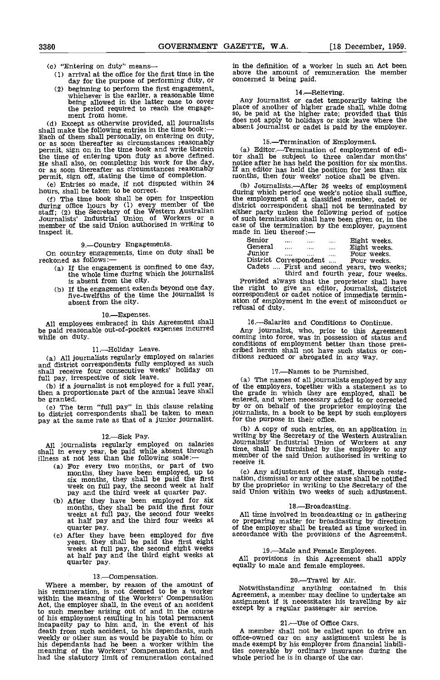- 
- (c) "Entering on duty" means -- in the same in the show<br>(1) arrival at the office for the first time in the show day for the purpose of performing duty, or
	- beginning to perform the first engagement, whichever is the earlier, a reasonable time being allowed in the latter case to cover

the period required to reach the engage-<br>ment from home.<br>(d) Except as otherwise provided, all journalists<br>shall make the following entries in the time book:— Cd) Except as otherwise provided, all journalists shall make the following entries in the time book: Each of them shall personally, on entering on duty, or as soon thereafter as circumstances reasonably permit, sign on in the time book and write therein (a) Editor.—Termination of employment of edi-<br>the time of entering upon duty as above defined. <br>He shall also, on completing his work for the day, notice after he has held the time of entering upon duty as above defined. He shall also, on completing his work for the day, permit and the time of complements are the time of completion.<br>permit, sign off, stating the time of completion.

(e) Entries so made, if not disputed within 24 hours, shall be taken to be correct.

(f) The time book shall be open for inspection the enduring office hours by (1) every member of the district staff; (2) the Secretary of the Western Australian Journalists' Industrial Union of Workers or a member of the said Union authorised in writing to inspect it.

9.Country Engagements. On country engagements, time on duty shall be

- reckoned as follows:—<br>(a) If the engagement is confined to one day
	-

10.Expenses.

All employees embraced in this Agreement shall be paid reasonable out-of-pocket expenses incurred while on duty.

11-Holiday Leave.

(a) All journalists regularly employed on salaries and district correspondents fully employed as such shall receive four consecutive weeks' holiday on

full pay, irrespective of sick leave.<br>(b) if a journalist is not employed for a full year

to district correspondents shall be taken to mean journa pay at the same rate as that of a junior journalist.

12.—Sick Pay.<br>12.Sick Pay. All journalists regularly employed on salaries allow shall in every year, be paid while absent through  $\frac{\text{time}}{\text{mmb}}$ 

- illness at not less than the following scale: member<br>(a) For every two months, or part of two months, they have been employed, up to (c) A
	- six months, they shall be paid the first nation,<br>week on full pay, the second week at half by the<br>pay and the third week at quarter pay. said U.<br>(b) After they have been employed for six<br>months, they shall be paid the firs
	- Cc) After they have been employed for five years. they shall be paid the first eight weeks at full pay, the second eight weeks at half pay and the third eight weeks at quarter pay.

#### 13. Compensation.

Value a member, by eason of the amount of<br>
is .—Compensation.<br>
his remuneration, is not deemed to be a worker<br>
within the meaning of the Workers' Compensation<br>
within the meaning of the Workers' Compensation<br>
Agreement, a had the statutory limit of remuneration contained

in the definition of a worker in such an Act been<br>above the amount of remuneration the member<br>concerned is being paid.

14.—Relieving.<br>Any journalist or cadet temporarily taking the place of another of higher grade shall, while doing so, be paid at the higher rate; provided that this does not apply to holidays or sick leave where the absent journalist or cadet is paid by the employer.

15.—Termination of Employment.<br>(a) Editor.—Termination of employment of edi-If an editor has held the position for less than six months, then four weeks' notice shall be given.

(b) Journalists.—After 26 weeks of employment during which period one week's notice shall suffice, the employment of a classified member, cadet or district correspondent shall not be terminated by either party unless the following period of notice of such termination shall have been given or, in the case of the termination by the employer, payment made in lieu thereof: $\frac{1}{1-\epsilon}$ 

| Senior  | $\cdots$                                   | $1 + 1$  | $\cdots$ | Eight weeks. |  |  |
|---------|--------------------------------------------|----------|----------|--------------|--|--|
| General | $\cdots$                                   | $\cdots$ | $\cdots$ | Eight weeks. |  |  |
| Junior  | $\cdots$                                   |          | .        | Four weeks.  |  |  |
|         | District Correspondent                     |          |          | Four weeks.  |  |  |
|         | Cadets  First and second years, two weeks; |          |          |              |  |  |

If the whole time during which the journalist<br>is absent from the city.<br>If the engagement extends beyond one day. If the right to give an editor, journalist, district<br>five-twelfths of the time the journalist is absent from third and fourth year, four weeks.<br>Provided always that the proprietor shall have<br>the right to give an editor, Journalist, district<br>correspondent or cadet notice of immediate terminrefusal of duty.

## 16.Salaries and Conditions to Continue.

Any journalist, who, prior to this Agreement coming into force, was in possession of status and conditions of employment better than those pres- cribed herein shall not have such status or con-ditions reduced or abrogated in any way.

## 17.-Names to be Furnished.

(a) The names of all journalists employed by any<br>
(b) if a journalist is not employed for a full year,<br>
then a proportionate part of the annual leave shall<br>
be grade in which they are employed, shall be<br>
be granted.<br>
(c) T The names of all journalists employed by any of the employers, together with a statement as to the grade in which they are employed, shall be entered, and when necessary added to or corrected by or on behalf of the proprietor employing the journalists, in a book to be kept by such employers for the purpose in their office.

> A copy of such entries, on an application in writing by the Secretary of the Western Australian Journalists' Industrial Union of Workers at any time, shall be furnished by the employer to any member of the said Union authorised in writing to receive it.

Cc) Any adjustment of the staff, through resig- nation, dismissal or any other cause shall be notified by the proprietor in writing to the Secretary of the said Union within two weeks of such adjustment.

18.—Broadcasting.<br>All time involved in broadcasting or in gathering All time involved in broadcasting or in gathering or preparing matter for broadcasting by direction of the employer shall be treated as time worked in accordance with the provisions of the Agreement.

19.Male and Female Employees. All provisions in this Agreement shall apply equally to male and female employees.

20.—Travel by Air.<br>Notwithstanding anything contained in this Agreement, a member may decline to undertake an assignment if it necessitates his travelling by air except by a regular passenger air service.

## 21. Use of Office Cars.

A member shall not be called upon to drive an office-owned car on any assignment unless he is made exempt by his employer from financial liabilities coverable by ordinary insurance during the whole period he is in charge of the car.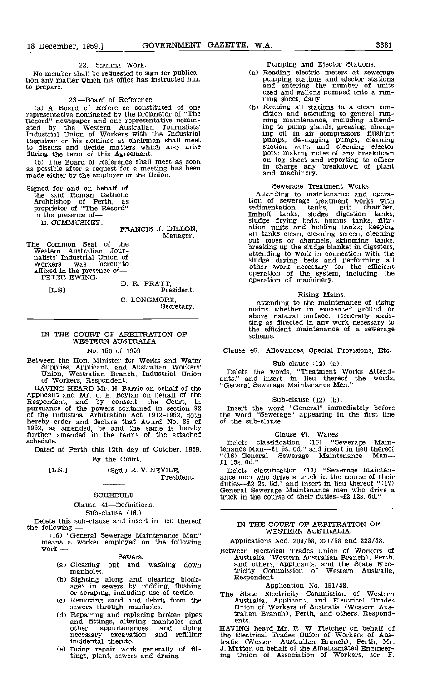22.-Signing Work.

No member shall be requested to sign for publica-No member shall be requested to sign for publica-<br>
tion any matter which his office has instructed him<br>
pumping stations and elector stations to prepare.

## 23.-Board of Reference.

A Board of Reference constituted of one representative nominated by the proprietor of "The Record" newspaper and one representative nomin- ated by the Western Australian Journalists' Industrial Union of Workers with the Industrial Registrar or his nominee as chairman shall meet to discuss and decide matters which may arise during the term of this Agreement. during the term of this Agreement.<br>(b) The Board of Reference shall meet as soon

as possible after a request for a meeting has been made either by the employer or the Union.

Signed for and on behalf of the said Roman Catholic<br>Archbishop of Perth, as<br>proprietor of "The Record" in the presence of D. CUMMUSKEY.

FRANCIS J. DILLON, Manager.

The Common Seal of the Western Australian Journalists' Industrial Union of Workers was hereunto Workers was hereunt<br>affixed in the presence of-<br>PETER EWING.

D. R. PRATT, [L.S] President. C. LONGMORE, Secretary.

## IN THE COURT OF ARBITRATION OF WESTERN AUSTRALIA

No. 150 of 1959

Between the Hon. Minister for Works and Water Supplies, Applicant, and Australian Workers' Union, Westralian Branch, Industrial Union of Workers, Respondent.

HAVING HEARD Mr. H. Barrie on behalf of the Applicant and Mr. L, E. Boylan on behalf of the Respondent, and by consent, the Court, in pursuance of the powers contained in section 92 of the Industrial Arbitration Act, 1912-1952, doth the won<br>hereby order and declare that Award No. 35 of of the<br>1952, as amended, be and the same is hereby<br>further amended in the terms of the attached<br>schedule. Delete

Dated at Perth this 12th day of October, 1959. By the Court,

[L.S.] (Sgd.) R. V. NEVILE,<br>President.

## SCHEDULE

#### Clause 41-Definitions.

Sub-clause (16.)<br>Delete this sub-clause and insert in lieu thereof

Delete the following: (16) "General Sewerage Maintenance Man" we we was a worker employed on the following means a worker employed on the following a setween Electrical Trades Union of Workers of Sewers. Sewers.

#### Sewers.

- (a) Cleaning out and washing down and others,<br>manholes. tricity Con<br>(b) Sighting along and clearing block- Respondent.
- Sighting along and clearing block-<br>ages in sewers by rodding, flushing
- or scraping, including use of tackle. Removing sand and debris from the (c) Removing sand and debris from the<br>sewers through manholes.<br>(d) Repairing and replacing broken pipes
- Repairing and replacing broken pipes trand fittings, altering manholes and and the m other appurtenances and doing HAV. necessary excavation and refilling the necessary excavat
- Doing repair work generally of fit-tings, plant, sewers and drains.

- Pumping and Ejector Stations.<br>Reading electric meters at sewerage<br>pumping stations and elector stations<br>and entering the number of units<br>used and gallons pumped onto a run-
- ning sheet, daily.<br>
(b) Keeping all stations in a clean con-<br>
dition and attending to general run-<br>
ning maintenance, including attending to pump glands, greasing, chang- ing oil in air compressors, flushing pumps, de-ragging pumps, cleaning suction wells and cleaning ejector pots; making notes of any breakdown on log sheet and reporting to officer in charge any breakdown of plant and machinery.

Sewerage Treatment Works. Attending to maintenance and opera- tion of sewerage treatment works with sedimentation tanks, grit chamber, Imhoff tanks, sludge digestion tanks, sludge drying beds, humus tanks, filtration units and holding tanks; keeping all tanks clean, cleaning screen, cleaning out pipes or channels, skimming tanks, breaking up the sludge blanket in digesters, attending to work in connection with the sludge drying beds and performing all other work necessary for the efficient operation of the system, including the operation of machinery.

Rising Mains. Attending to the maintenance of rising mains whether in excavated ground or above natural surface. Generally assis-ting as directed in any work necessary to the efficient maintenance of a sewerage scheme.

Clause 46.Allowances, Special Provisions, Etc.

### Sub-clause (12) (a).

Delete the words, "Treatment Works Attend- ants," and insert in lieu thereof the words, "General Sewerage Maintenance Men."

## Sub-clause (12) (b).

Insert the word "General" immediately before the word "Sewerage" appearing in the first line of the sub-clause.

## Clause 47 .- Wages.

Delete classification (16) "Sewerage Main-<br>tenance Man—£1 5s. 0d." and insert in lieu thereof<br>"(16) General Sewerage Maintenance Man—<br>£1 15s. 0d."

Delete classification (17) "Sewerage mainten-<br>ance men who drive a truck in the course of their<br>duties— $\pounds 2$  2s. 6d." and insert in lieu thereof "(17) duties— $\pm 2$  2s. 6d." and insert in lieu thereof "(17) General Sewerage Maintenance men who drive a truck in the course of their duties— $\pounds 2$  12s. 6d."

### IN THE COURT OF ARBITRATION OF WESTERN AUSTRALIA.

Applications Nod. 209/58, 221/58 and 223/58.

Between Electrical Trades Union of Workers of Australia (Western Australian Branch), Perth, and others, Applicants, and the State Electricity Conunission of Western Australia, Respondent.

Application No. 191/58. The State Electricity Commission of Western Australia Applicant, and Electrical Trades Union of Workers of Australia (Western Aus-tralian Branch), Perth, and others, Respondents.

HAVING heard Mr. R. W. Fletcher on behalf of the Electrical Trades Union of Workers of Australia (Western Australian Branch), Perth, Mr. ,J. Mutton on behalf of the Amalgamated Engineer-ing Union of Association of Workers, Mr. F.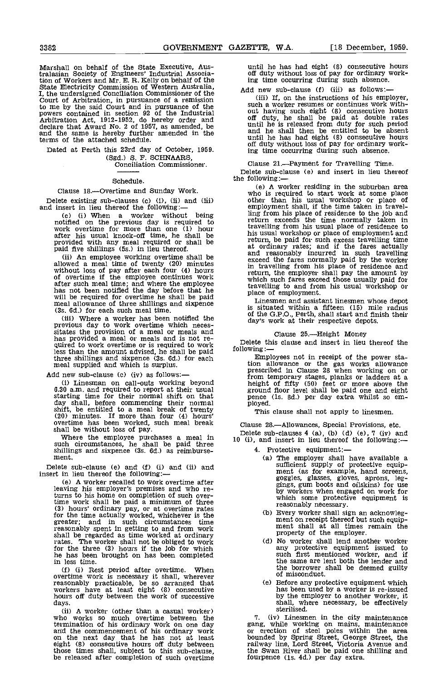Marshall on behalf of the State Executive, Australasian Society of Engineers' Industrial Association of Workers and Mr. E. R. Kelly on behalf of the State Electricity Commission of Western Australia, I, the undersigned Conciliation Commissioner of the Court of Arbitration, in pursuance of a remission to me by the said Court and in pursuance of the subpowers contained in section 92 of the Industrial 01<br>Arbitration Act, 1912-1952, do hereby order and 01 declare that Award No. 2 of 1957, as amended, be and the same is hereby further amended in the and the same is hereby further amended in the terms of the attached schedule.

Dated at Perth this 23rd day of October, 1959. Conciliation Commissioner.

## Schedule.

## Clause 18.-Overtime and Sunday Work.

Delete existing sub-clauses (c) (i), (ii) and (iii) and insert in lieu thereof the following:—

(ii) An employee working overtime shall be allowed a meal time of twenty (20) minutes without loss of pay after each four (4) hours in the overtime if the employee continues work with after such meal time; and where the employee has not been notified the day before that he will be required for overtime he shall be paid meal allowance of three shillings and sixpence

(3s. 6d.) for each such meal time.<br>
(iii) Where a worker has been notified the<br>
previous day to work overtime which neces-<br>
sitates the provision of a meal or meals and<br>
has provided a meal or meals and is not re-<br>
quired three shillings and sixpence (3s, 6d.) for each meal supplied and which is surplus.

Add new sub-clause (c) (iv) as follows:-

(i) Linesman on call-outs working beyond 6.30 a.m. and required to report at their usual 6.30 a.m. and required to report at their usual starting time for their normal shift on that day shall, before commencing their normal shift, be entitled to a meal break of twenty  $(20)$  minutes. If more than four  $(4)$  hours' overtime has been worked, such meal break  $\qquad$  Clau

shall be without loss of pay.<br>Where the employee purchases a meal in Bele<br>such circumstances, he shall be paid three 10 (i), shillings and sixpence (3s. Gd.) as reimburse- ment.

Delete sub-clause (e) and (f) (i) and (ii) and insert in lieu thereof the following:-

A worker recalled to work overtime after leaving his employer's premises and who returns to his home on completion of such over-time work shall be paid a minimum of three (3) hours' ordinary pay, or at overtime rates for the time actually worked, whichever is the greater; and in such circumstances time reasonably spent in getting to and from work shall be regarded as time worked at ordinary rates. The worker shall not be obliged to work for the three (3) hours if the job for which he has been brought on has been completed in less time.

(i) Rest period after overtime. When overtime work is necessary it shall, wherever reasonably practicable, be so arranged that workers have at least eight (8) consecutive hours off duty between the work of successive days.

(ii) A worker (other than a casual worker) who works so much overtime between the termination of his ordinary work on one day ga and the commencement of his ordinary work on the next day that he has not at least bo<br>eight (8) consecutive hours off duty between ra those times shall, subject to this sub-clause, be released after completion of such overtime

until he has had eight (8) consecutive hours off duty without loss of pay for ordinary work-ing time occurring during such absence.

Add new sub-clause  $(f)$  (iii) as follows:—<br>(iii) If, on the instructions of his employer, (Hi) If, on the instructions of his employer, such a worker resumes or continues work without having such eight (8) consecutive hours off duty, he shall be paid at double rates until he is released from duty for such period and he shau then be entitled to be absent until he has had eight (8) consecutive hours oft duty without loss of pay for ordinary working time occurring during such absence.

Clause 21.—Payment for Travelling Time.<br>Delete sub-clause (e) and insert in lieu thereof the following:—

(c) (i) When a worker without being<br>
(c) (i) When a worker without being<br>
work overtime for more than one (1) hour<br>
work overtime for more than one (1) hour<br>
a worker without being<br>
work overtime for more than one (1) hour (e) A worker residing in the suburban area who is required to start work at some place other than his usual workshop or place of employment shall, if the time taken in travelling from his place of residence to the job and return exceeds the time normally taken in travelling from his usual place of residence to his usual workshop or place of employment and return, be paid for such excess travelling time at ordinary rates; and if the fares actually and reasonably incurred in such travelling exceed the fares normally paid by the worker in travelling from his place of residence and return, the employer shall pay the amount by which such fares exceed those usually paid for travelling to and from his usual workshop or place of employment.

is situated within a fifteen (15) mile radius of the G.P.O., Perth, shall start and finish their day's work at their respective depots.

## Clause 25.-Height Money

Delete this clause and insert in lieu thereof the following: following: —<br>Employees not in receipt of the power sta-

tion allowance or the gas works allowance prescribed in Clause 28 when working on or from temporary stages, planks or ladders at a height of fifty (50) feet or more above the ground floor level shall be paid one and eight pence (is. 8d.) per day extra whilst so em- ployed.

This clause shall not apply to linesmen.

Clause 28.Allowances, Special Provisions, etc.

Delete sub-clauses 4 (a), (b) (d) (e), 7 (iv) and<br>10 (i), and insert in lieu thereof the following:—

- 4. Protective equipment:
	- The employer shall have available a sufficient supply of protective equip-<br>ment (as for example, hand screens, goggles, glasses, gloves, aprons, leg-<br>gings, gum boots and oilskins) for use<br>by workers when engaged on work for<br>which some protective equipment i by workers when engaged on work for<br>which some protective equipment is<br>reasonably necessary.<br>(b) Every worker shall sign an acknowleg-
	- Every worker shall sign an acknowleg- ment on receipt thereof but such equip- ment shall at all times remain the property of the employer.
	- (d) No worker shall lend another worker any protective equipment issued to such first mentioned worker, and if the same are lent both the lender and the borrower shall be deemed guilty of misconduct.
	- Ce) Before any protective equipment which has been used by a worker is re-issued by the employer to another worker, it shall, where necessary, be effectively sterilised.

7. (iv) Linesmen in the city maintenance gang, while working on mains, maintenance or erection of steel poles within the area bounded by Spring Street, George Street, the railway line, Lord Street, Victoria Avenue and the Swan River shall be paid one shilling and fourpence (is. 4d.) per day extra.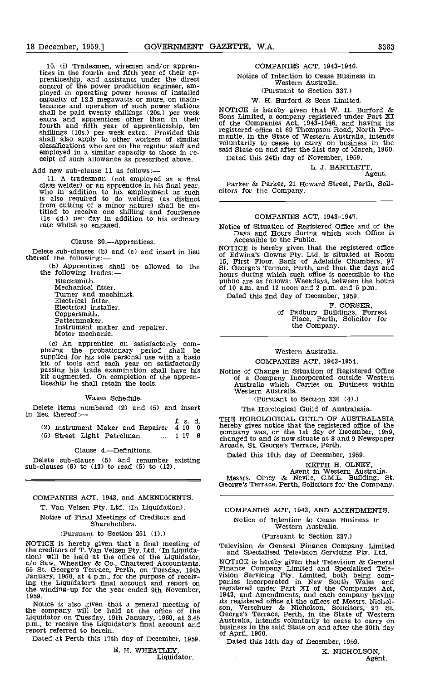10. (i) Tradesmen, wiremen and/or appren-<br>tices in the fourth and fifth year of their ap-<br>prenticeship, and assistants under the direct<br>control of the power production engineer, em-<br>ployed in operating power houses of inst capacity of 12.5 megawatts or more, on maintenance and operation of such power stations<br>shall be paid twenty shillings (20s.) per week Sons J<br>extra and apprentices other than in their of the fourth and fifth year of apprenticeship, ten of the shillings (10s.) per week extra. Provided this registed<br>shall also apply to other workers of similar manti-<br>classifications who are on the regular staff and voluminations employed in a similar capacity to those in re- ceipt of such allowance as prescribed above.

Add new sub-clause 11 as follows:-

11. A tradesman (not employed as a first class welder) or an apprentice in his final year, class welder) or an apprentice in his final year, who in addition to his employment as such is also required to do welding (as distinct from cutting of a minor nature) shall be en- titled to receive one shilling and fourpence (is. 4d.) per day in addition to his ordinary rate whilst so engaged.

Clause 30.-Apprentices.

Delete sub-clauses (b) and (c) and insert in lieu thereof the following:

(b) Apprentices shall be allowed to the the following trades: $-$ 

Blacksmith. Mechanical fitter. Turner and machinist. Electrical fitter. Electrical installer. Coppersmith, Patternmaker. Instrument maker and repairer. Motor mechanic,

An apprentice on satisfactorily com- pleting the probationary period shall be supplied for his sole personal use with a basic kit of tools and each year on satisfactorily passing his trade examination shall have his kit augmented. On completion of the apprenticeship he shall retain the tools.

#### Wages Schedule.

Delete items numbered (2) and (5) and insert in lieu thereof:

|                                             | £s.d   | тн         |
|---------------------------------------------|--------|------------|
| $(2)$ Instrument Maker and Repairer $4\ 10$ |        | her        |
| (5) Street Light Patrolman                  | 1 17 6 | con<br>oho |

Clause 4.Definitions.

Delete sub-clause (5) and renumber existing Date<br>sub-clauses (6) to (13) to read (5) to (12).

COMPANIES ACT, 1943, and AMENDMENTS. T. Van Velzen Pty. Ltd. (In Liquidation).

Notice of Final Meetings of Creditors nd Shareholders,

(Pursuant to Section 251 (1).)

NOTICE is hereby given that a final meeting of<br>the creditors of T. Van Velzen Pty. Ltd. (In Liquida-<br>tion) will be held at the office of the Liquidator,<br> $c/o$  Saw, Wheatley & Co., Chartered Accountants, NOTI<br>55 St. George' January, 1960, at 4 p.m., for the purpose of receiv-ing the Liquidator's final account and report on the winding-up for the year ended 9th November, 1959.

Notice is also given that a general meeting of the company will be held at the office of the Liquidator on Tuesday, 19th January, 1960, at 3.45 p.m., to receive the Liquidator's final account and report referred to herein,

Dated at Perth this 17th day of December, 1959.

E. H. WHEATLEY,

Liquidator.

## COMPANIES ACT, 1943-1946.

Notice of Intention to Cease Business in Western Australia (Pursuant to Section 337.)

W. H, Burford & Sons Limited.

# NOTICE is hereby given that W. H. Burford &

Sons Limited, a company registered under Part XI<br>of the Companies Act, 1943-1946, and having its register at 69 Thompson Road, North Fre-<br>mantle, in the State of Western Australia, intends<br>voluntarily to cease to carry on business in the said State on and after the 21st day of March, 1960. Dated this 24th day of November, 1959.

L. J. BARTLETT,<br>Agent.

Parker & Parker, 21 Howard Street, Perth, Soli- citors for the Company.

## COMPANIES ACT. 1943-1947.

Notice of Situation of Registered Office and of the Days and Hours during which such Office is Accessible to the Public.

NOTICE is hereby given that the registered office of Edwina's Gowns Pty. Ltd. is situated at Room 15, First Floor, Bank of Adelaide Chambers, 97 St. George's Terrace, Perth, and that the days and hours during which such office is accessible to the public are as follows: Weekdays, between the hours of 10 am, and 12 noon and 2 p.m. and 5 p.m.

Dated this 2nd day of December, 1959.

F. CORSER,<br>of Padbury Buildings, Forrest<br>Place, Perth, Solicitor for<br>the Common:

the Company.

### Western Australia.

COMPANIES ACT, 1943-1954.

Notice of Change in Situation of Registered Office of a Company Incorporated outside Western Australia which Carries on Business within Western Australia.

(Pursuant to Section 330 (4).)

The Horological Guild of Australasia.

THE HOROLOGICAL GUILD OF AUSTRALASIA<br>hereby gives notice that the registered office of the hereby gives notice that the registered office of the company was, on the 1st day of December, 1959, changed to and is now situate at 8 and 9 Newspaper Arcade, St. George's Terrace, Perth.

Dated this 10th day of December, 1959,

KEITH H. OLNEY,<br>Agent in Western Australia.<br>Messrs. Olney & Nevile, C.M.L. Building, St.<br>George's Terrace, Perth, Solicitors for the Company.

COMPANIES ACT, 1943, AND AMENDMENTS. Notice of Intention to Cease Business in Western Australia.

#### (Pursuant to Section 337.)

Television & General Finance Company Limited and Specialised Television Servicing Fty. Ltd.

NOTICE is hereby given that Television & General Finance Company Limited and Specialized Tele- vision Servicing Pty. Limited, both being com- panies incorporated in New South Wales and registered under Part XI of the Companies Act, 1943, and Amendments, and each company having its registered office at the offices of Messrs. Nicholson, Verschuer & Nicholson, Solicitors, 97 St.<br>George's Terrace, Perth, in the State of Western<br>George's Terrace, Perth, in the State of Western<br>Australia, intends volu

Dated this 14th day of December, 1959.

K. NICHOLSON, Agent.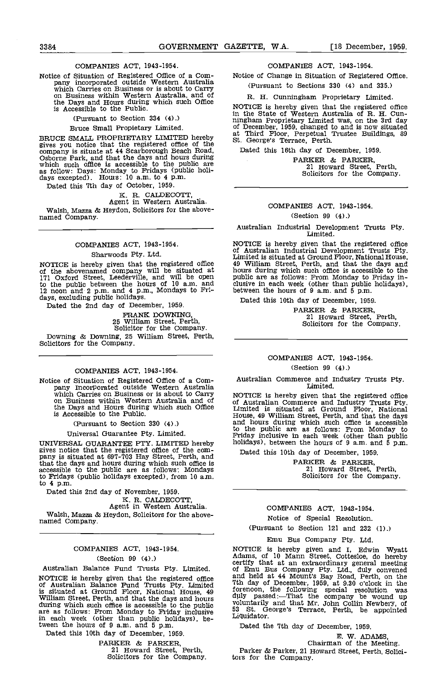## COMPANIES ACT, 1943-1954.

Notice of Situation of Registered Office of a Com-<br>
pany incorporated outside Western Australia (I<br>
which Carries on Business or is about to Carry<br>
on Business within Western Australia, and of the Days and Hours during which such Office is Accessible to the Public.

(Pursuant to Section 334 (4).)

Bruce Small Propietary Limited.

BRUCE SMALL PROPRIETARY LIMITED hereby gives you notice that the registered office of the st. company is situate at 44 Scarborough Beach Road, Date<br>Osborne Park, and that the days and hours during<br>which such office is accessible to the public are as follow: Days: Monday to Fridays (public holi- days excepted). Hours: 10 am. to 4 p.m. Dated this 7th day of October, 1959.

K. R. CALDECOTT,<br>Agent in Western Australia.

Walsh, Mazza & Heydon, Solicitors for the above- named Company.

## COMPANIES ACT, 1943-1954.

## Sharwoods Pty. Ltd.

NOTICE is hereby given that the registered office 49 Will be situated at 171 Oxford Street, Leederville, and will be open public to the public between the hours of 10 a.m. and clusive 12 noon and 2 p.m. and 4 p.m., Mondays to Fri-<br>days, excluding public holidays.<br>Dated this 10th day of December 1956

Dated the 2nd day of December, 1959.

FRANK DOWNING, 25 William Street, Perth, Solicitor for the Company.

Downing & Downing, 25 william Street, Perth, Solicitors for the Company.

## COMPANIES ACT, 1943-1954.

Notice of Situation of Registered Office of a Com-<br>
pany Incorporated outside Western Australia<br>
which Carries on Business or is about to Carry<br>
on Business within Western Australia and of and<br>
of Au the Days and Hours during which such Office Limit is Accessible to the Public.

(Pursuant to Section 330 (4).)

Universal Guarantee Pty. Limited.

UNIVERSAL GUARANTEE PT?. LIMITED hereby gives notice that the registered office of the com- pany is situated at 697-703 Hay Street, Perth, and that the days and hours during which such office is accessible to the public are as follows: Mondays to Fridays (public holidays excepted), from 10 am. to 4 p.m.

Dated this 2nd day of November, 1959. K. R. CALDECOTT, Agent in Western Australia.

Walsh, Mazza & Heydon, Solicitors for the above- named Company.

## COMPANIES ACT, 1943-1954. (Section 99 (4).)

#### Australian Balance Fund Trusts Pty. Limited.

NOTICE is hereby given that the registered office of Australian Balance Fund Trusts Pty. Limited is situated at Ground Floor, National House, 49 is situated at Ground Floor, National House, 49 foreno<br>
William Street, Perth, and that the days and hours duly<br>
during which such office is accessible to the public volunts<br>
are as follows: From Monday to Friday inclusiv in each week (other than public holidays), between the hours of 9 am. and 5 p.m.

Dated this 10th day of December, 1959.

PARKER & PARKER, 21 Howard Street, Perth, Solicitors for the Company.

COMPANIES ACT, 1943-1954.

Notice of Change in Situation of Registered Office.

(Pursuant to Sections 330 (4) and 335.)

R. H. Cunningham Proprietary Limited. NOTICE is hereby given that the registered office in the State of Western Australia of R. H. Cunningham Proprietary Limited was, on the 3rd day of December, 1959, changed to and is now situated at Third Floor, Perpetual Trustee Buildings, 89 St. George's Terrace, Perth.

Dated this 16th day of December, 1959.

PARKER & PARKER, 21 Howard Street, Perth, Solicitors for the Company.

## COMPANIES ACT, 1943-1954.

## (Section 99 (4).)

Australian Industrial Development Trusts Pty. Limited.

NOTICE is hereby given that the registered office of Australian Industrial Development Trusts Pty. Limited is situated at Ground Floor, National House, hours during which such office is accessible to the public are as follows: From Monday to Friday in-<br>clusive in each week (other than public holidays), between the hours of 9 am.

Dated this 10th day of December, 1959.

PARKER & PARKER, 21 Howard Street, Perth, Solicitors for the Company.

## COMPANIES ACT, 1943-1954.

#### (Section 99 (4).)

# Australian Commerce and Industry Trusts Pty. Limited.

NOTICE is hereby given that the registered office<br>of Australian Commerce and Industry Trusts Pty.<br>Limited is situated at Ground Floor, National<br>House, 49 William Street, Perth, and that the days<br>and hours during which such to the public are as follows: From Monday to Friday inclusive in each week (other than public holidays), between the hours of 9 a.m. and 5 p.m.

Dated this 10th day of December, 1959.

PARKER & PARKER, 21 Howard Street, Perth, Solicitors for the Company.

## COMPANIES ACT, 1942-1954.

## Notice of Special Resolution.

(Pursuant to Section 121 and 232 (1).)

#### Emu Bus Company Pty. Ltd

NOTICE is hereby given and I, Edwin Wyatt Adams, of 10 Mann Street, Cottesloe, do hereby certify that at an extraordinary general meeting of Emu Bus Company Pty. Ltd., duly convened and held at 44 Mount's Bay Road, Perth, on the 7th day of December, 1959, at 9.30 o'clock in the forenoon, the following special resolution was duly passed:—That the company be wound up voluntarily and that Mr. John Collin Newbery, of <sup>53</sup> St. George's Terrace, Perth, be appointed Liquidator.

Dated the 7th day of December, 1959.

E. W. ADAMS, Chairman of the Meeting.

Parker & Parker, 21 Howard Street, Perth, Solicitors for the Company.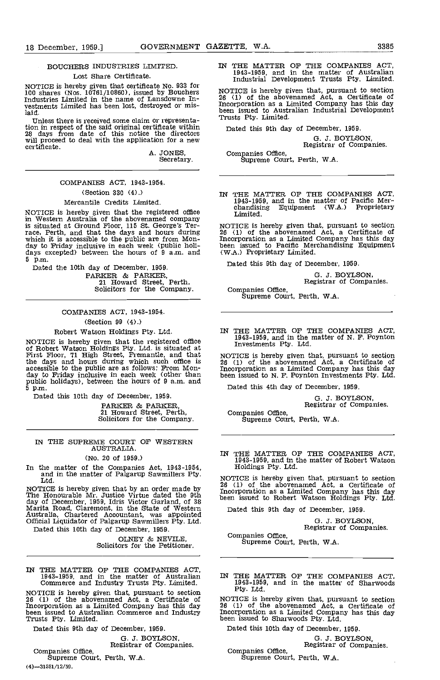## BOUCHERS INDUSTRIES LIMITED.

#### Lost Share Certificate.

NOTICE is hereby given that certificate No. 933 for<br>100 shares (Nos. 10761/10860), issued by Bouchers MC Industries Limited in the name of Lansdowne Investments Limited has been lost, destroyed or mislaid.

Unless there is received some claim or representation in respect of the said original certificate within 28 days from date of this notice the directors will proceed to deal with the application for a new will proceed to deal with the application for a new<br>certificate.

A. JONES,<br>Secretary.

## COMPANIES ACT, 1943-1954.

## (Section 330 (4).)

## Mercantile Credits Limited.

NOTICE is hereby given that the registered office in Western Australia of the abovenamed company<br>is situated at Ground Floor, 115 St. George's Ter-<br>race, Perth, and that the days and hours during 26 (1)<br>which it is accessible to the public are from Mon-<br>have to Friday inc 5 p.m.

Dated the 10th day of December, 1959. extractive of the Parkers, Perth, Solicitors for the Company.

> COMPANIES ACT, 1943-1954. (Section 99 (4).)

## Robert Watson Holdings Pty. Ltd.

NOTICE is hereby given that the registered office<br>of Robert Watson Holdings Pty. Ltd. is situated at<br>First Floor, 71 High Street, Fremantle, and that<br>the days and hours during which such office is<br>accessible to the public public holidays), between the hours of 9 a.m. and 5 p.m.

Dated this 10th day of December, 1959.

PARKER & PARKER, 21 Howard Street, Perth, Solicitors for the Company.

## IN THE SUPREME COURT OF WESTERN AUSTRALIA.

## (No. 20 of 1959.)

In the matter of the Companies Act, 1943-1954, and in the matter of Palgarup Sawmillers Pty. Ltd.

NOTICE is hereby given that by an order made by The Honourable Mr. Justice Virtue dated the 9th day of December, Inc., Inc., Inc., Inc., Inc., Inc., Inc., Inc., Inc., Inc., Inc., Inc., Inc., Inc., Inc., Inc., Inc., Inc., Inc., Inc., Inc., Inc., Inc., Inc., Inc., Inc., Inc., Inc., Inc., Inc., Inc., Inc., Inc., Inc., I Dated this 10th day of December, 1959.

OLNEY & NEVILE Solicitors for the Petitioner.

IN THE MATTER OF THE COMPANIES ACT,<br>1943-1959, and in the matter of Australian IN THE MA<br>Commerce and Industry Trusts Pty. Limited. 1943-1959<br>NOTICE is beyelve given that nursuant to soction Pty. Ltd.

NOTICE is hereby given that, pursuant to section <sup>PT</sup><br>26 (1) of the abovenamed Act, a Certificate of MOTIO Incorporation as a Limited Company has this day 26 (1) been issued to Australian Commerce and Industry Trusts Pty. Limited.

Dated this 9th day of December, 1959.

G. J. BOYLSON,<br>Companies Office,<br>Supreme Court, Perth, W.A.

(4)-31581/12/59.

IN THE MATTER OF THE COMPANIES ACT, 1943-1959, and in the matter of Australian Industrial Development Trusts Pty. Limited.

NOTICE is hereby given that, pursuant to section 26 (1) of the abovenamed Act, a Certificate of Incorporation as a Limited Company has this day been issued to Australian Industrial Development Trusts Pty. Limited.

Dated this 9th day of December, 1959.

0. J. BOYLSON, Registrar of Companies.

Companies Office, Supreme Court, Perth, W.A.

IN THE MATTER OF THE COMPANIES ACT, 1943-1959, and in the matter of Pacific Merchandising Equipment (W.A.) Proprietary Limited.

NOTICE is hereby given that, pursuant to section 26 (1) of the abovenamed Act, a Certificate of Incorporation as a Limited Company has this day been issued to Pacific Merchandising Equipment (W.A.) Proprietary Limited.

Dated this 9th day of December, 1959.

0. 3. BOYLSON, Registrar of Companies.

Companies Office,<br>Supreme Court, Perth, W.A.

IN THE MATTER OF THE COMPANIES ACT, 1943-1959, and in the matter of N. F. Poynton Investments Pty. Ltd.

NOTICE is hereby given that, pursuant to section 26 (1) of the abovenamed Act, a Certificate of Incorporation as a Limited Company has this day been issued to N. F. Poynton Investments Pty. Ltd.

Dated this 4th day of December, 1959.

0. J. BOYLSON. Registrar of Companies.

Companies Office, Supreme Court, Perth, W.A.

IN THE MATTER OF THE COMPANIES ACT, 1943-1959, and in the matter of Robert Watson Holdings Pty. Ltd.

NOTICE is hereby given that, pursuant to section 26 (1) of the abovenamed Act, a Certificate of Incorporation as a Limited Company has this day been issued to Robert Watson Holdings Pty. Ltd.

Dated this 9th day of December, 1959.

0. J. BOYLSON, Registrar of Companies.

Companies Office, Supreme Court, Perth, W.A.

IN THE MATTER OF THE COMPANIES ACT, 1943-1959, and in the matter of Sharwoods

NOTICE is hereby given that, pursuant to section 26 (1) of the abovenamed Act, a Certificate of Incorporation as a Limited Company has this day been issued to Sharwoods Pty. Ltd.

Dated this 10th day of December, 1959.

0. J. BOYLSON, Registrar of Companies, Companies Office, Supreme Court, Perth, WA.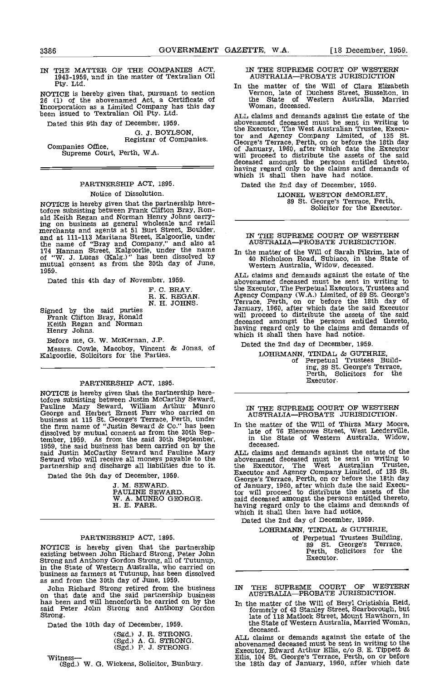IN THE MATTER OF THE COMPANIES ACT 1943-1959, nd in the matter of Textralian Oil Pty. Ltd.

NOTICE is hereby given that, pursuant to section 26 (1) of the abovenamed Act, a Certificate of Incorporation as a Limited Company has this day Ween issued to Textralian Oil Pty. Ltd.

Dated this 9th day of December, 1959.

G. J. BOYLSON, Registrar of Companies.

Companies Office, Supreme Court, Perth, W.A.

## PARTNERSHIP ACT, 1895.

## Notice of Dissolution.

NOTICE is hereby given that the partnership here-<br>tofore subsisting between Frank Clifton Bray, Rontofore subsisting between Frank Clifton Bray, Ron-<br>ald Keith Regan and Norman Henry Johns carrying on business as general wholesale and retail merchants and agents at 51 Burt Street, Boulder, and at 111-113 Maritana Street, Kalgoorlie under the name of "Bray and Company," and also at 174 Hannan Street, Kalgoorlie, under the name of "W. J. Lucas (Kalg.)" has been dissolved by the mutual consent as from the 30th day of June, w mutual consent as from the 30th day of June,

Dated this 4th day of November, 1959.

F. C. BRAY. R. K. REGAN. N. H. JOHNS.

- Signed by the said prties Frank Clifton Bray, Ronald Keith Regan and Norman Henry Johns.
	-

Before me, G. W. McKernan, J.P.

Messrs. Cowle, Macoboy, Vincent & Jonas, of Kalgoorlie, Solicitors for the Parties.

## PARTNERSHIP ACT, 1895.

NOTICE is hereby given that the partnership heretofore subsisting between Justin McCarthy Seward,<br>Pauline Mary Seward, William Arthur Munro TN TN<br>George and Herbert Ernest Farr who carried on AU business at 115 St. George's Terrace, Perth, under the firm name of "Justin Seward & Co." has been In the dissolved by mutual consent as from the 30th Sep-tember, 1959. As from the said 30th September, 1959, the said business has been carried on by the said Justin McCarthy Seward and Pauline Mary ALL c<br>Seward who will receive all moneys payable to the pabover<br>partnership and discharge all liabilities due to it. the I

Dated the 9th day of December, 1959.

3. M. SEWARD. PAULINE SEWARD. W. A. MTINRO GEORGE. H. E. FARR.

## PARTNERSHIP ACT, 1895.

NOTICE is hereby given that the partnership existing between John Richard Strong, Peter John<br>Strong and Anthony Gordon Strong, all of Tutunup,<br>in the State of Western Australia, who carried on<br>business as farmers at Tutunup, has been dissolved s and from the 30th day of June, 1959.

John Richard Strong retired from the business IN THE<br>on that date and the said partnership business hand Strong<br>has been and will henceforth be carried on by the said Peter John Strong and Anthony Gordon forme Strong

Dated the 10th day of December, 1959.

|  | (Sgd.) J. R. STRONG. |
|--|----------------------|
|  | (Sgd.) A. G. STRONG. |
|  | (Sgd.) P. J. STRONG. |

Witness-

(Sgd.) W. G. Wickens, Solicitor, Bunbury.

IN THE SUPREME COURT OF WESTERN AUSTRALIA-PROBATE JURISDICTION

In the matter of the Will of Clara Elizabeth Vernon, late of Duchess Street, Busselton, in the State of Western Australia, Married Woman, deceased.

ALL claims and demands against the estate of the abovenamed deceased must be sent in writing to the Executor, The West Australian Trustee, Executor and Agency Company Limited, of 135 St. George's Terrace, Perth, on or before the 18th day of January, 1960, after which date the Executor will proceed to distribute the assets of the said deceased amongst the persons entitled thereto, having regard only to the claims and demands of which it shall then have had notice.

Dated the 2nd day of December, 1959.

LIONEL WESTON deMORLEY, 89 St. George's Terrace, Perth, Solicitor for the Executor.

## IN THE SUPREME COURT OF WESTERN AUSTRALIA-PROBATE JURISDICTION.

In the matter of the Will of Sarah Pilgrim, late of 40 Nicholson Road, Subiaco, in the State of Western Australia, Widow, deceased.

ALL claims and demands against the estate of the abovenamed deceased must be sent in writing to the Executor, The Perpetual Executors, Trustees and the Executor, The Perpetual Executors, Trustees and<br>Agency Company (W.A.) Limited, of 89 St. George's<br>Terrace, Perth, on or before the 18th day of<br>January, 1960, after which date the said Executor<br>will proceed to distribut deceased amongst the persons entitled thereto, having regard only to the claims and demands of which it shall then have had notice.

Dated the 2nd day of December, 1959.

LOHRMANN, TINDAL & GUTHRIE, of Perpetual Trustees Building, 89 St. George's Terrace. Perth, Solicitors for the Executor.

# IN THE SUPREME COURT OF WESTERN<br>AUSTRALIA—PROBATE JURISDICTION.

In the matter of the Will of Thirza Mary Moore, late of 76 Blencowe Street, West Leederville, in the State of Western Australia, Widow,

deceased.<br>ALL claims and demands against the estate of the ALL claims and demands against the estate of the abovenamed deceased must be sent in writing to abovemented uccessed music and the Executor. The West Australian Trustee,<br>Executor and Agency Company Limited, of 135 St.<br>George's Terrace, Perth, on or before the 18th day<br>of January, 1960, after which date the said Execu having regard only to the claims and demands of which it shall then have had notice.

Dated the 2nd day of December, 1959.

LOHRMANN, TINDAL & GUTHRIE,

of Perpetual Trustees Building,<br>89 St. George's Terrace, <sup>89</sup> St. George's Terrace, Perth, Solicitors for the Executor.

- IN THE SUPREME COURT OF WESTERN<br>AUSTRALIA—PROBATE JURISDICTION.
- In the matter of the Will of Beryl Cristishia Reid, formerly of 43 Stanley Street, Scarborough, but late of 118 Matlock Street, Mount Hawthorn, In the State of Western Australia, Married Woman, deceased.

ALL claims or demands against the estate of the abovenamed deceased must be sent in writing to the Executor, Edward Arthur Ellis, c/o S. E. Tippett & Ellis, 104 St. George's Terrace, Perth, on or before the 18th day of January, 1960, after which date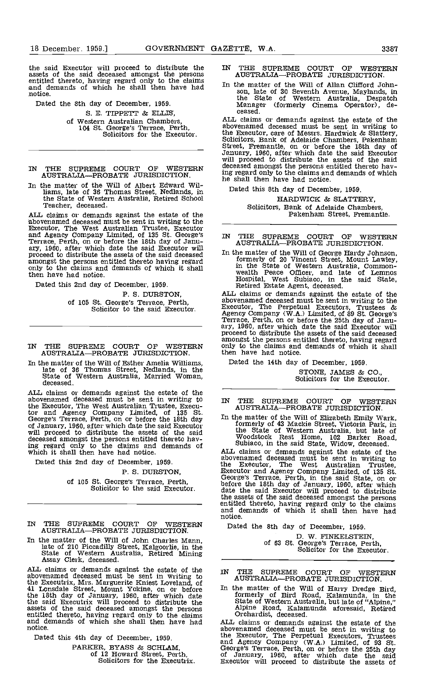the said Executor will proceed to distribute the entitled thereto, having regard only to the claims and demands of which he shall then have had notice.

Dated the 8th day of December, 1959.

S. E. TIPPETT & ELLIS. of Western Australian Chambers, 104 St. George's Terrace, Perth, Solicitors for the Executor.

- IN THE SUPREME COURT OF WESTERN deceased among AUSTRALIA-PROBATE JURISDICTION.
- In the matter of the Will of Albert Edward Wilhams, late of 36 Thomas Street, Nedlands, in the State of Western Australia, Retired School Teacher, deceased.

ALL claims or demands against the estate of the tbovenamed deceased must be sent in writing to the Executor, The West Australian Trustee, Executor and Agency Company Limited, of 135 St. George's Terrace, Perth, on or before the 18th day of Janu-<br>ary, 1960, after which date the said Executor will proceed to distribute the assets of the said deceased In the amongst the persons entitled thereto having regard  $\frac{1}{1}$ <br>only to the claims and demands of which it shall  $\frac{1}{1}$ only to the claims and demands of which it shall then have had notice.

Dated this 2nd day of December, 1959.

P. 5. DURSTON. of 105 St. George's Terrace, Perth, Solicitor to the said Executor.

- IN THE SUPREME COURT OF WESTERN AUSTRALIA-PROBATE JURISDICTION.
- In the matter of the Will of Esther Amelia Williams, late of 36 Thomas Street, Nedlands, in the State of Western Australia, Married Woman, deceased.

ALL claims or demands against the estate of the  $\overline{\phantom{a}}$  abovenamed deceased must be sent in writing to  $\overline{\phantom{a}}$  IN T the Executor, The West Australian Trustee, Execu-<br>tor and Agency Company Limited, of 135 St.<br>George's Terrace, Perth, on or before the 18th day In the of January, 1960, after which date the said Executor for  $\frac{1}{2}$ <br>will proceed to distribute the assets of the said deceased amongst the persons entitled thereto having regard only to the claims and demands of which it shall then have had notice.

Dated this 2nd day of December, 1959.

### P. 5. DURSTON,

of 105 St. George's Terrace, Perth, Solicitor to the said Executor.

THE SUPREME COURT OF WESTERN AUSTRALIA-PROBATE JURISDICTION.

In the matter of the Will of John Charles Mann, late of 210 Piccadilly Street, Kalgoorlie, in the State of Western Australia, Retired Mining Assay Clerk, deceased.

ALL claims or demands against the estate of the TN abovenamed deceased must be sent in writing to AT the Executrix, Mrs. Marguerite Kniest Loveland, of<br>
41 Lonsdale Street, Mount Yokine, on or before In the<br>
the 18th day of January, 1960, after which date the said Executrix will proceed to distribute the<br>assets of the said deceased amongst the persons all<br>entitled thereto, having regard only to the claims Or<br>and demands of which she shall then have had ALL cl<br>notice.

Dated this 4th day of December, 1959.

PARKER, BYASS & SCHLAM,<br>of 12 Howard Street, Perth,<br>Solicitors for the Executrix.

- IN THE SUPREME COURT OF WESTERN AUSTRALIA-PROBATE JURISDICTION.
- In the matter of the Will of Allan Clifford Johnson, late of 30 Seventh Avenue, Maylands, in the State of Western Australia, Despatch Manager (formerly Cinema Operator), de-Manager (formerly Cinema Operator), de-

ALL claims or demands against the estate of the abovenamed deceased must be sent in writing to the Executor, care of Messrs. Hardwick & Slattery, Solicitors, Bank of Adelaide Chambers, Pakenham Street, Fremantle, on or before the 18th day of January, 1960, after which date the said Executor will proceed to distribute the assets of the said deceased amongst the persons entitled thereto having regard only to the claims and demands of which he shall then have had notice.

Dated this 8th day of December, 1959.

HARDWICK & SLATTERY, Solicitors, Bank of Adelaide Chambers, Pakenham Street, Fremantle.

IN THE SUPREME COURT OF WESTERN AUSTRALIA-PROBATE JURISDICTION.

In the matter of the Will of George Hardy Johnson,<br>formerly of 20 Vincent Street, Mount Lawley,<br>in the State of Western Australia, Common-<br>wealth Peace Officer, and late of Lemnos<br>Hospital, West Subiaco, in the said State,

ALL claims or demands against the estate of the abovenamed deceased must be sent in writing to the Executor, The Perpetual Executors, Trustees & Agency Company (W.A.) Limited, of 89 St. George's Terrace, Perth, on or before the 25th day of Janu- ary, 1960, after which date the said Executor will proceed to distribute the assets of the said deceased proceed to distribute the assets of the said deceased amongst the persons entitled thereto, having regard only to the claims and demands of which it shall then have had notice.

Dated the 14th day of December, 1959.

STONE, JAMES & CO., Solicitors for the Executor.

IN THE SUPREME COURT OF WESTERN AUSTRALIA-PROBATE JURISDICTION.

In the matter of the Will of Elizabeth Emily Wark,<br>formerly of 43 Mackie Street, Victoria Park, in<br>the State of Western Australia, but late of<br>Woodstock Rest Home, 102 Barker Road,<br>Subiaco, in the said State, Widow, deceas

ALL claims or demands against the estate of the abovenamed deceased must be sent in writing to the Executor, The West Australian Trustee,<br>Executor and Agency Company Limited, of 135 St.<br>George's Terrace, Perth, in the said State, on or<br>before the 18th day of January, 1960, after which<br>date the said Executor will pro the assets of the said deceased amongst the persons entitled thereto, having regard only to the claims and demands of which it shall then have had notice.

Dated the 8th day of December, 1959.

D. W. FINKELSTEIN, of 63 St. George's Terrace, Perth, Solicitor for the Executor.

IN THE SUPREME COURT OF WESTERN<br>AUSTRALIA—PROBATE JURISDICTION.

In the matter of the Will of Harry Dredge Bird, formerly of Bird Road, Kalamunda, in the State of Western Australia but late of "Alpine," Alpine Road, Kalamunda aforesaid, Retired Orchardist, deceased.

ALL claims or demands against the estate of the abovenamed deceased must be sent in writing to<br>the Executor, The Perpetual Executors, Trustees<br>and Agency Company (W.A.) Limited, of 93 St.<br>George's Terrace, Perth, on or before the 25th day<br>of January, 1960, after which d